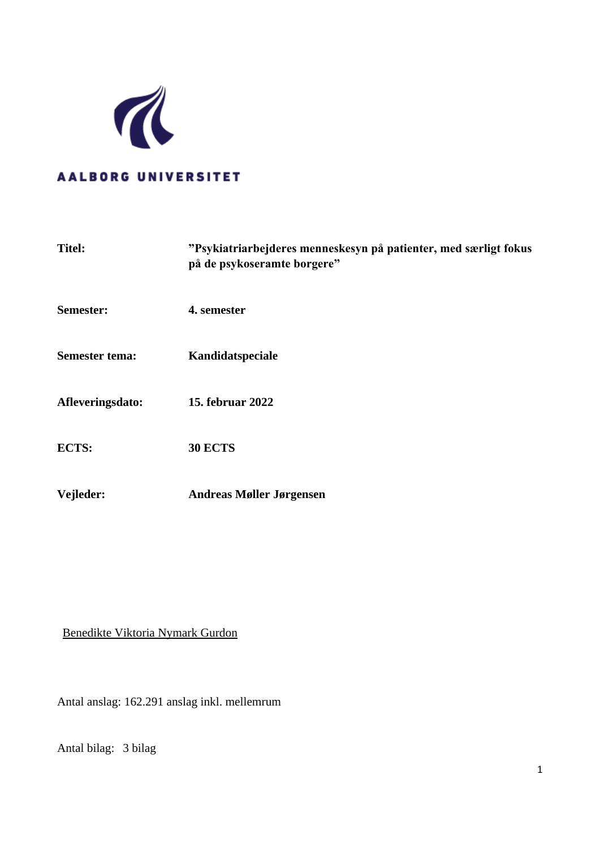

### **AALBORG UNIVERSITET**

| "Psykiatriarbejderes menneskesyn på patienter, med særligt fokus<br>på de psykoseramte borgere" |
|-------------------------------------------------------------------------------------------------|
| 4. semester                                                                                     |
| Kandidatspeciale                                                                                |
| 15. februar 2022                                                                                |
| <b>30 ECTS</b>                                                                                  |
| <b>Andreas Møller Jørgensen</b>                                                                 |
|                                                                                                 |

### Benedikte Viktoria Nymark Gurdon

Antal anslag: 162.291 anslag inkl. mellemrum

Antal bilag: 3 bilag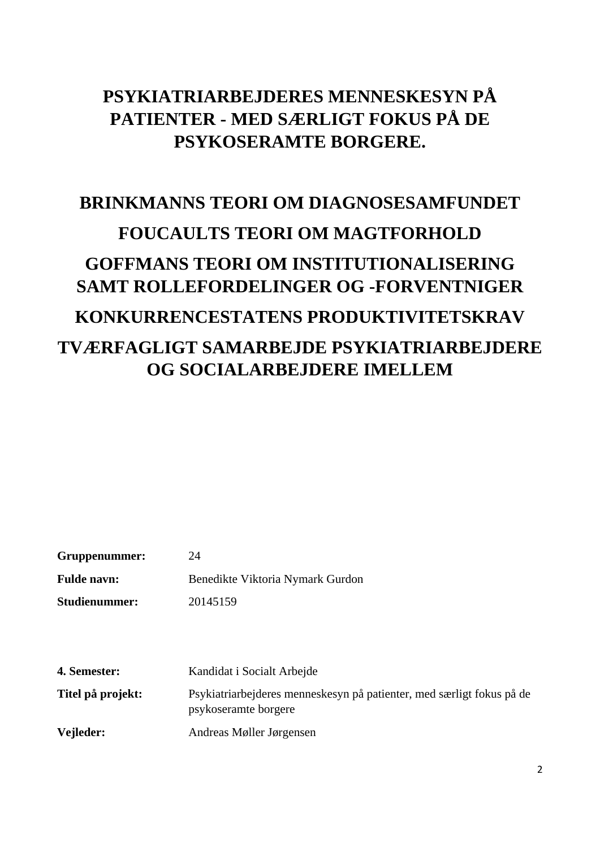# **PSYKIATRIARBEJDERES MENNESKESYN PÅ PATIENTER - MED SÆRLIGT FOKUS PÅ DE PSYKOSERAMTE BORGERE.**

# **BRINKMANNS TEORI OM DIAGNOSESAMFUNDET FOUCAULTS TEORI OM MAGTFORHOLD GOFFMANS TEORI OM INSTITUTIONALISERING SAMT ROLLEFORDELINGER OG -FORVENTNIGER KONKURRENCESTATENS PRODUKTIVITETSKRAV TVÆRFAGLIGT SAMARBEJDE PSYKIATRIARBEJDERE OG SOCIALARBEJDERE IMELLEM**

| Gruppenummer:      | 24                               |
|--------------------|----------------------------------|
| <b>Fulde navn:</b> | Benedikte Viktoria Nymark Gurdon |

**Studienummer:** 20145159

**4. Semester:** Kandidat i Socialt Arbejde

**Titel på projekt:** Psykiatriarbejderes menneskesyn på patienter, med særligt fokus på de psykoseramte borgere

**Vejleder:** Andreas Møller Jørgensen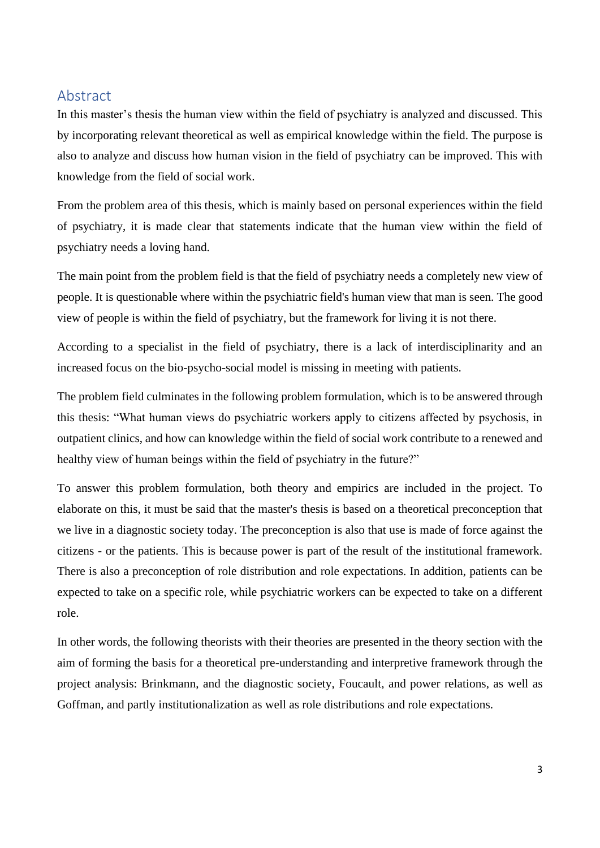### <span id="page-2-0"></span>Abstract

In this master's thesis the human view within the field of psychiatry is analyzed and discussed. This by incorporating relevant theoretical as well as empirical knowledge within the field. The purpose is also to analyze and discuss how human vision in the field of psychiatry can be improved. This with knowledge from the field of social work.

From the problem area of this thesis, which is mainly based on personal experiences within the field of psychiatry, it is made clear that statements indicate that the human view within the field of psychiatry needs a loving hand.

The main point from the problem field is that the field of psychiatry needs a completely new view of people. It is questionable where within the psychiatric field's human view that man is seen. The good view of people is within the field of psychiatry, but the framework for living it is not there.

According to a specialist in the field of psychiatry, there is a lack of interdisciplinarity and an increased focus on the bio-psycho-social model is missing in meeting with patients.

The problem field culminates in the following problem formulation, which is to be answered through this thesis: "What human views do psychiatric workers apply to citizens affected by psychosis, in outpatient clinics, and how can knowledge within the field of social work contribute to a renewed and healthy view of human beings within the field of psychiatry in the future?"

To answer this problem formulation, both theory and empirics are included in the project. To elaborate on this, it must be said that the master's thesis is based on a theoretical preconception that we live in a diagnostic society today. The preconception is also that use is made of force against the citizens - or the patients. This is because power is part of the result of the institutional framework. There is also a preconception of role distribution and role expectations. In addition, patients can be expected to take on a specific role, while psychiatric workers can be expected to take on a different role.

In other words, the following theorists with their theories are presented in the theory section with the aim of forming the basis for a theoretical pre-understanding and interpretive framework through the project analysis: Brinkmann, and the diagnostic society, Foucault, and power relations, as well as Goffman, and partly institutionalization as well as role distributions and role expectations.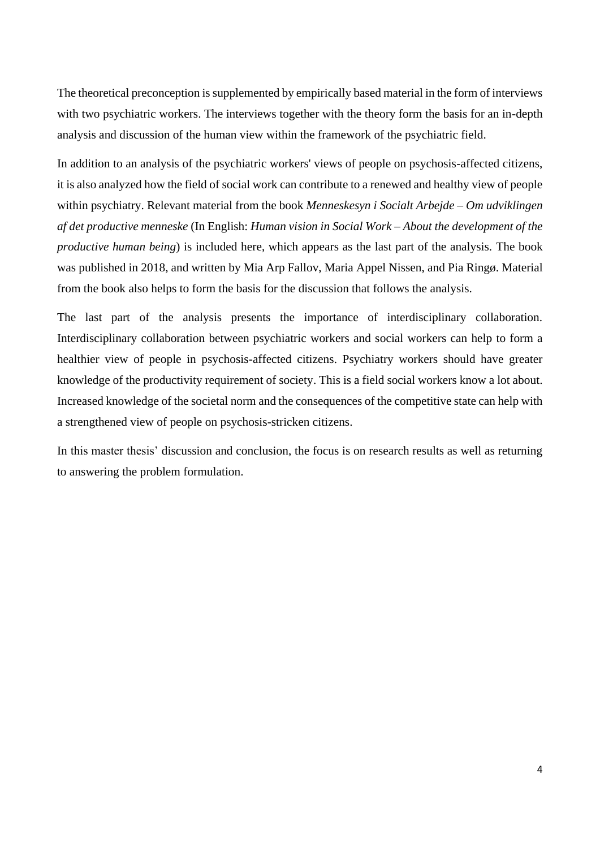The theoretical preconception is supplemented by empirically based material in the form of interviews with two psychiatric workers. The interviews together with the theory form the basis for an in-depth analysis and discussion of the human view within the framework of the psychiatric field.

In addition to an analysis of the psychiatric workers' views of people on psychosis-affected citizens, it is also analyzed how the field of social work can contribute to a renewed and healthy view of people within psychiatry. Relevant material from the book *Menneskesyn i Socialt Arbejde – Om udviklingen af det productive menneske* (In English: *Human vision in Social Work – About the development of the productive human being*) is included here, which appears as the last part of the analysis. The book was published in 2018, and written by Mia Arp Fallov, Maria Appel Nissen, and Pia Ringø. Material from the book also helps to form the basis for the discussion that follows the analysis.

The last part of the analysis presents the importance of interdisciplinary collaboration. Interdisciplinary collaboration between psychiatric workers and social workers can help to form a healthier view of people in psychosis-affected citizens. Psychiatry workers should have greater knowledge of the productivity requirement of society. This is a field social workers know a lot about. Increased knowledge of the societal norm and the consequences of the competitive state can help with a strengthened view of people on psychosis-stricken citizens.

In this master thesis' discussion and conclusion, the focus is on research results as well as returning to answering the problem formulation.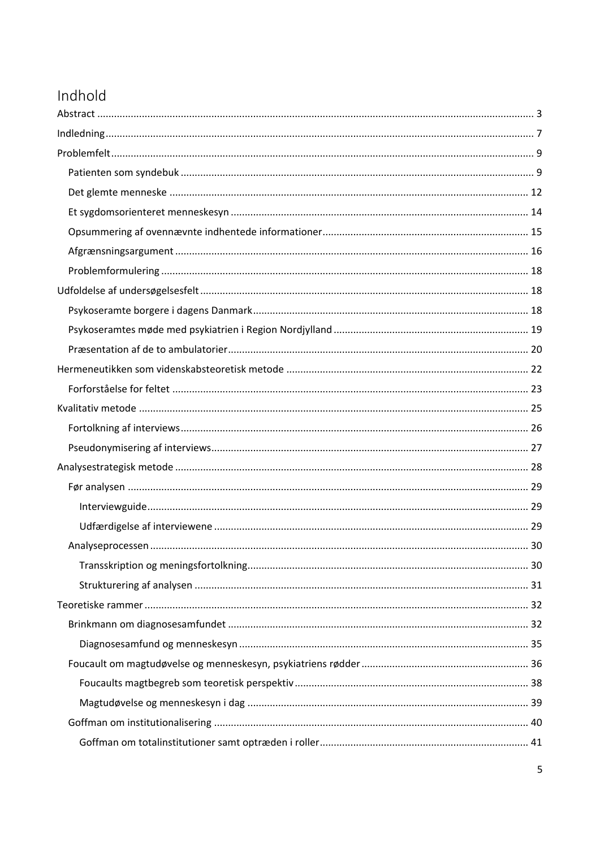## Indhold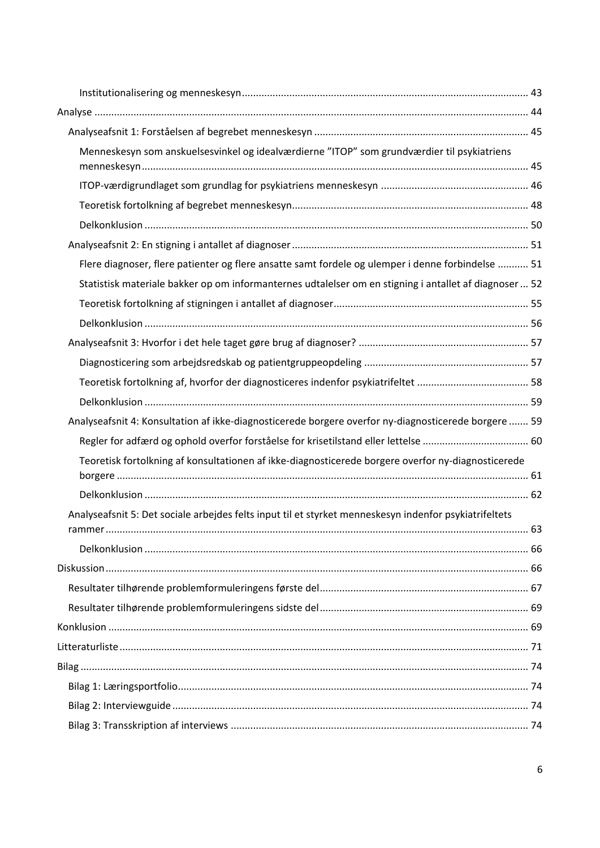| Menneskesyn som anskuelsesvinkel og idealværdierne "ITOP" som grundværdier til psykiatriens            |  |
|--------------------------------------------------------------------------------------------------------|--|
|                                                                                                        |  |
|                                                                                                        |  |
|                                                                                                        |  |
|                                                                                                        |  |
|                                                                                                        |  |
| Flere diagnoser, flere patienter og flere ansatte samt fordele og ulemper i denne forbindelse  51      |  |
| Statistisk materiale bakker op om informanternes udtalelser om en stigning i antallet af diagnoser  52 |  |
|                                                                                                        |  |
|                                                                                                        |  |
|                                                                                                        |  |
|                                                                                                        |  |
|                                                                                                        |  |
|                                                                                                        |  |
| Analyseafsnit 4: Konsultation af ikke-diagnosticerede borgere overfor ny-diagnosticerede borgere  59   |  |
|                                                                                                        |  |
| Teoretisk fortolkning af konsultationen af ikke-diagnosticerede borgere overfor ny-diagnosticerede     |  |
|                                                                                                        |  |
|                                                                                                        |  |
| Analyseafsnit 5: Det sociale arbejdes felts input til et styrket menneskesyn indenfor psykiatrifeltets |  |
|                                                                                                        |  |
|                                                                                                        |  |
|                                                                                                        |  |
|                                                                                                        |  |
|                                                                                                        |  |
|                                                                                                        |  |
|                                                                                                        |  |
|                                                                                                        |  |
|                                                                                                        |  |
|                                                                                                        |  |
|                                                                                                        |  |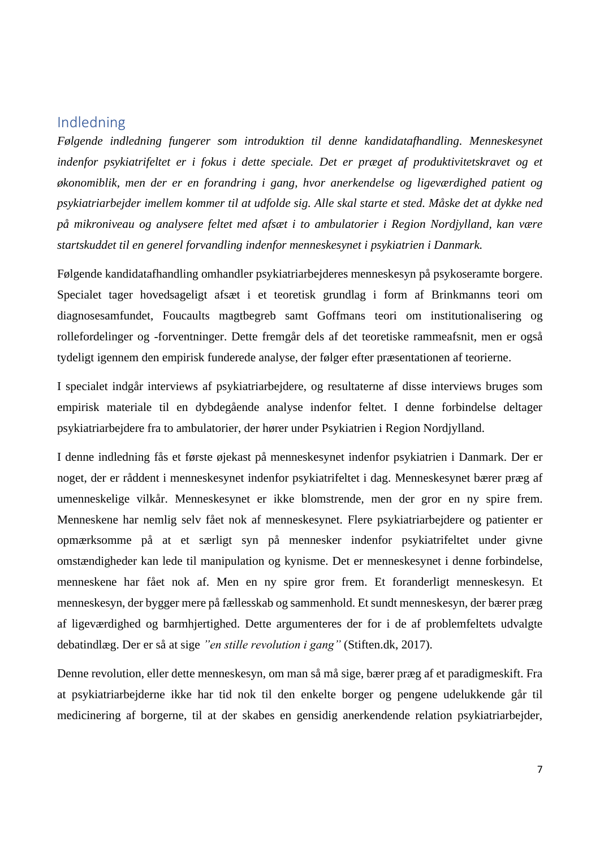### <span id="page-6-0"></span>Indledning

*Følgende indledning fungerer som introduktion til denne kandidatafhandling. Menneskesynet indenfor psykiatrifeltet er i fokus i dette speciale. Det er præget af produktivitetskravet og et økonomiblik, men der er en forandring i gang, hvor anerkendelse og ligeværdighed patient og psykiatriarbejder imellem kommer til at udfolde sig. Alle skal starte et sted. Måske det at dykke ned på mikroniveau og analysere feltet med afsæt i to ambulatorier i Region Nordjylland, kan være startskuddet til en generel forvandling indenfor menneskesynet i psykiatrien i Danmark.* 

Følgende kandidatafhandling omhandler psykiatriarbejderes menneskesyn på psykoseramte borgere. Specialet tager hovedsageligt afsæt i et teoretisk grundlag i form af Brinkmanns teori om diagnosesamfundet, Foucaults magtbegreb samt Goffmans teori om institutionalisering og rollefordelinger og -forventninger. Dette fremgår dels af det teoretiske rammeafsnit, men er også tydeligt igennem den empirisk funderede analyse, der følger efter præsentationen af teorierne.

I specialet indgår interviews af psykiatriarbejdere, og resultaterne af disse interviews bruges som empirisk materiale til en dybdegående analyse indenfor feltet. I denne forbindelse deltager psykiatriarbejdere fra to ambulatorier, der hører under Psykiatrien i Region Nordjylland.

I denne indledning fås et første øjekast på menneskesynet indenfor psykiatrien i Danmark. Der er noget, der er råddent i menneskesynet indenfor psykiatrifeltet i dag. Menneskesynet bærer præg af umenneskelige vilkår. Menneskesynet er ikke blomstrende, men der gror en ny spire frem. Menneskene har nemlig selv fået nok af menneskesynet. Flere psykiatriarbejdere og patienter er opmærksomme på at et særligt syn på mennesker indenfor psykiatrifeltet under givne omstændigheder kan lede til manipulation og kynisme. Det er menneskesynet i denne forbindelse, menneskene har fået nok af. Men en ny spire gror frem. Et foranderligt menneskesyn. Et menneskesyn, der bygger mere på fællesskab og sammenhold. Et sundt menneskesyn, der bærer præg af ligeværdighed og barmhjertighed. Dette argumenteres der for i de af problemfeltets udvalgte debatindlæg. Der er så at sige *"en stille revolution i gang"* (Stiften.dk, 2017).

Denne revolution, eller dette menneskesyn, om man så må sige, bærer præg af et paradigmeskift. Fra at psykiatriarbejderne ikke har tid nok til den enkelte borger og pengene udelukkende går til medicinering af borgerne, til at der skabes en gensidig anerkendende relation psykiatriarbejder,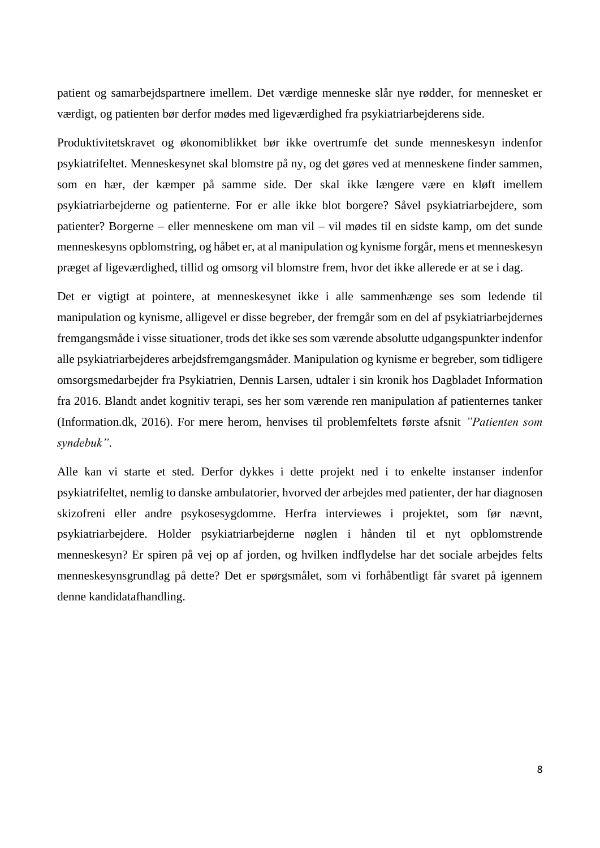patient og samarbejdspartnere imellem. Det værdige menneske slår nye rødder, for mennesket er værdigt, og patienten bør derfor mødes med ligeværdighed fra psykiatriarbejderens side.

Produktivitetskravet og økonomiblikket bør ikke overtrumfe det sunde menneskesyn indenfor psykiatrifeltet. Menneskesynet skal blomstre på ny, og det gøres ved at menneskene finder sammen, som en hær, der kæmper på samme side. Der skal ikke længere være en kløft imellem psykiatriarbejderne og patienterne. For er alle ikke blot borgere? Såvel psykiatriarbejdere, som patienter? Borgerne – eller menneskene om man vil – vil mødes til en sidste kamp, om det sunde menneskesyns opblomstring, og håbet er, at al manipulation og kynisme forgår, mens et menneskesyn præget af ligeværdighed, tillid og omsorg vil blomstre frem, hvor det ikke allerede er at se i dag.

Det er vigtigt at pointere, at menneskesynet ikke i alle sammenhænge ses som ledende til manipulation og kynisme, alligevel er disse begreber, der fremgår som en del af psykiatriarbejdernes fremgangsmåde i visse situationer, trods det ikke ses som værende absolutte udgangspunkter indenfor alle psykiatriarbejderes arbejdsfremgangsmåder. Manipulation og kynisme er begreber, som tidligere omsorgsmedarbejder fra Psykiatrien, Dennis Larsen, udtaler i sin kronik hos Dagbladet Information fra 2016. Blandt andet kognitiv terapi, ses her som værende ren manipulation af patienternes tanker (Information.dk, 2016). For mere herom, henvises til problemfeltets første afsnit *"Patienten som syndebuk"*.

Alle kan vi starte et sted. Derfor dykkes i dette projekt ned i to enkelte instanser indenfor psykiatrifeltet, nemlig to danske ambulatorier, hvorved der arbejdes med patienter, der har diagnosen skizofreni eller andre psykosesygdomme. Herfra interviewes i projektet, som før nævnt, psykiatriarbejdere. Holder psykiatriarbejderne nøglen i hånden til et nyt opblomstrende menneskesyn? Er spiren på vej op af jorden, og hvilken indflydelse har det sociale arbejdes felts menneskesynsgrundlag på dette? Det er spørgsmålet, som vi forhåbentligt får svaret på igennem denne kandidatafhandling.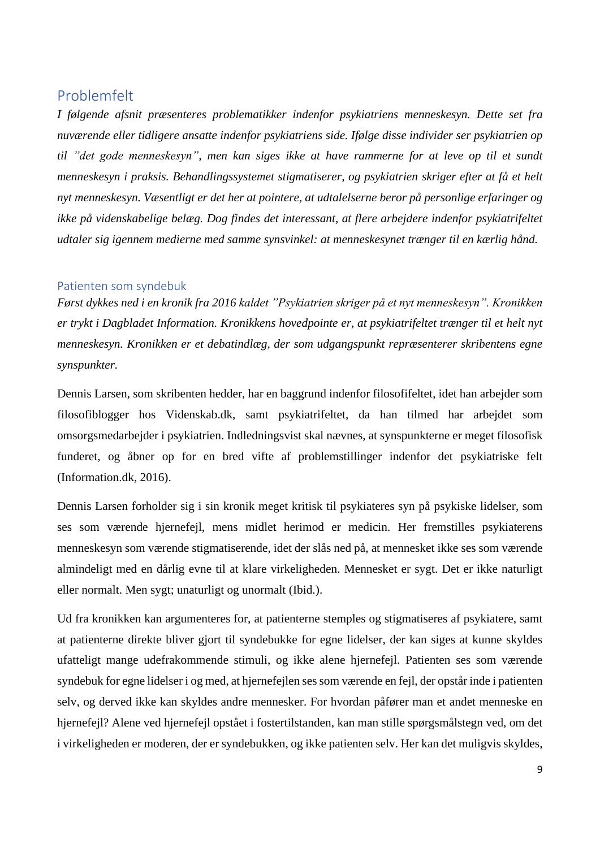### <span id="page-8-0"></span>Problemfelt

*I følgende afsnit præsenteres problematikker indenfor psykiatriens menneskesyn. Dette set fra nuværende eller tidligere ansatte indenfor psykiatriens side. Ifølge disse individer ser psykiatrien op til "det gode menneskesyn", men kan siges ikke at have rammerne for at leve op til et sundt menneskesyn i praksis. Behandlingssystemet stigmatiserer, og psykiatrien skriger efter at få et helt nyt menneskesyn. Væsentligt er det her at pointere, at udtalelserne beror på personlige erfaringer og ikke på videnskabelige belæg. Dog findes det interessant, at flere arbejdere indenfor psykiatrifeltet udtaler sig igennem medierne med samme synsvinkel: at menneskesynet trænger til en kærlig hånd.*

### <span id="page-8-1"></span>Patienten som syndebuk

*Først dykkes ned i en kronik fra 2016 kaldet "Psykiatrien skriger på et nyt menneskesyn". Kronikken er trykt i Dagbladet Information. Kronikkens hovedpointe er, at psykiatrifeltet trænger til et helt nyt menneskesyn. Kronikken er et debatindlæg, der som udgangspunkt repræsenterer skribentens egne synspunkter.* 

Dennis Larsen, som skribenten hedder, har en baggrund indenfor filosofifeltet, idet han arbejder som filosofiblogger hos Videnskab.dk, samt psykiatrifeltet, da han tilmed har arbejdet som omsorgsmedarbejder i psykiatrien. Indledningsvist skal nævnes, at synspunkterne er meget filosofisk funderet, og åbner op for en bred vifte af problemstillinger indenfor det psykiatriske felt (Information.dk, 2016).

Dennis Larsen forholder sig i sin kronik meget kritisk til psykiateres syn på psykiske lidelser, som ses som værende hjernefejl, mens midlet herimod er medicin. Her fremstilles psykiaterens menneskesyn som værende stigmatiserende, idet der slås ned på, at mennesket ikke ses som værende almindeligt med en dårlig evne til at klare virkeligheden. Mennesket er sygt. Det er ikke naturligt eller normalt. Men sygt; unaturligt og unormalt (Ibid.).

Ud fra kronikken kan argumenteres for, at patienterne stemples og stigmatiseres af psykiatere, samt at patienterne direkte bliver gjort til syndebukke for egne lidelser, der kan siges at kunne skyldes ufatteligt mange udefrakommende stimuli, og ikke alene hjernefejl. Patienten ses som værende syndebuk for egne lidelser i og med, at hjernefejlen ses som værende en fejl, der opstår inde i patienten selv, og derved ikke kan skyldes andre mennesker. For hvordan påfører man et andet menneske en hjernefejl? Alene ved hjernefejl opstået i fostertilstanden, kan man stille spørgsmålstegn ved, om det i virkeligheden er moderen, der er syndebukken, og ikke patienten selv. Her kan det muligvis skyldes,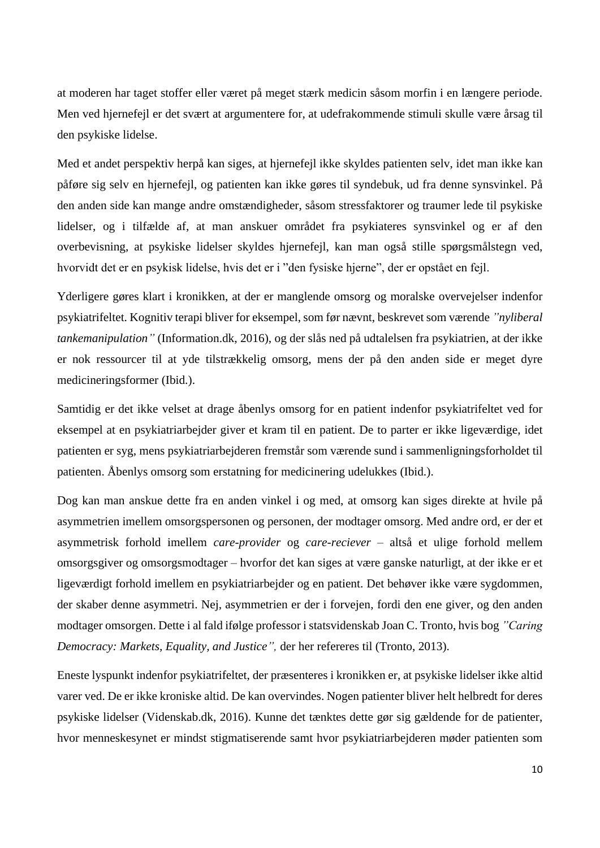at moderen har taget stoffer eller været på meget stærk medicin såsom morfin i en længere periode. Men ved hjernefejl er det svært at argumentere for, at udefrakommende stimuli skulle være årsag til den psykiske lidelse.

Med et andet perspektiv herpå kan siges, at hjernefejl ikke skyldes patienten selv, idet man ikke kan påføre sig selv en hjernefejl, og patienten kan ikke gøres til syndebuk, ud fra denne synsvinkel. På den anden side kan mange andre omstændigheder, såsom stressfaktorer og traumer lede til psykiske lidelser, og i tilfælde af, at man anskuer området fra psykiateres synsvinkel og er af den overbevisning, at psykiske lidelser skyldes hjernefejl, kan man også stille spørgsmålstegn ved, hvorvidt det er en psykisk lidelse, hvis det er i "den fysiske hjerne", der er opstået en fejl.

Yderligere gøres klart i kronikken, at der er manglende omsorg og moralske overvejelser indenfor psykiatrifeltet. Kognitiv terapi bliver for eksempel, som før nævnt, beskrevet som værende *"nyliberal tankemanipulation"* (Information.dk, 2016), og der slås ned på udtalelsen fra psykiatrien, at der ikke er nok ressourcer til at yde tilstrækkelig omsorg, mens der på den anden side er meget dyre medicineringsformer (Ibid.).

Samtidig er det ikke velset at drage åbenlys omsorg for en patient indenfor psykiatrifeltet ved for eksempel at en psykiatriarbejder giver et kram til en patient. De to parter er ikke ligeværdige, idet patienten er syg, mens psykiatriarbejderen fremstår som værende sund i sammenligningsforholdet til patienten. Åbenlys omsorg som erstatning for medicinering udelukkes (Ibid.).

Dog kan man anskue dette fra en anden vinkel i og med, at omsorg kan siges direkte at hvile på asymmetrien imellem omsorgspersonen og personen, der modtager omsorg. Med andre ord, er der et asymmetrisk forhold imellem *care-provider* og *care-reciever* – altså et ulige forhold mellem omsorgsgiver og omsorgsmodtager – hvorfor det kan siges at være ganske naturligt, at der ikke er et ligeværdigt forhold imellem en psykiatriarbejder og en patient. Det behøver ikke være sygdommen, der skaber denne asymmetri. Nej, asymmetrien er der i forvejen, fordi den ene giver, og den anden modtager omsorgen. Dette i al fald ifølge professor i statsvidenskab Joan C. Tronto, hvis bog *"Caring Democracy: Markets, Equality, and Justice",* der her refereres til (Tronto, 2013).

Eneste lyspunkt indenfor psykiatrifeltet, der præsenteres i kronikken er, at psykiske lidelser ikke altid varer ved. De er ikke kroniske altid. De kan overvindes. Nogen patienter bliver helt helbredt for deres psykiske lidelser (Videnskab.dk, 2016). Kunne det tænktes dette gør sig gældende for de patienter, hvor menneskesynet er mindst stigmatiserende samt hvor psykiatriarbejderen møder patienten som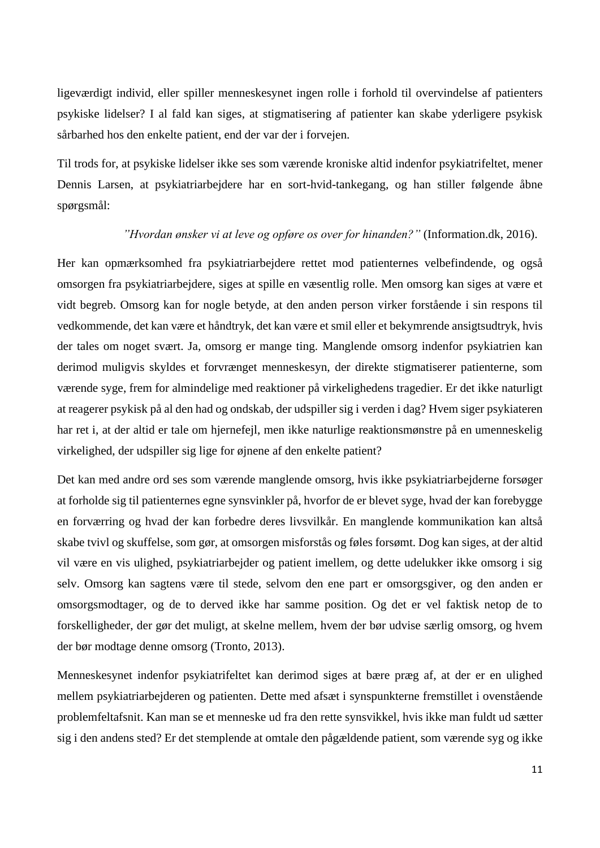ligeværdigt individ, eller spiller menneskesynet ingen rolle i forhold til overvindelse af patienters psykiske lidelser? I al fald kan siges, at stigmatisering af patienter kan skabe yderligere psykisk sårbarhed hos den enkelte patient, end der var der i forvejen.

Til trods for, at psykiske lidelser ikke ses som værende kroniske altid indenfor psykiatrifeltet, mener Dennis Larsen, at psykiatriarbejdere har en sort-hvid-tankegang, og han stiller følgende åbne spørgsmål:

#### *"Hvordan ønsker vi at leve og opføre os over for hinanden?"* (Information.dk, 2016).

Her kan opmærksomhed fra psykiatriarbejdere rettet mod patienternes velbefindende, og også omsorgen fra psykiatriarbejdere, siges at spille en væsentlig rolle. Men omsorg kan siges at være et vidt begreb. Omsorg kan for nogle betyde, at den anden person virker forstående i sin respons til vedkommende, det kan være et håndtryk, det kan være et smil eller et bekymrende ansigtsudtryk, hvis der tales om noget svært. Ja, omsorg er mange ting. Manglende omsorg indenfor psykiatrien kan derimod muligvis skyldes et forvrænget menneskesyn, der direkte stigmatiserer patienterne, som værende syge, frem for almindelige med reaktioner på virkelighedens tragedier. Er det ikke naturligt at reagerer psykisk på al den had og ondskab, der udspiller sig i verden i dag? Hvem siger psykiateren har ret i, at der altid er tale om hjernefejl, men ikke naturlige reaktionsmønstre på en umenneskelig virkelighed, der udspiller sig lige for øjnene af den enkelte patient?

Det kan med andre ord ses som værende manglende omsorg, hvis ikke psykiatriarbejderne forsøger at forholde sig til patienternes egne synsvinkler på, hvorfor de er blevet syge, hvad der kan forebygge en forværring og hvad der kan forbedre deres livsvilkår. En manglende kommunikation kan altså skabe tvivl og skuffelse, som gør, at omsorgen misforstås og føles forsømt. Dog kan siges, at der altid vil være en vis ulighed, psykiatriarbejder og patient imellem, og dette udelukker ikke omsorg i sig selv. Omsorg kan sagtens være til stede, selvom den ene part er omsorgsgiver, og den anden er omsorgsmodtager, og de to derved ikke har samme position. Og det er vel faktisk netop de to forskelligheder, der gør det muligt, at skelne mellem, hvem der bør udvise særlig omsorg, og hvem der bør modtage denne omsorg (Tronto, 2013).

Menneskesynet indenfor psykiatrifeltet kan derimod siges at bære præg af, at der er en ulighed mellem psykiatriarbejderen og patienten. Dette med afsæt i synspunkterne fremstillet i ovenstående problemfeltafsnit. Kan man se et menneske ud fra den rette synsvikkel, hvis ikke man fuldt ud sætter sig i den andens sted? Er det stemplende at omtale den pågældende patient, som værende syg og ikke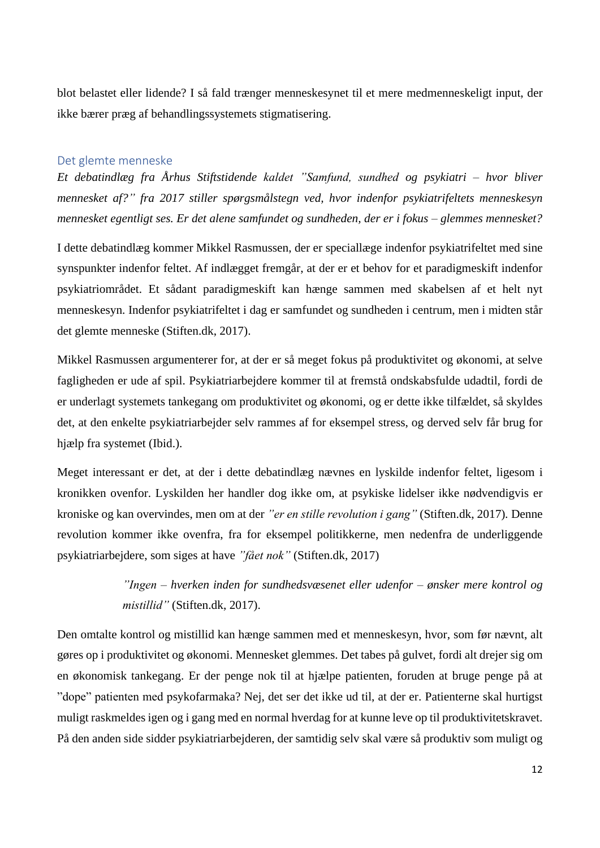blot belastet eller lidende? I så fald trænger menneskesynet til et mere medmenneskeligt input, der ikke bærer præg af behandlingssystemets stigmatisering.

### <span id="page-11-0"></span>Det glemte menneske

*Et debatindlæg fra Århus Stiftstidende kaldet "Samfund, sundhed og psykiatri – hvor bliver mennesket af?" fra 2017 stiller spørgsmålstegn ved, hvor indenfor psykiatrifeltets menneskesyn mennesket egentligt ses. Er det alene samfundet og sundheden, der er i fokus – glemmes mennesket?* 

I dette debatindlæg kommer Mikkel Rasmussen, der er speciallæge indenfor psykiatrifeltet med sine synspunkter indenfor feltet. Af indlægget fremgår, at der er et behov for et paradigmeskift indenfor psykiatriområdet. Et sådant paradigmeskift kan hænge sammen med skabelsen af et helt nyt menneskesyn. Indenfor psykiatrifeltet i dag er samfundet og sundheden i centrum, men i midten står det glemte menneske (Stiften.dk, 2017).

Mikkel Rasmussen argumenterer for, at der er så meget fokus på produktivitet og økonomi, at selve fagligheden er ude af spil. Psykiatriarbejdere kommer til at fremstå ondskabsfulde udadtil, fordi de er underlagt systemets tankegang om produktivitet og økonomi, og er dette ikke tilfældet, så skyldes det, at den enkelte psykiatriarbejder selv rammes af for eksempel stress, og derved selv får brug for hjælp fra systemet (Ibid.).

Meget interessant er det, at der i dette debatindlæg nævnes en lyskilde indenfor feltet, ligesom i kronikken ovenfor. Lyskilden her handler dog ikke om, at psykiske lidelser ikke nødvendigvis er kroniske og kan overvindes, men om at der *"er en stille revolution i gang"* (Stiften.dk, 2017)*.* Denne revolution kommer ikke ovenfra, fra for eksempel politikkerne, men nedenfra de underliggende psykiatriarbejdere, som siges at have *"fået nok"* (Stiften.dk, 2017)

> *"Ingen – hverken inden for sundhedsvæsenet eller udenfor – ønsker mere kontrol og mistillid"* (Stiften.dk, 2017).

Den omtalte kontrol og mistillid kan hænge sammen med et menneskesyn, hvor, som før nævnt, alt gøres op i produktivitet og økonomi. Mennesket glemmes. Det tabes på gulvet, fordi alt drejer sig om en økonomisk tankegang. Er der penge nok til at hjælpe patienten, foruden at bruge penge på at "dope" patienten med psykofarmaka? Nej, det ser det ikke ud til, at der er. Patienterne skal hurtigst muligt raskmeldes igen og i gang med en normal hverdag for at kunne leve op til produktivitetskravet. På den anden side sidder psykiatriarbejderen, der samtidig selv skal være så produktiv som muligt og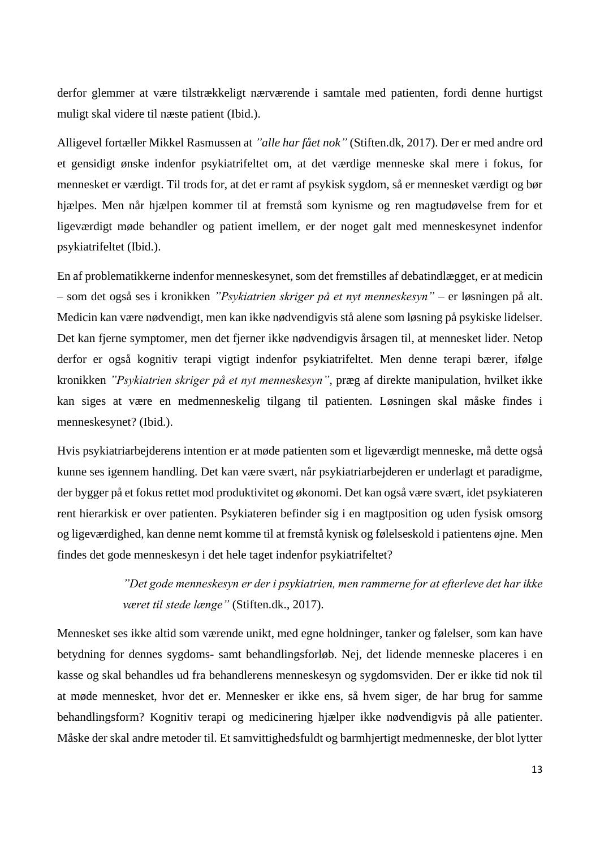derfor glemmer at være tilstrækkeligt nærværende i samtale med patienten, fordi denne hurtigst muligt skal videre til næste patient (Ibid.).

Alligevel fortæller Mikkel Rasmussen at *"alle har fået nok"* (Stiften.dk, 2017). Der er med andre ord et gensidigt ønske indenfor psykiatrifeltet om, at det værdige menneske skal mere i fokus, for mennesket er værdigt. Til trods for, at det er ramt af psykisk sygdom, så er mennesket værdigt og bør hjælpes. Men når hjælpen kommer til at fremstå som kynisme og ren magtudøvelse frem for et ligeværdigt møde behandler og patient imellem, er der noget galt med menneskesynet indenfor psykiatrifeltet (Ibid.).

En af problematikkerne indenfor menneskesynet, som det fremstilles af debatindlægget, er at medicin – som det også ses i kronikken *"Psykiatrien skriger på et nyt menneskesyn"* – er løsningen på alt. Medicin kan være nødvendigt, men kan ikke nødvendigvis stå alene som løsning på psykiske lidelser. Det kan fjerne symptomer, men det fjerner ikke nødvendigvis årsagen til, at mennesket lider. Netop derfor er også kognitiv terapi vigtigt indenfor psykiatrifeltet. Men denne terapi bærer, ifølge kronikken *"Psykiatrien skriger på et nyt menneskesyn"*, præg af direkte manipulation, hvilket ikke kan siges at være en medmenneskelig tilgang til patienten. Løsningen skal måske findes i menneskesynet? (Ibid.).

Hvis psykiatriarbejderens intention er at møde patienten som et ligeværdigt menneske, må dette også kunne ses igennem handling. Det kan være svært, når psykiatriarbejderen er underlagt et paradigme, der bygger på et fokus rettet mod produktivitet og økonomi. Det kan også være svært, idet psykiateren rent hierarkisk er over patienten. Psykiateren befinder sig i en magtposition og uden fysisk omsorg og ligeværdighed, kan denne nemt komme til at fremstå kynisk og følelseskold i patientens øjne. Men findes det gode menneskesyn i det hele taget indenfor psykiatrifeltet?

> *"Det gode menneskesyn er der i psykiatrien, men rammerne for at efterleve det har ikke været til stede længe"* (Stiften.dk., 2017).

Mennesket ses ikke altid som værende unikt, med egne holdninger, tanker og følelser, som kan have betydning for dennes sygdoms- samt behandlingsforløb. Nej, det lidende menneske placeres i en kasse og skal behandles ud fra behandlerens menneskesyn og sygdomsviden. Der er ikke tid nok til at møde mennesket, hvor det er. Mennesker er ikke ens, så hvem siger, de har brug for samme behandlingsform? Kognitiv terapi og medicinering hjælper ikke nødvendigvis på alle patienter. Måske der skal andre metoder til. Et samvittighedsfuldt og barmhjertigt medmenneske, der blot lytter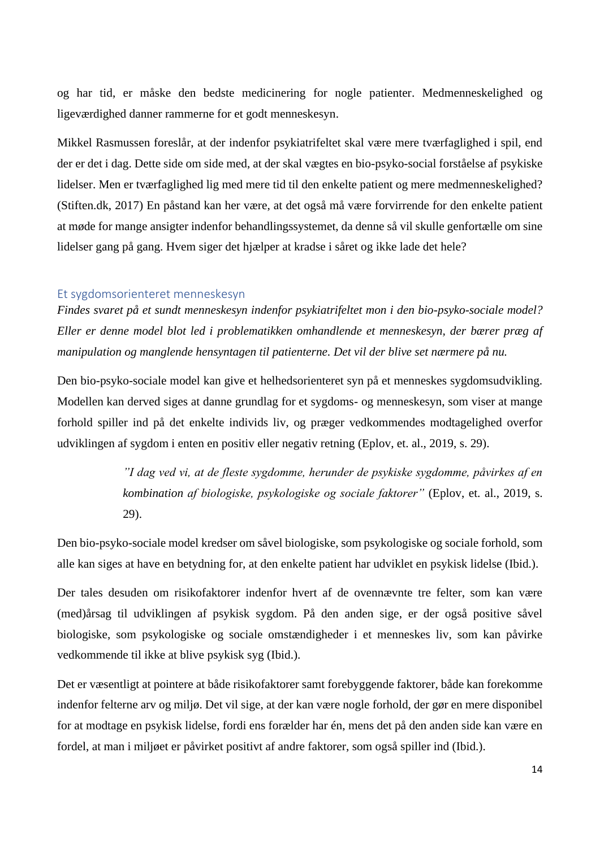og har tid, er måske den bedste medicinering for nogle patienter. Medmenneskelighed og ligeværdighed danner rammerne for et godt menneskesyn.

Mikkel Rasmussen foreslår, at der indenfor psykiatrifeltet skal være mere tværfaglighed i spil, end der er det i dag. Dette side om side med, at der skal vægtes en bio-psyko-social forståelse af psykiske lidelser. Men er tværfaglighed lig med mere tid til den enkelte patient og mere medmenneskelighed? (Stiften.dk, 2017) En påstand kan her være, at det også må være forvirrende for den enkelte patient at møde for mange ansigter indenfor behandlingssystemet, da denne så vil skulle genfortælle om sine lidelser gang på gang. Hvem siger det hjælper at kradse i såret og ikke lade det hele?

#### <span id="page-13-0"></span>Et sygdomsorienteret menneskesyn

*Findes svaret på et sundt menneskesyn indenfor psykiatrifeltet mon i den bio-psyko-sociale model? Eller er denne model blot led i problematikken omhandlende et menneskesyn, der bærer præg af manipulation og manglende hensyntagen til patienterne. Det vil der blive set nærmere på nu.*

Den bio-psyko-sociale model kan give et helhedsorienteret syn på et menneskes sygdomsudvikling. Modellen kan derved siges at danne grundlag for et sygdoms- og menneskesyn, som viser at mange forhold spiller ind på det enkelte individs liv, og præger vedkommendes modtagelighed overfor udviklingen af sygdom i enten en positiv eller negativ retning (Eplov, et. al., 2019, s. 29).

> *"I dag ved vi, at de fleste sygdomme, herunder de psykiske sygdomme, påvirkes af en kombination af biologiske, psykologiske og sociale faktorer"* (Eplov, et. al., 2019, s. 29).

Den bio-psyko-sociale model kredser om såvel biologiske, som psykologiske og sociale forhold, som alle kan siges at have en betydning for, at den enkelte patient har udviklet en psykisk lidelse (Ibid.).

Der tales desuden om risikofaktorer indenfor hvert af de ovennævnte tre felter, som kan være (med)årsag til udviklingen af psykisk sygdom. På den anden sige, er der også positive såvel biologiske, som psykologiske og sociale omstændigheder i et menneskes liv, som kan påvirke vedkommende til ikke at blive psykisk syg (Ibid.).

Det er væsentligt at pointere at både risikofaktorer samt forebyggende faktorer, både kan forekomme indenfor felterne arv og miljø. Det vil sige, at der kan være nogle forhold, der gør en mere disponibel for at modtage en psykisk lidelse, fordi ens forælder har én, mens det på den anden side kan være en fordel, at man i miljøet er påvirket positivt af andre faktorer, som også spiller ind (Ibid.).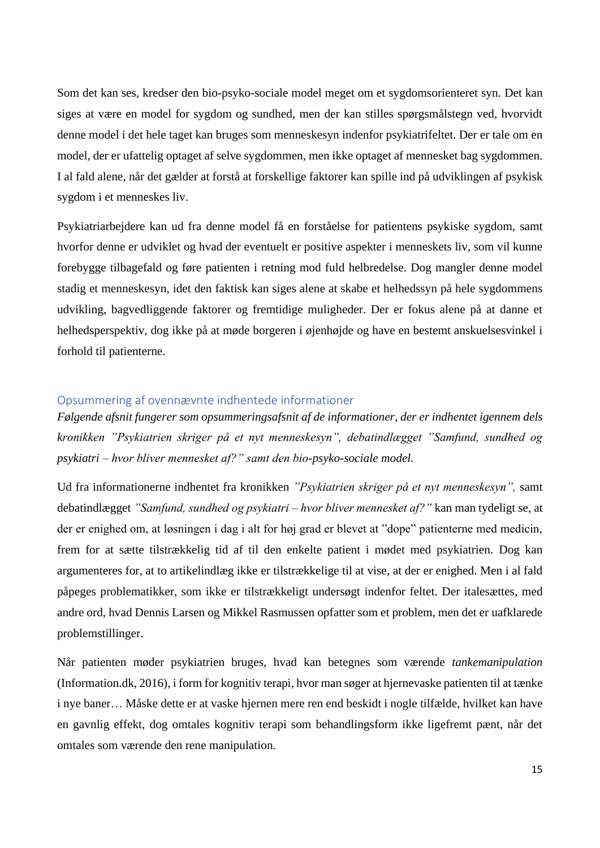Som det kan ses, kredser den bio-psyko-sociale model meget om et sygdomsorienteret syn. Det kan siges at være en model for sygdom og sundhed, men der kan stilles spørgsmålstegn ved, hvorvidt denne model i det hele taget kan bruges som menneskesyn indenfor psykiatrifeltet. Der er tale om en model, der er ufattelig optaget af selve sygdommen, men ikke optaget af mennesket bag sygdommen. I al fald alene, når det gælder at forstå at forskellige faktorer kan spille ind på udviklingen af psykisk sygdom i et menneskes liv.

Psykiatriarbejdere kan ud fra denne model få en forståelse for patientens psykiske sygdom, samt hvorfor denne er udviklet og hvad der eventuelt er positive aspekter i menneskets liv, som vil kunne forebygge tilbagefald og føre patienten i retning mod fuld helbredelse. Dog mangler denne model stadig et menneskesyn, idet den faktisk kan siges alene at skabe et helhedssyn på hele sygdommens udvikling, bagvedliggende faktorer og fremtidige muligheder. Der er fokus alene på at danne et helhedsperspektiv, dog ikke på at møde borgeren i øjenhøjde og have en bestemt anskuelsesvinkel i forhold til patienterne.

### <span id="page-14-0"></span>Opsummering af ovennævnte indhentede informationer

*Følgende afsnit fungerer som opsummeringsafsnit af de informationer, der er indhentet igennem dels kronikken "Psykiatrien skriger på et nyt menneskesyn", debatindlægget "Samfund, sundhed og psykiatri – hvor bliver mennesket af?" samt den bio-psyko-sociale model.*

Ud fra informationerne indhentet fra kronikken *"Psykiatrien skriger på et nyt menneskesyn",* samt debatindlægget *"Samfund, sundhed og psykiatri – hvor bliver mennesket af?"* kan man tydeligt se, at der er enighed om, at løsningen i dag i alt for høj grad er blevet at "dope" patienterne med medicin, frem for at sætte tilstrækkelig tid af til den enkelte patient i mødet med psykiatrien. Dog kan argumenteres for, at to artikelindlæg ikke er tilstrækkelige til at vise, at der er enighed. Men i al fald påpeges problematikker, som ikke er tilstrækkeligt undersøgt indenfor feltet. Der italesættes, med andre ord, hvad Dennis Larsen og Mikkel Rasmussen opfatter som et problem, men det er uafklarede problemstillinger.

Når patienten møder psykiatrien bruges, hvad kan betegnes som værende *tankemanipulation* (Information.dk, 2016), i form for kognitiv terapi, hvor man søger at hjernevaske patienten til at tænke i nye baner… Måske dette er at vaske hjernen mere ren end beskidt i nogle tilfælde, hvilket kan have en gavnlig effekt, dog omtales kognitiv terapi som behandlingsform ikke ligefremt pænt, når det omtales som værende den rene manipulation.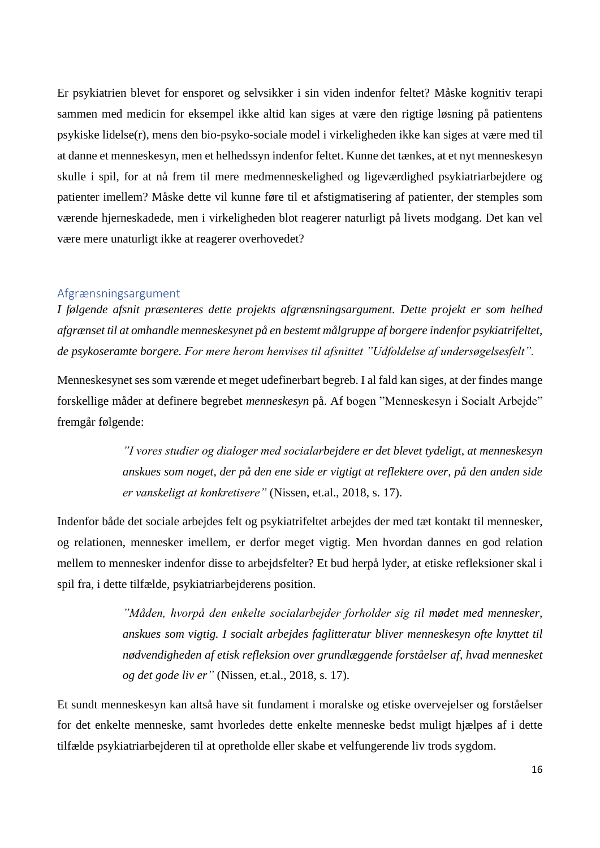Er psykiatrien blevet for ensporet og selvsikker i sin viden indenfor feltet? Måske kognitiv terapi sammen med medicin for eksempel ikke altid kan siges at være den rigtige løsning på patientens psykiske lidelse(r), mens den bio-psyko-sociale model i virkeligheden ikke kan siges at være med til at danne et menneskesyn, men et helhedssyn indenfor feltet. Kunne det tænkes, at et nyt menneskesyn skulle i spil, for at nå frem til mere medmenneskelighed og ligeværdighed psykiatriarbejdere og patienter imellem? Måske dette vil kunne føre til et afstigmatisering af patienter, der stemples som værende hjerneskadede, men i virkeligheden blot reagerer naturligt på livets modgang. Det kan vel være mere unaturligt ikke at reagerer overhovedet?

#### <span id="page-15-0"></span>Afgrænsningsargument

*I følgende afsnit præsenteres dette projekts afgrænsningsargument. Dette projekt er som helhed afgrænset til at omhandle menneskesynet på en bestemt målgruppe af borgere indenfor psykiatrifeltet, de psykoseramte borgere. For mere herom henvises til afsnittet "Udfoldelse af undersøgelsesfelt".*

Menneskesynet ses som værende et meget udefinerbart begreb. I al fald kan siges, at der findes mange forskellige måder at definere begrebet *menneskesyn* på. Af bogen "Menneskesyn i Socialt Arbejde" fremgår følgende:

> *"I vores studier og dialoger med socialarbejdere er det blevet tydeligt, at menneskesyn anskues som noget, der på den ene side er vigtigt at reflektere over, på den anden side er vanskeligt at konkretisere"* (Nissen, et.al., 2018, s. 17).

Indenfor både det sociale arbejdes felt og psykiatrifeltet arbejdes der med tæt kontakt til mennesker, og relationen, mennesker imellem, er derfor meget vigtig. Men hvordan dannes en god relation mellem to mennesker indenfor disse to arbejdsfelter? Et bud herpå lyder, at etiske refleksioner skal i spil fra, i dette tilfælde, psykiatriarbejderens position.

> *"Måden, hvorpå den enkelte socialarbejder forholder sig til mødet med mennesker, anskues som vigtig. I socialt arbejdes faglitteratur bliver menneskesyn ofte knyttet til nødvendigheden af etisk refleksion over grundlæggende forståelser af, hvad mennesket og det gode liv er"* (Nissen, et.al., 2018, s. 17).

Et sundt menneskesyn kan altså have sit fundament i moralske og etiske overvejelser og forståelser for det enkelte menneske, samt hvorledes dette enkelte menneske bedst muligt hjælpes af i dette tilfælde psykiatriarbejderen til at opretholde eller skabe et velfungerende liv trods sygdom.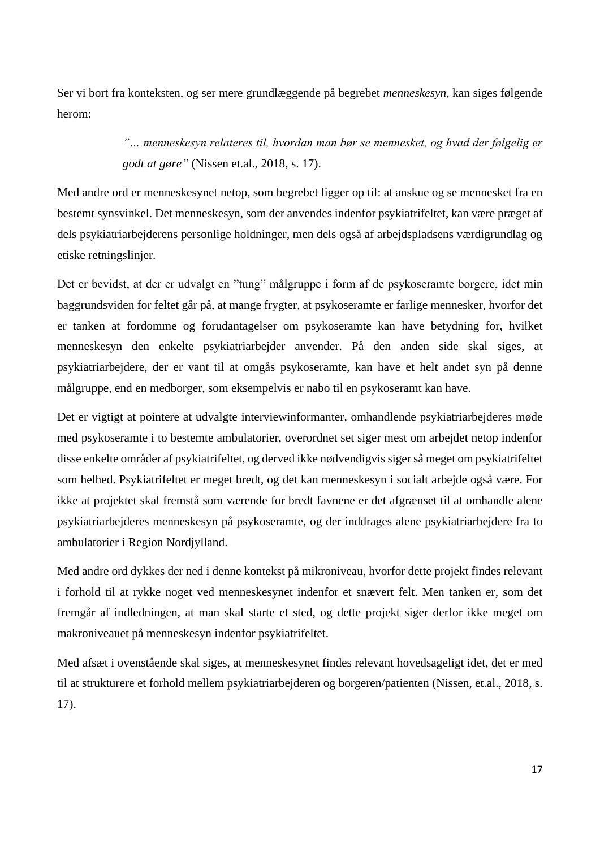Ser vi bort fra konteksten, og ser mere grundlæggende på begrebet *menneskesyn*, kan siges følgende herom:

> *"… menneskesyn relateres til, hvordan man bør se mennesket, og hvad der følgelig er godt at gøre"* (Nissen et.al., 2018, s. 17).

Med andre ord er menneskesynet netop, som begrebet ligger op til: at anskue og se mennesket fra en bestemt synsvinkel. Det menneskesyn, som der anvendes indenfor psykiatrifeltet, kan være præget af dels psykiatriarbejderens personlige holdninger, men dels også af arbejdspladsens værdigrundlag og etiske retningslinjer.

Det er bevidst, at der er udvalgt en "tung" målgruppe i form af de psykoseramte borgere, idet min baggrundsviden for feltet går på, at mange frygter, at psykoseramte er farlige mennesker, hvorfor det er tanken at fordomme og forudantagelser om psykoseramte kan have betydning for, hvilket menneskesyn den enkelte psykiatriarbejder anvender. På den anden side skal siges, at psykiatriarbejdere, der er vant til at omgås psykoseramte, kan have et helt andet syn på denne målgruppe, end en medborger, som eksempelvis er nabo til en psykoseramt kan have.

Det er vigtigt at pointere at udvalgte interviewinformanter, omhandlende psykiatriarbejderes møde med psykoseramte i to bestemte ambulatorier, overordnet set siger mest om arbejdet netop indenfor disse enkelte områder af psykiatrifeltet, og derved ikke nødvendigvis siger så meget om psykiatrifeltet som helhed. Psykiatrifeltet er meget bredt, og det kan menneskesyn i socialt arbejde også være. For ikke at projektet skal fremstå som værende for bredt favnene er det afgrænset til at omhandle alene psykiatriarbejderes menneskesyn på psykoseramte, og der inddrages alene psykiatriarbejdere fra to ambulatorier i Region Nordjylland.

Med andre ord dykkes der ned i denne kontekst på mikroniveau, hvorfor dette projekt findes relevant i forhold til at rykke noget ved menneskesynet indenfor et snævert felt. Men tanken er, som det fremgår af indledningen, at man skal starte et sted, og dette projekt siger derfor ikke meget om makroniveauet på menneskesyn indenfor psykiatrifeltet.

Med afsæt i ovenstående skal siges, at menneskesynet findes relevant hovedsageligt idet, det er med til at strukturere et forhold mellem psykiatriarbejderen og borgeren/patienten (Nissen, et.al., 2018, s. 17).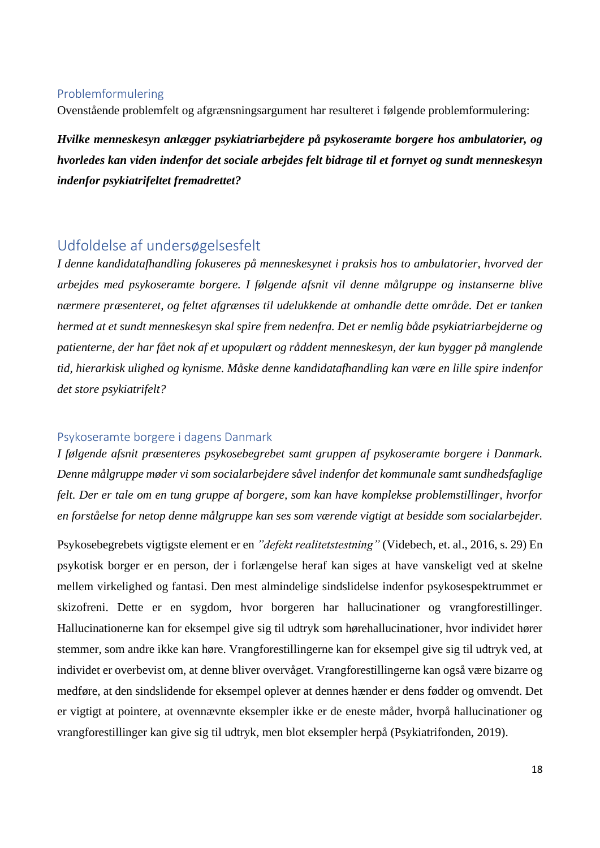### <span id="page-17-0"></span>Problemformulering

Ovenstående problemfelt og afgrænsningsargument har resulteret i følgende problemformulering:

*Hvilke menneskesyn anlægger psykiatriarbejdere på psykoseramte borgere hos ambulatorier, og hvorledes kan viden indenfor det sociale arbejdes felt bidrage til et fornyet og sundt menneskesyn indenfor psykiatrifeltet fremadrettet?*

### <span id="page-17-1"></span>Udfoldelse af undersøgelsesfelt

*I denne kandidatafhandling fokuseres på menneskesynet i praksis hos to ambulatorier, hvorved der arbejdes med psykoseramte borgere. I følgende afsnit vil denne målgruppe og instanserne blive nærmere præsenteret, og feltet afgrænses til udelukkende at omhandle dette område. Det er tanken hermed at et sundt menneskesyn skal spire frem nedenfra. Det er nemlig både psykiatriarbejderne og patienterne, der har fået nok af et upopulært og råddent menneskesyn, der kun bygger på manglende tid, hierarkisk ulighed og kynisme. Måske denne kandidatafhandling kan være en lille spire indenfor det store psykiatrifelt?* 

### <span id="page-17-2"></span>Psykoseramte borgere i dagens Danmark

*I følgende afsnit præsenteres psykosebegrebet samt gruppen af psykoseramte borgere i Danmark. Denne målgruppe møder vi som socialarbejdere såvel indenfor det kommunale samt sundhedsfaglige felt. Der er tale om en tung gruppe af borgere, som kan have komplekse problemstillinger, hvorfor en forståelse for netop denne målgruppe kan ses som værende vigtigt at besidde som socialarbejder.* 

Psykosebegrebets vigtigste element er en *"defekt realitetstestning"* (Videbech, et. al., 2016, s. 29) En psykotisk borger er en person, der i forlængelse heraf kan siges at have vanskeligt ved at skelne mellem virkelighed og fantasi. Den mest almindelige sindslidelse indenfor psykosespektrummet er skizofreni. Dette er en sygdom, hvor borgeren har hallucinationer og vrangforestillinger. Hallucinationerne kan for eksempel give sig til udtryk som hørehallucinationer, hvor individet hører stemmer, som andre ikke kan høre. Vrangforestillingerne kan for eksempel give sig til udtryk ved, at individet er overbevist om, at denne bliver overvåget. Vrangforestillingerne kan også være bizarre og medføre, at den sindslidende for eksempel oplever at dennes hænder er dens fødder og omvendt. Det er vigtigt at pointere, at ovennævnte eksempler ikke er de eneste måder, hvorpå hallucinationer og vrangforestillinger kan give sig til udtryk, men blot eksempler herpå (Psykiatrifonden, 2019).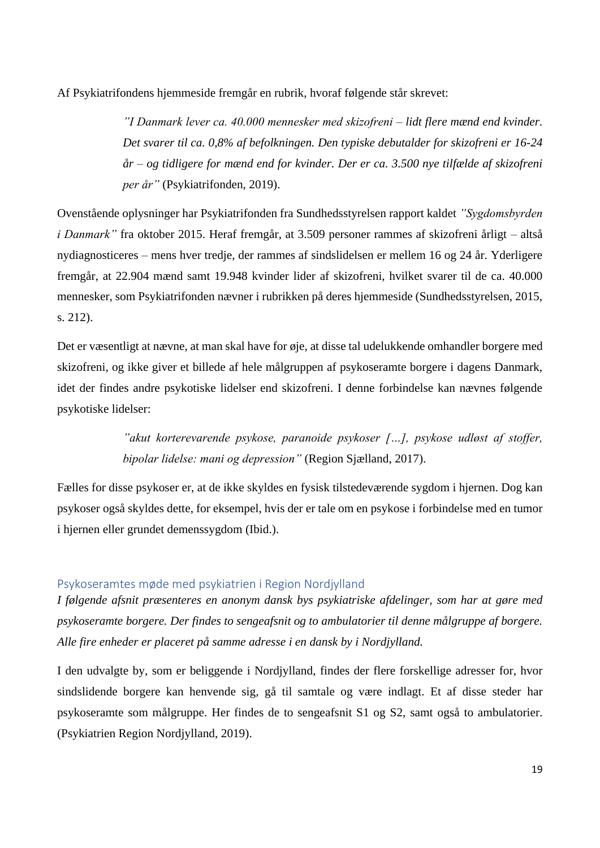Af Psykiatrifondens hjemmeside fremgår en rubrik, hvoraf følgende står skrevet:

*"I Danmark lever ca. 40.000 mennesker med skizofreni – lidt flere mænd end kvinder. Det svarer til ca. 0,8% af befolkningen. Den typiske debutalder for skizofreni er 16-24 år – og tidligere for mænd end for kvinder. Der er ca. 3.500 nye tilfælde af skizofreni per år"* (Psykiatrifonden, 2019).

Ovenstående oplysninger har Psykiatrifonden fra Sundhedsstyrelsen rapport kaldet *"Sygdomsbyrden i Danmark"* fra oktober 2015. Heraf fremgår, at 3.509 personer rammes af skizofreni årligt – altså nydiagnosticeres – mens hver tredje, der rammes af sindslidelsen er mellem 16 og 24 år. Yderligere fremgår, at 22.904 mænd samt 19.948 kvinder lider af skizofreni, hvilket svarer til de ca. 40.000 mennesker, som Psykiatrifonden nævner i rubrikken på deres hjemmeside (Sundhedsstyrelsen, 2015, s. 212).

Det er væsentligt at nævne, at man skal have for øje, at disse tal udelukkende omhandler borgere med skizofreni, og ikke giver et billede af hele målgruppen af psykoseramte borgere i dagens Danmark, idet der findes andre psykotiske lidelser end skizofreni. I denne forbindelse kan nævnes følgende psykotiske lidelser:

> *"akut korterevarende psykose, paranoide psykoser […], psykose udløst af stoffer, bipolar lidelse: mani og depression"* (Region Sjælland, 2017).

Fælles for disse psykoser er, at de ikke skyldes en fysisk tilstedeværende sygdom i hjernen. Dog kan psykoser også skyldes dette, for eksempel, hvis der er tale om en psykose i forbindelse med en tumor i hjernen eller grundet demenssygdom (Ibid.).

### <span id="page-18-0"></span>Psykoseramtes møde med psykiatrien i Region Nordjylland

*I følgende afsnit præsenteres en anonym dansk bys psykiatriske afdelinger, som har at gøre med psykoseramte borgere. Der findes to sengeafsnit og to ambulatorier til denne målgruppe af borgere. Alle fire enheder er placeret på samme adresse i en dansk by i Nordjylland.*

I den udvalgte by, som er beliggende i Nordjylland, findes der flere forskellige adresser for, hvor sindslidende borgere kan henvende sig, gå til samtale og være indlagt. Et af disse steder har psykoseramte som målgruppe. Her findes de to sengeafsnit S1 og S2, samt også to ambulatorier. (Psykiatrien Region Nordjylland, 2019).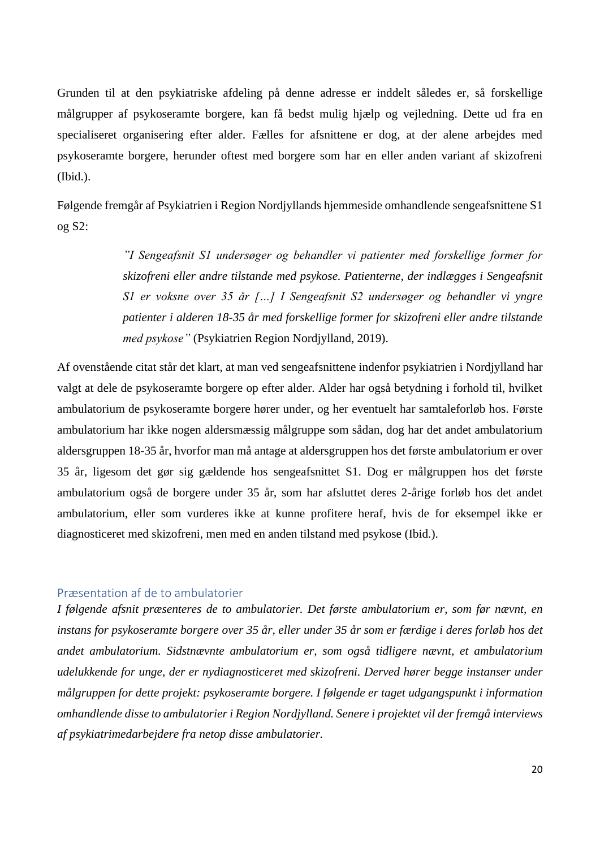Grunden til at den psykiatriske afdeling på denne adresse er inddelt således er, så forskellige målgrupper af psykoseramte borgere, kan få bedst mulig hjælp og vejledning. Dette ud fra en specialiseret organisering efter alder. Fælles for afsnittene er dog, at der alene arbejdes med psykoseramte borgere, herunder oftest med borgere som har en eller anden variant af skizofreni (Ibid.).

Følgende fremgår af Psykiatrien i Region Nordjyllands hjemmeside omhandlende sengeafsnittene S1 og S2:

> *"I Sengeafsnit S1 undersøger og behandler vi patienter med forskellige former for skizofreni eller andre tilstande med psykose. Patienterne, der indlægges i Sengeafsnit S1 er voksne over 35 år […] I Sengeafsnit S2 undersøger og behandler vi yngre patienter i alderen 18-35 år med forskellige former for skizofreni eller andre tilstande med psykose"* (Psykiatrien Region Nordjylland, 2019).

Af ovenstående citat står det klart, at man ved sengeafsnittene indenfor psykiatrien i Nordjylland har valgt at dele de psykoseramte borgere op efter alder. Alder har også betydning i forhold til, hvilket ambulatorium de psykoseramte borgere hører under, og her eventuelt har samtaleforløb hos. Første ambulatorium har ikke nogen aldersmæssig målgruppe som sådan, dog har det andet ambulatorium aldersgruppen 18-35 år, hvorfor man må antage at aldersgruppen hos det første ambulatorium er over 35 år, ligesom det gør sig gældende hos sengeafsnittet S1. Dog er målgruppen hos det første ambulatorium også de borgere under 35 år, som har afsluttet deres 2-årige forløb hos det andet ambulatorium, eller som vurderes ikke at kunne profitere heraf, hvis de for eksempel ikke er diagnosticeret med skizofreni, men med en anden tilstand med psykose (Ibid.).

### <span id="page-19-0"></span>Præsentation af de to ambulatorier

*I følgende afsnit præsenteres de to ambulatorier. Det første ambulatorium er, som før nævnt, en instans for psykoseramte borgere over 35 år, eller under 35 år som er færdige i deres forløb hos det andet ambulatorium. Sidstnævnte ambulatorium er, som også tidligere nævnt, et ambulatorium udelukkende for unge, der er nydiagnosticeret med skizofreni. Derved hører begge instanser under målgruppen for dette projekt: psykoseramte borgere. I følgende er taget udgangspunkt i information omhandlende disse to ambulatorier i Region Nordjylland. Senere i projektet vil der fremgå interviews af psykiatrimedarbejdere fra netop disse ambulatorier.*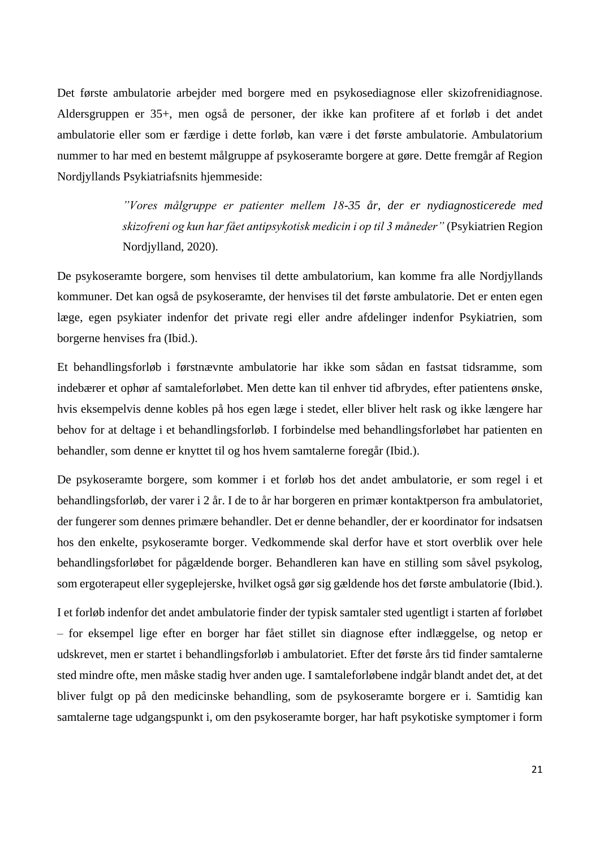Det første ambulatorie arbejder med borgere med en psykosediagnose eller skizofrenidiagnose. Aldersgruppen er 35+, men også de personer, der ikke kan profitere af et forløb i det andet ambulatorie eller som er færdige i dette forløb, kan være i det første ambulatorie. Ambulatorium nummer to har med en bestemt målgruppe af psykoseramte borgere at gøre. Dette fremgår af Region Nordjyllands Psykiatriafsnits hjemmeside:

> *"Vores målgruppe er patienter mellem 18-35 år, der er nydiagnosticerede med skizofreni og kun har fået antipsykotisk medicin i op til 3 måneder"* (Psykiatrien Region Nordjylland, 2020).

De psykoseramte borgere, som henvises til dette ambulatorium, kan komme fra alle Nordjyllands kommuner. Det kan også de psykoseramte, der henvises til det første ambulatorie. Det er enten egen læge, egen psykiater indenfor det private regi eller andre afdelinger indenfor Psykiatrien, som borgerne henvises fra (Ibid.).

Et behandlingsforløb i førstnævnte ambulatorie har ikke som sådan en fastsat tidsramme, som indebærer et ophør af samtaleforløbet. Men dette kan til enhver tid afbrydes, efter patientens ønske, hvis eksempelvis denne kobles på hos egen læge i stedet, eller bliver helt rask og ikke længere har behov for at deltage i et behandlingsforløb. I forbindelse med behandlingsforløbet har patienten en behandler, som denne er knyttet til og hos hvem samtalerne foregår (Ibid.).

De psykoseramte borgere, som kommer i et forløb hos det andet ambulatorie, er som regel i et behandlingsforløb, der varer i 2 år. I de to år har borgeren en primær kontaktperson fra ambulatoriet, der fungerer som dennes primære behandler. Det er denne behandler, der er koordinator for indsatsen hos den enkelte, psykoseramte borger. Vedkommende skal derfor have et stort overblik over hele behandlingsforløbet for pågældende borger. Behandleren kan have en stilling som såvel psykolog, som ergoterapeut eller sygeplejerske, hvilket også gør sig gældende hos det første ambulatorie (Ibid.).

I et forløb indenfor det andet ambulatorie finder der typisk samtaler sted ugentligt i starten af forløbet – for eksempel lige efter en borger har fået stillet sin diagnose efter indlæggelse, og netop er udskrevet, men er startet i behandlingsforløb i ambulatoriet. Efter det første års tid finder samtalerne sted mindre ofte, men måske stadig hver anden uge. I samtaleforløbene indgår blandt andet det, at det bliver fulgt op på den medicinske behandling, som de psykoseramte borgere er i. Samtidig kan samtalerne tage udgangspunkt i, om den psykoseramte borger, har haft psykotiske symptomer i form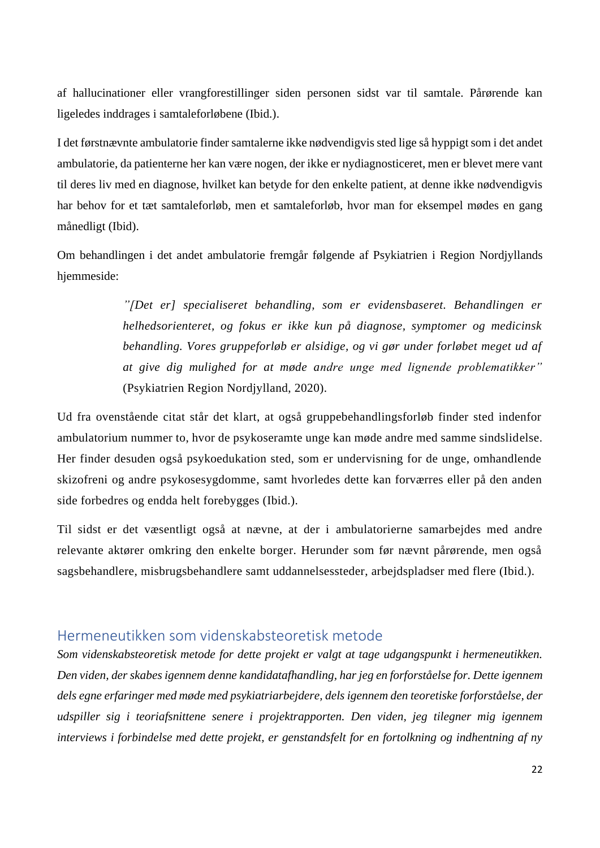af hallucinationer eller vrangforestillinger siden personen sidst var til samtale. Pårørende kan ligeledes inddrages i samtaleforløbene (Ibid.).

I det førstnævnte ambulatorie finder samtalerne ikke nødvendigvis sted lige så hyppigt som i det andet ambulatorie, da patienterne her kan være nogen, der ikke er nydiagnosticeret, men er blevet mere vant til deres liv med en diagnose, hvilket kan betyde for den enkelte patient, at denne ikke nødvendigvis har behov for et tæt samtaleforløb, men et samtaleforløb, hvor man for eksempel mødes en gang månedligt (Ibid).

Om behandlingen i det andet ambulatorie fremgår følgende af Psykiatrien i Region Nordjyllands hjemmeside:

> *"[Det er] specialiseret behandling, som er evidensbaseret. Behandlingen er helhedsorienteret, og fokus er ikke kun på diagnose, symptomer og medicinsk behandling. Vores gruppeforløb er alsidige, og vi gør under forløbet meget ud af at give dig mulighed for at møde andre unge med lignende problematikker"*  (Psykiatrien Region Nordjylland, 2020).

Ud fra ovenstående citat står det klart, at også gruppebehandlingsforløb finder sted indenfor ambulatorium nummer to, hvor de psykoseramte unge kan møde andre med samme sindslidelse. Her finder desuden også psykoedukation sted, som er undervisning for de unge, omhandlende skizofreni og andre psykosesygdomme, samt hvorledes dette kan forværres eller på den anden side forbedres og endda helt forebygges (Ibid.).

Til sidst er det væsentligt også at nævne, at der i ambulatorierne samarbejdes med andre relevante aktører omkring den enkelte borger. Herunder som før nævnt pårørende, men også sagsbehandlere, misbrugsbehandlere samt uddannelsessteder, arbejdspladser med flere (Ibid.).

### <span id="page-21-0"></span>Hermeneutikken som videnskabsteoretisk metode

*Som videnskabsteoretisk metode for dette projekt er valgt at tage udgangspunkt i hermeneutikken. Den viden, der skabes igennem denne kandidatafhandling, har jeg en forforståelse for. Dette igennem dels egne erfaringer med møde med psykiatriarbejdere, dels igennem den teoretiske forforståelse, der udspiller sig i teoriafsnittene senere i projektrapporten. Den viden, jeg tilegner mig igennem interviews i forbindelse med dette projekt, er genstandsfelt for en fortolkning og indhentning af ny*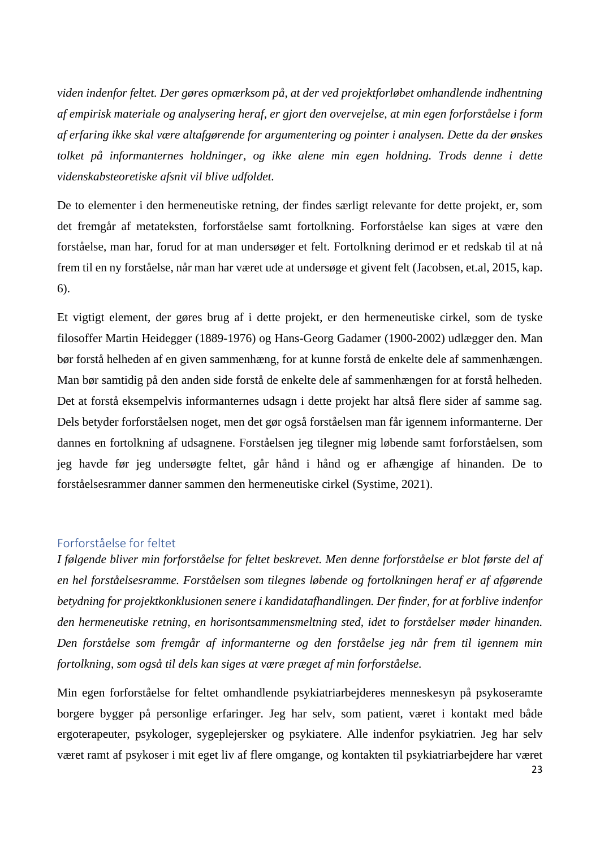*viden indenfor feltet. Der gøres opmærksom på, at der ved projektforløbet omhandlende indhentning af empirisk materiale og analysering heraf, er gjort den overvejelse, at min egen forforståelse i form af erfaring ikke skal være altafgørende for argumentering og pointer i analysen. Dette da der ønskes tolket på informanternes holdninger, og ikke alene min egen holdning. Trods denne i dette videnskabsteoretiske afsnit vil blive udfoldet.*

De to elementer i den hermeneutiske retning, der findes særligt relevante for dette projekt, er, som det fremgår af metateksten, forforståelse samt fortolkning. Forforståelse kan siges at være den forståelse, man har, forud for at man undersøger et felt. Fortolkning derimod er et redskab til at nå frem til en ny forståelse, når man har været ude at undersøge et givent felt (Jacobsen, et.al, 2015, kap. 6).

Et vigtigt element, der gøres brug af i dette projekt, er den hermeneutiske cirkel, som de tyske filosoffer Martin Heidegger (1889-1976) og Hans-Georg Gadamer (1900-2002) udlægger den. Man bør forstå helheden af en given sammenhæng, for at kunne forstå de enkelte dele af sammenhængen. Man bør samtidig på den anden side forstå de enkelte dele af sammenhængen for at forstå helheden. Det at forstå eksempelvis informanternes udsagn i dette projekt har altså flere sider af samme sag. Dels betyder forforståelsen noget, men det gør også forståelsen man får igennem informanterne. Der dannes en fortolkning af udsagnene. Forståelsen jeg tilegner mig løbende samt forforståelsen, som jeg havde før jeg undersøgte feltet, går hånd i hånd og er afhængige af hinanden. De to forståelsesrammer danner sammen den hermeneutiske cirkel (Systime, 2021).

#### <span id="page-22-0"></span>Forforståelse for feltet

*I følgende bliver min forforståelse for feltet beskrevet. Men denne forforståelse er blot første del af en hel forståelsesramme. Forståelsen som tilegnes løbende og fortolkningen heraf er af afgørende betydning for projektkonklusionen senere i kandidatafhandlingen. Der finder, for at forblive indenfor den hermeneutiske retning, en horisontsammensmeltning sted, idet to forståelser møder hinanden. Den forståelse som fremgår af informanterne og den forståelse jeg når frem til igennem min fortolkning, som også til dels kan siges at være præget af min forforståelse.* 

Min egen forforståelse for feltet omhandlende psykiatriarbejderes menneskesyn på psykoseramte borgere bygger på personlige erfaringer. Jeg har selv, som patient, været i kontakt med både ergoterapeuter, psykologer, sygeplejersker og psykiatere. Alle indenfor psykiatrien. Jeg har selv været ramt af psykoser i mit eget liv af flere omgange, og kontakten til psykiatriarbejdere har været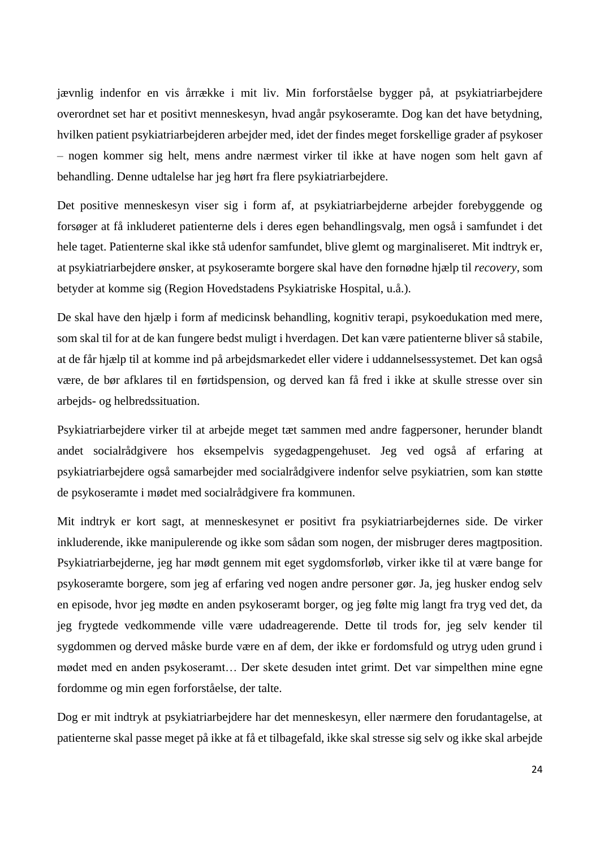jævnlig indenfor en vis årrække i mit liv. Min forforståelse bygger på, at psykiatriarbejdere overordnet set har et positivt menneskesyn, hvad angår psykoseramte. Dog kan det have betydning, hvilken patient psykiatriarbejderen arbejder med, idet der findes meget forskellige grader af psykoser – nogen kommer sig helt, mens andre nærmest virker til ikke at have nogen som helt gavn af behandling. Denne udtalelse har jeg hørt fra flere psykiatriarbejdere.

Det positive menneskesyn viser sig i form af, at psykiatriarbejderne arbejder forebyggende og forsøger at få inkluderet patienterne dels i deres egen behandlingsvalg, men også i samfundet i det hele taget. Patienterne skal ikke stå udenfor samfundet, blive glemt og marginaliseret. Mit indtryk er, at psykiatriarbejdere ønsker, at psykoseramte borgere skal have den fornødne hjælp til *recovery*, som betyder at komme sig (Region Hovedstadens Psykiatriske Hospital, u.å.).

De skal have den hjælp i form af medicinsk behandling, kognitiv terapi, psykoedukation med mere, som skal til for at de kan fungere bedst muligt i hverdagen. Det kan være patienterne bliver så stabile, at de får hjælp til at komme ind på arbejdsmarkedet eller videre i uddannelsessystemet. Det kan også være, de bør afklares til en førtidspension, og derved kan få fred i ikke at skulle stresse over sin arbejds- og helbredssituation.

Psykiatriarbejdere virker til at arbejde meget tæt sammen med andre fagpersoner, herunder blandt andet socialrådgivere hos eksempelvis sygedagpengehuset. Jeg ved også af erfaring at psykiatriarbejdere også samarbejder med socialrådgivere indenfor selve psykiatrien, som kan støtte de psykoseramte i mødet med socialrådgivere fra kommunen.

Mit indtryk er kort sagt, at menneskesynet er positivt fra psykiatriarbejdernes side. De virker inkluderende, ikke manipulerende og ikke som sådan som nogen, der misbruger deres magtposition. Psykiatriarbejderne, jeg har mødt gennem mit eget sygdomsforløb, virker ikke til at være bange for psykoseramte borgere, som jeg af erfaring ved nogen andre personer gør. Ja, jeg husker endog selv en episode, hvor jeg mødte en anden psykoseramt borger, og jeg følte mig langt fra tryg ved det, da jeg frygtede vedkommende ville være udadreagerende. Dette til trods for, jeg selv kender til sygdommen og derved måske burde være en af dem, der ikke er fordomsfuld og utryg uden grund i mødet med en anden psykoseramt… Der skete desuden intet grimt. Det var simpelthen mine egne fordomme og min egen forforståelse, der talte.

Dog er mit indtryk at psykiatriarbejdere har det menneskesyn, eller nærmere den forudantagelse, at patienterne skal passe meget på ikke at få et tilbagefald, ikke skal stresse sig selv og ikke skal arbejde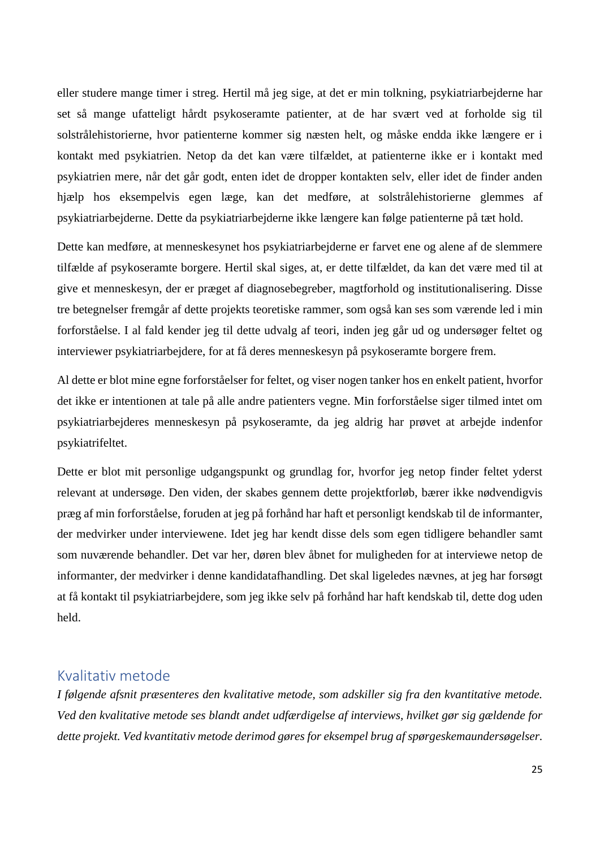eller studere mange timer i streg. Hertil må jeg sige, at det er min tolkning, psykiatriarbejderne har set så mange ufatteligt hårdt psykoseramte patienter, at de har svært ved at forholde sig til solstrålehistorierne, hvor patienterne kommer sig næsten helt, og måske endda ikke længere er i kontakt med psykiatrien. Netop da det kan være tilfældet, at patienterne ikke er i kontakt med psykiatrien mere, når det går godt, enten idet de dropper kontakten selv, eller idet de finder anden hjælp hos eksempelvis egen læge, kan det medføre, at solstrålehistorierne glemmes af psykiatriarbejderne. Dette da psykiatriarbejderne ikke længere kan følge patienterne på tæt hold.

Dette kan medføre, at menneskesynet hos psykiatriarbejderne er farvet ene og alene af de slemmere tilfælde af psykoseramte borgere. Hertil skal siges, at, er dette tilfældet, da kan det være med til at give et menneskesyn, der er præget af diagnosebegreber, magtforhold og institutionalisering. Disse tre betegnelser fremgår af dette projekts teoretiske rammer, som også kan ses som værende led i min forforståelse. I al fald kender jeg til dette udvalg af teori, inden jeg går ud og undersøger feltet og interviewer psykiatriarbejdere, for at få deres menneskesyn på psykoseramte borgere frem.

Al dette er blot mine egne forforståelser for feltet, og viser nogen tanker hos en enkelt patient, hvorfor det ikke er intentionen at tale på alle andre patienters vegne. Min forforståelse siger tilmed intet om psykiatriarbejderes menneskesyn på psykoseramte, da jeg aldrig har prøvet at arbejde indenfor psykiatrifeltet.

Dette er blot mit personlige udgangspunkt og grundlag for, hvorfor jeg netop finder feltet yderst relevant at undersøge. Den viden, der skabes gennem dette projektforløb, bærer ikke nødvendigvis præg af min forforståelse, foruden at jeg på forhånd har haft et personligt kendskab til de informanter, der medvirker under interviewene. Idet jeg har kendt disse dels som egen tidligere behandler samt som nuværende behandler. Det var her, døren blev åbnet for muligheden for at interviewe netop de informanter, der medvirker i denne kandidatafhandling. Det skal ligeledes nævnes, at jeg har forsøgt at få kontakt til psykiatriarbejdere, som jeg ikke selv på forhånd har haft kendskab til, dette dog uden held.

### <span id="page-24-0"></span>Kvalitativ metode

*I følgende afsnit præsenteres den kvalitative metode, som adskiller sig fra den kvantitative metode. Ved den kvalitative metode ses blandt andet udfærdigelse af interviews, hvilket gør sig gældende for dette projekt. Ved kvantitativ metode derimod gøres for eksempel brug af spørgeskemaundersøgelser.*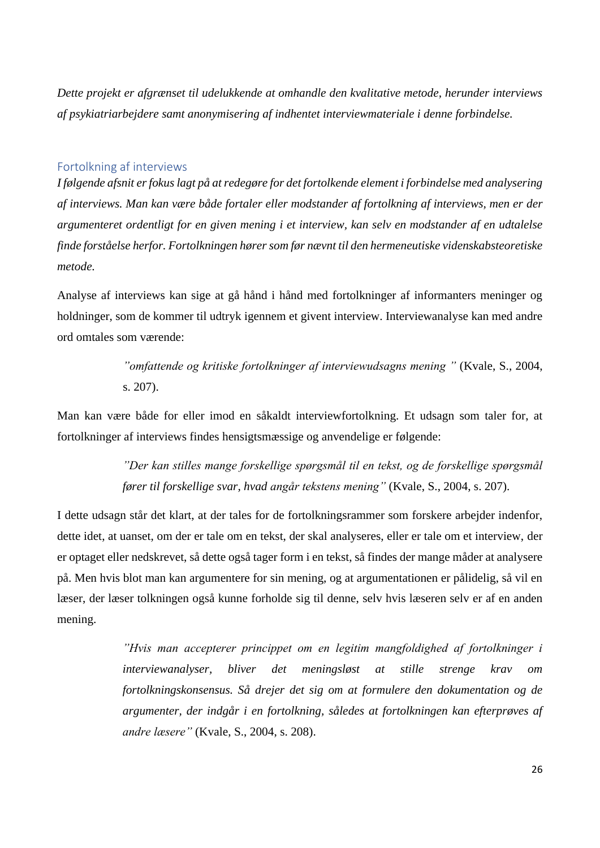*Dette projekt er afgrænset til udelukkende at omhandle den kvalitative metode, herunder interviews af psykiatriarbejdere samt anonymisering af indhentet interviewmateriale i denne forbindelse.* 

### <span id="page-25-0"></span>Fortolkning af interviews

*I følgende afsnit er fokus lagt på at redegøre for det fortolkende element i forbindelse med analysering af interviews. Man kan være både fortaler eller modstander af fortolkning af interviews, men er der argumenteret ordentligt for en given mening i et interview, kan selv en modstander af en udtalelse finde forståelse herfor. Fortolkningen hører som før nævnt til den hermeneutiske videnskabsteoretiske metode.*

Analyse af interviews kan sige at gå hånd i hånd med fortolkninger af informanters meninger og holdninger, som de kommer til udtryk igennem et givent interview. Interviewanalyse kan med andre ord omtales som værende:

> *"omfattende og kritiske fortolkninger af interviewudsagns mening "* (Kvale, S., 2004, s. 207).

Man kan være både for eller imod en såkaldt interviewfortolkning. Et udsagn som taler for, at fortolkninger af interviews findes hensigtsmæssige og anvendelige er følgende:

> *"Der kan stilles mange forskellige spørgsmål til en tekst, og de forskellige spørgsmål fører til forskellige svar, hvad angår tekstens mening"* (Kvale, S., 2004, s. 207).

I dette udsagn står det klart, at der tales for de fortolkningsrammer som forskere arbejder indenfor, dette idet, at uanset, om der er tale om en tekst, der skal analyseres, eller er tale om et interview, der er optaget eller nedskrevet, så dette også tager form i en tekst, så findes der mange måder at analysere på. Men hvis blot man kan argumentere for sin mening, og at argumentationen er pålidelig, så vil en læser, der læser tolkningen også kunne forholde sig til denne, selv hvis læseren selv er af en anden mening.

> *"Hvis man accepterer princippet om en legitim mangfoldighed af fortolkninger i interviewanalyser, bliver det meningsløst at stille strenge krav om fortolkningskonsensus. Så drejer det sig om at formulere den dokumentation og de argumenter, der indgår i en fortolkning, således at fortolkningen kan efterprøves af andre læsere"* (Kvale, S., 2004, s. 208).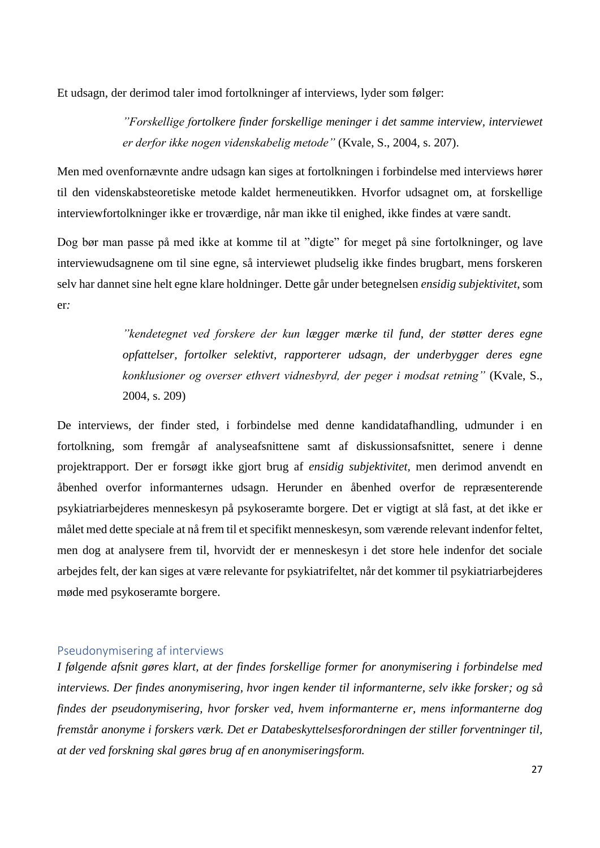Et udsagn, der derimod taler imod fortolkninger af interviews, lyder som følger:

*"Forskellige fortolkere finder forskellige meninger i det samme interview, interviewet er derfor ikke nogen videnskabelig metode"* (Kvale, S., 2004, s. 207).

Men med ovenfornævnte andre udsagn kan siges at fortolkningen i forbindelse med interviews hører til den videnskabsteoretiske metode kaldet hermeneutikken. Hvorfor udsagnet om, at forskellige interviewfortolkninger ikke er troværdige, når man ikke til enighed, ikke findes at være sandt.

Dog bør man passe på med ikke at komme til at "digte" for meget på sine fortolkninger, og lave interviewudsagnene om til sine egne, så interviewet pludselig ikke findes brugbart, mens forskeren selv har dannet sine helt egne klare holdninger. Dette går under betegnelsen *ensidig subjektivitet*, som er*:*

> *"kendetegnet ved forskere der kun lægger mærke til fund, der støtter deres egne opfattelser, fortolker selektivt, rapporterer udsagn, der underbygger deres egne konklusioner og overser ethvert vidnesbyrd, der peger i modsat retning"* (Kvale, S., 2004, s. 209)

De interviews, der finder sted, i forbindelse med denne kandidatafhandling, udmunder i en fortolkning, som fremgår af analyseafsnittene samt af diskussionsafsnittet, senere i denne projektrapport. Der er forsøgt ikke gjort brug af *ensidig subjektivitet,* men derimod anvendt en åbenhed overfor informanternes udsagn. Herunder en åbenhed overfor de repræsenterende psykiatriarbejderes menneskesyn på psykoseramte borgere. Det er vigtigt at slå fast, at det ikke er målet med dette speciale at nå frem til et specifikt menneskesyn, som værende relevant indenfor feltet, men dog at analysere frem til, hvorvidt der er menneskesyn i det store hele indenfor det sociale arbejdes felt, der kan siges at være relevante for psykiatrifeltet, når det kommer til psykiatriarbejderes møde med psykoseramte borgere.

### <span id="page-26-0"></span>Pseudonymisering af interviews

*I følgende afsnit gøres klart, at der findes forskellige former for anonymisering i forbindelse med interviews. Der findes anonymisering, hvor ingen kender til informanterne, selv ikke forsker; og så findes der pseudonymisering, hvor forsker ved, hvem informanterne er, mens informanterne dog fremstår anonyme i forskers værk. Det er Databeskyttelsesforordningen der stiller forventninger til, at der ved forskning skal gøres brug af en anonymiseringsform.*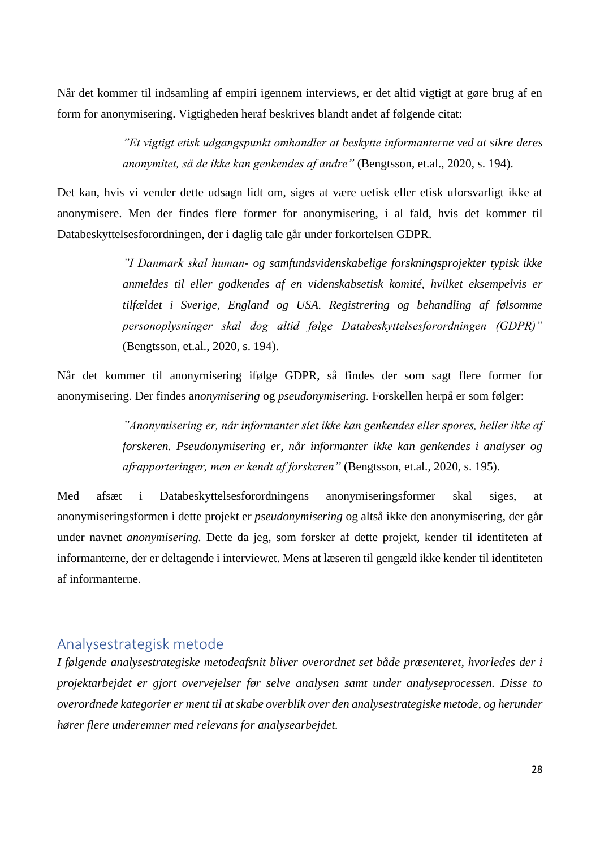Når det kommer til indsamling af empiri igennem interviews, er det altid vigtigt at gøre brug af en form for anonymisering. Vigtigheden heraf beskrives blandt andet af følgende citat:

> *"Et vigtigt etisk udgangspunkt omhandler at beskytte informanterne ved at sikre deres anonymitet, så de ikke kan genkendes af andre"* (Bengtsson, et.al., 2020, s. 194).

Det kan, hvis vi vender dette udsagn lidt om, siges at være uetisk eller etisk uforsvarligt ikke at anonymisere. Men der findes flere former for anonymisering, i al fald, hvis det kommer til Databeskyttelsesforordningen, der i daglig tale går under forkortelsen GDPR.

> *"I Danmark skal human- og samfundsvidenskabelige forskningsprojekter typisk ikke anmeldes til eller godkendes af en videnskabsetisk komité, hvilket eksempelvis er tilfældet i Sverige, England og USA. Registrering og behandling af følsomme personoplysninger skal dog altid følge Databeskyttelsesforordningen (GDPR)"* (Bengtsson, et.al., 2020, s. 194).

Når det kommer til anonymisering ifølge GDPR, så findes der som sagt flere former for anonymisering. Der findes a*nonymisering* og *pseudonymisering.* Forskellen herpå er som følger:

> *"Anonymisering er, når informanter slet ikke kan genkendes eller spores, heller ikke af forskeren. Pseudonymisering er, når informanter ikke kan genkendes i analyser og afrapporteringer, men er kendt af forskeren"* (Bengtsson, et.al., 2020, s. 195).

Med afsæt i Databeskyttelsesforordningens anonymiseringsformer skal siges, at anonymiseringsformen i dette projekt er *pseudonymisering* og altså ikke den anonymisering, der går under navnet *anonymisering.* Dette da jeg, som forsker af dette projekt, kender til identiteten af informanterne, der er deltagende i interviewet. Mens at læseren til gengæld ikke kender til identiteten af informanterne.

### <span id="page-27-0"></span>Analysestrategisk metode

*I følgende analysestrategiske metodeafsnit bliver overordnet set både præsenteret, hvorledes der i projektarbejdet er gjort overvejelser før selve analysen samt under analyseprocessen. Disse to overordnede kategorier er ment til at skabe overblik over den analysestrategiske metode, og herunder hører flere underemner med relevans for analysearbejdet.*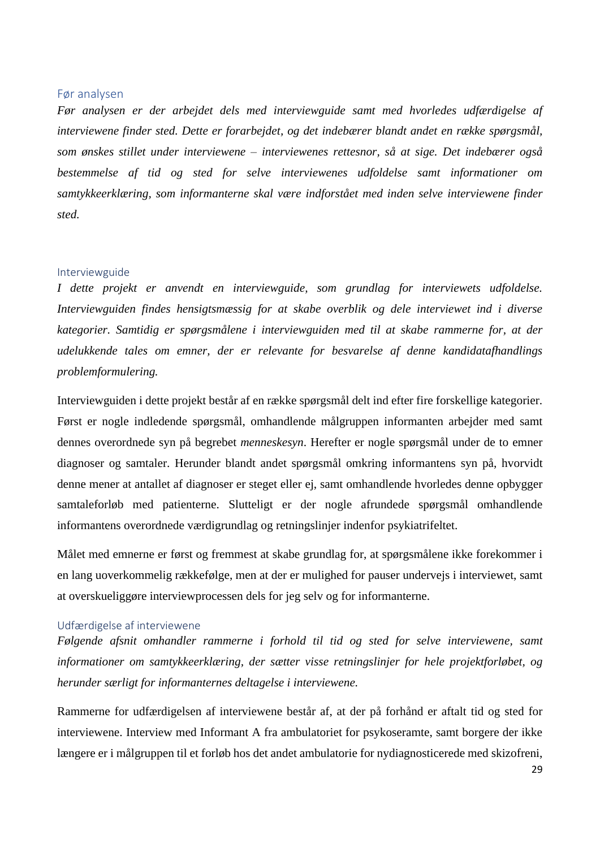#### <span id="page-28-0"></span>Før analysen

*Før analysen er der arbejdet dels med interviewguide samt med hvorledes udfærdigelse af interviewene finder sted. Dette er forarbejdet, og det indebærer blandt andet en række spørgsmål, som ønskes stillet under interviewene – interviewenes rettesnor, så at sige. Det indebærer også bestemmelse af tid og sted for selve interviewenes udfoldelse samt informationer om samtykkeerklæring, som informanterne skal være indforstået med inden selve interviewene finder sted.* 

#### <span id="page-28-1"></span>Interviewguide

*I dette projekt er anvendt en interviewguide, som grundlag for interviewets udfoldelse. Interviewguiden findes hensigtsmæssig for at skabe overblik og dele interviewet ind i diverse kategorier. Samtidig er spørgsmålene i interviewguiden med til at skabe rammerne for, at der udelukkende tales om emner, der er relevante for besvarelse af denne kandidatafhandlings problemformulering.*

Interviewguiden i dette projekt består af en række spørgsmål delt ind efter fire forskellige kategorier. Først er nogle indledende spørgsmål, omhandlende målgruppen informanten arbejder med samt dennes overordnede syn på begrebet *menneskesyn*. Herefter er nogle spørgsmål under de to emner diagnoser og samtaler. Herunder blandt andet spørgsmål omkring informantens syn på, hvorvidt denne mener at antallet af diagnoser er steget eller ej, samt omhandlende hvorledes denne opbygger samtaleforløb med patienterne. Slutteligt er der nogle afrundede spørgsmål omhandlende informantens overordnede værdigrundlag og retningslinjer indenfor psykiatrifeltet.

Målet med emnerne er først og fremmest at skabe grundlag for, at spørgsmålene ikke forekommer i en lang uoverkommelig rækkefølge, men at der er mulighed for pauser undervejs i interviewet, samt at overskueliggøre interviewprocessen dels for jeg selv og for informanterne.

#### <span id="page-28-2"></span>Udfærdigelse af interviewene

*Følgende afsnit omhandler rammerne i forhold til tid og sted for selve interviewene, samt informationer om samtykkeerklæring, der sætter visse retningslinjer for hele projektforløbet, og herunder særligt for informanternes deltagelse i interviewene.* 

Rammerne for udfærdigelsen af interviewene består af, at der på forhånd er aftalt tid og sted for interviewene. Interview med Informant A fra ambulatoriet for psykoseramte, samt borgere der ikke længere er i målgruppen til et forløb hos det andet ambulatorie for nydiagnosticerede med skizofreni,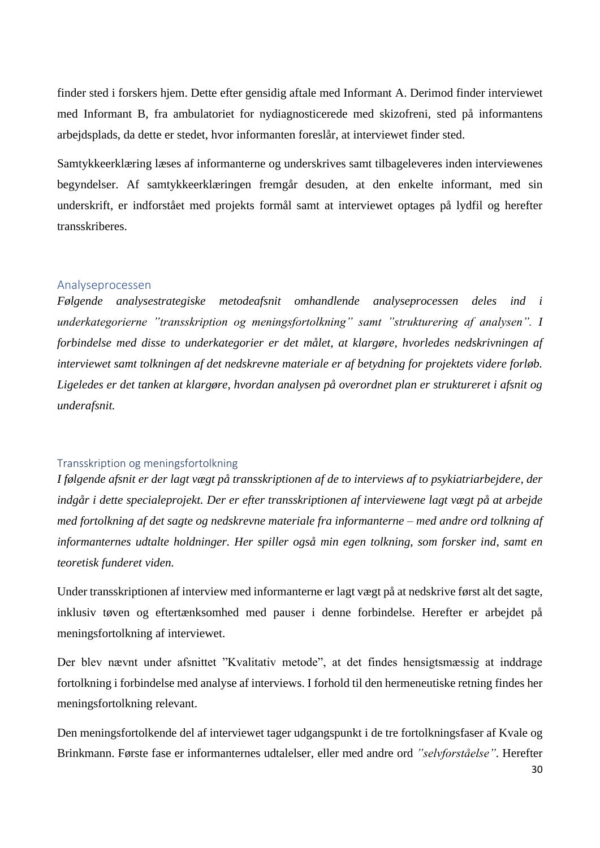finder sted i forskers hjem. Dette efter gensidig aftale med Informant A. Derimod finder interviewet med Informant B, fra ambulatoriet for nydiagnosticerede med skizofreni, sted på informantens arbejdsplads, da dette er stedet, hvor informanten foreslår, at interviewet finder sted.

Samtykkeerklæring læses af informanterne og underskrives samt tilbageleveres inden interviewenes begyndelser. Af samtykkeerklæringen fremgår desuden, at den enkelte informant, med sin underskrift, er indforstået med projekts formål samt at interviewet optages på lydfil og herefter transskriberes.

#### <span id="page-29-0"></span>Analyseprocessen

*Følgende analysestrategiske metodeafsnit omhandlende analyseprocessen deles ind i underkategorierne "transskription og meningsfortolkning" samt "strukturering af analysen". I forbindelse med disse to underkategorier er det målet, at klargøre, hvorledes nedskrivningen af interviewet samt tolkningen af det nedskrevne materiale er af betydning for projektets videre forløb. Ligeledes er det tanken at klargøre, hvordan analysen på overordnet plan er struktureret i afsnit og underafsnit.* 

#### <span id="page-29-1"></span>Transskription og meningsfortolkning

*I følgende afsnit er der lagt vægt på transskriptionen af de to interviews af to psykiatriarbejdere, der indgår i dette specialeprojekt. Der er efter transskriptionen af interviewene lagt vægt på at arbejde med fortolkning af det sagte og nedskrevne materiale fra informanterne – med andre ord tolkning af informanternes udtalte holdninger. Her spiller også min egen tolkning, som forsker ind, samt en teoretisk funderet viden.* 

Under transskriptionen af interview med informanterne er lagt vægt på at nedskrive først alt det sagte, inklusiv tøven og eftertænksomhed med pauser i denne forbindelse. Herefter er arbejdet på meningsfortolkning af interviewet.

Der blev nævnt under afsnittet "Kvalitativ metode", at det findes hensigtsmæssig at inddrage fortolkning i forbindelse med analyse af interviews. I forhold til den hermeneutiske retning findes her meningsfortolkning relevant.

Den meningsfortolkende del af interviewet tager udgangspunkt i de tre fortolkningsfaser af Kvale og Brinkmann. Første fase er informanternes udtalelser, eller med andre ord *"selvforståelse"*. Herefter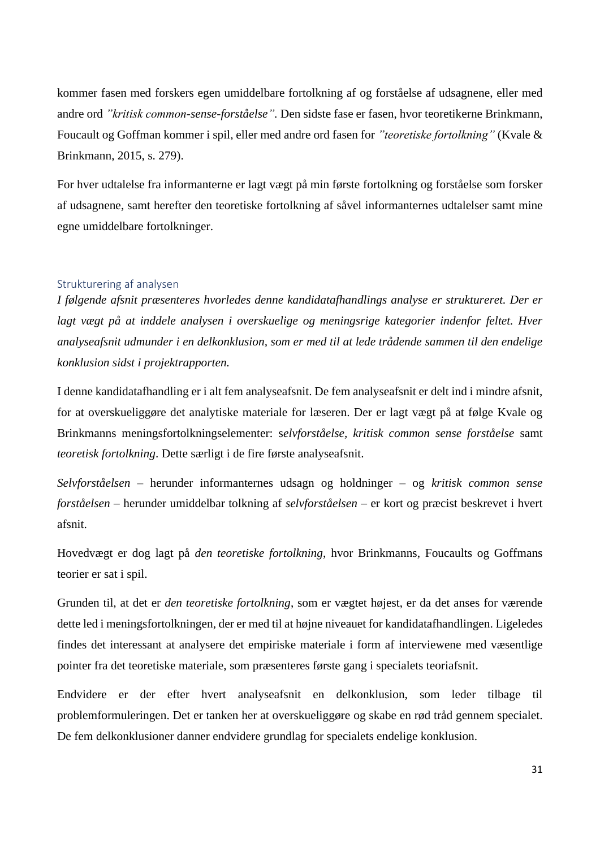kommer fasen med forskers egen umiddelbare fortolkning af og forståelse af udsagnene, eller med andre ord *"kritisk common-sense-forståelse".* Den sidste fase er fasen, hvor teoretikerne Brinkmann, Foucault og Goffman kommer i spil, eller med andre ord fasen for *"teoretiske fortolkning"* (Kvale & Brinkmann, 2015, s. 279).

For hver udtalelse fra informanterne er lagt vægt på min første fortolkning og forståelse som forsker af udsagnene, samt herefter den teoretiske fortolkning af såvel informanternes udtalelser samt mine egne umiddelbare fortolkninger.

#### <span id="page-30-0"></span>Strukturering af analysen

*I følgende afsnit præsenteres hvorledes denne kandidatafhandlings analyse er struktureret. Der er lagt vægt på at inddele analysen i overskuelige og meningsrige kategorier indenfor feltet. Hver analyseafsnit udmunder i en delkonklusion, som er med til at lede trådende sammen til den endelige konklusion sidst i projektrapporten.* 

I denne kandidatafhandling er i alt fem analyseafsnit. De fem analyseafsnit er delt ind i mindre afsnit, for at overskueliggøre det analytiske materiale for læseren. Der er lagt vægt på at følge Kvale og Brinkmanns meningsfortolkningselementer: s*elvforståelse, kritisk common sense forståelse* samt *teoretisk fortolkning*. Dette særligt i de fire første analyseafsnit.

*Selvforståelsen* – herunder informanternes udsagn og holdninger – og *kritisk common sense forståelsen* – herunder umiddelbar tolkning af *selvforståelsen* – er kort og præcist beskrevet i hvert afsnit.

Hovedvægt er dog lagt på *den teoretiske fortolkning*, hvor Brinkmanns, Foucaults og Goffmans teorier er sat i spil.

Grunden til, at det er *den teoretiske fortolkning*, som er vægtet højest, er da det anses for værende dette led i meningsfortolkningen, der er med til at højne niveauet for kandidatafhandlingen. Ligeledes findes det interessant at analysere det empiriske materiale i form af interviewene med væsentlige pointer fra det teoretiske materiale, som præsenteres første gang i specialets teoriafsnit.

Endvidere er der efter hvert analyseafsnit en delkonklusion, som leder tilbage til problemformuleringen. Det er tanken her at overskueliggøre og skabe en rød tråd gennem specialet. De fem delkonklusioner danner endvidere grundlag for specialets endelige konklusion.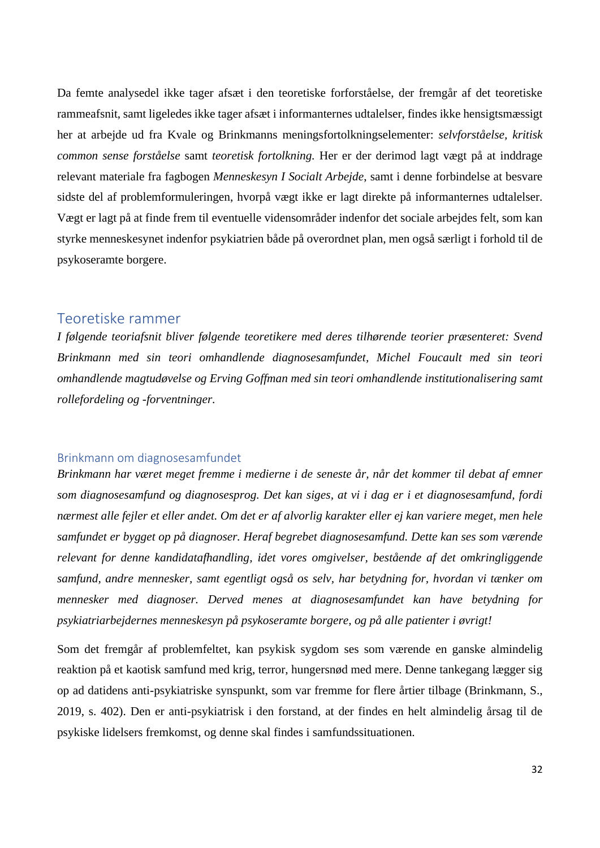Da femte analysedel ikke tager afsæt i den teoretiske forforståelse, der fremgår af det teoretiske rammeafsnit, samt ligeledes ikke tager afsæt i informanternes udtalelser, findes ikke hensigtsmæssigt her at arbejde ud fra Kvale og Brinkmanns meningsfortolkningselementer: *selvforståelse, kritisk common sense forståelse* samt *teoretisk fortolkning.* Her er der derimod lagt vægt på at inddrage relevant materiale fra fagbogen *Menneskesyn I Socialt Arbejde*, samt i denne forbindelse at besvare sidste del af problemformuleringen, hvorpå vægt ikke er lagt direkte på informanternes udtalelser. Vægt er lagt på at finde frem til eventuelle vidensområder indenfor det sociale arbejdes felt, som kan styrke menneskesynet indenfor psykiatrien både på overordnet plan, men også særligt i forhold til de psykoseramte borgere.

### <span id="page-31-0"></span>Teoretiske rammer

*I følgende teoriafsnit bliver følgende teoretikere med deres tilhørende teorier præsenteret: Svend Brinkmann med sin teori omhandlende diagnosesamfundet, Michel Foucault med sin teori omhandlende magtudøvelse og Erving Goffman med sin teori omhandlende institutionalisering samt rollefordeling og -forventninger.* 

### <span id="page-31-1"></span>Brinkmann om diagnosesamfundet

*Brinkmann har været meget fremme i medierne i de seneste år, når det kommer til debat af emner som diagnosesamfund og diagnosesprog. Det kan siges, at vi i dag er i et diagnosesamfund, fordi nærmest alle fejler et eller andet. Om det er af alvorlig karakter eller ej kan variere meget, men hele samfundet er bygget op på diagnoser. Heraf begrebet diagnosesamfund. Dette kan ses som værende relevant for denne kandidatafhandling, idet vores omgivelser, bestående af det omkringliggende samfund, andre mennesker, samt egentligt også os selv, har betydning for, hvordan vi tænker om mennesker med diagnoser. Derved menes at diagnosesamfundet kan have betydning for psykiatriarbejdernes menneskesyn på psykoseramte borgere, og på alle patienter i øvrigt!* 

Som det fremgår af problemfeltet, kan psykisk sygdom ses som værende en ganske almindelig reaktion på et kaotisk samfund med krig, terror, hungersnød med mere. Denne tankegang lægger sig op ad datidens anti-psykiatriske synspunkt, som var fremme for flere årtier tilbage (Brinkmann, S., 2019, s. 402). Den er anti-psykiatrisk i den forstand, at der findes en helt almindelig årsag til de psykiske lidelsers fremkomst, og denne skal findes i samfundssituationen.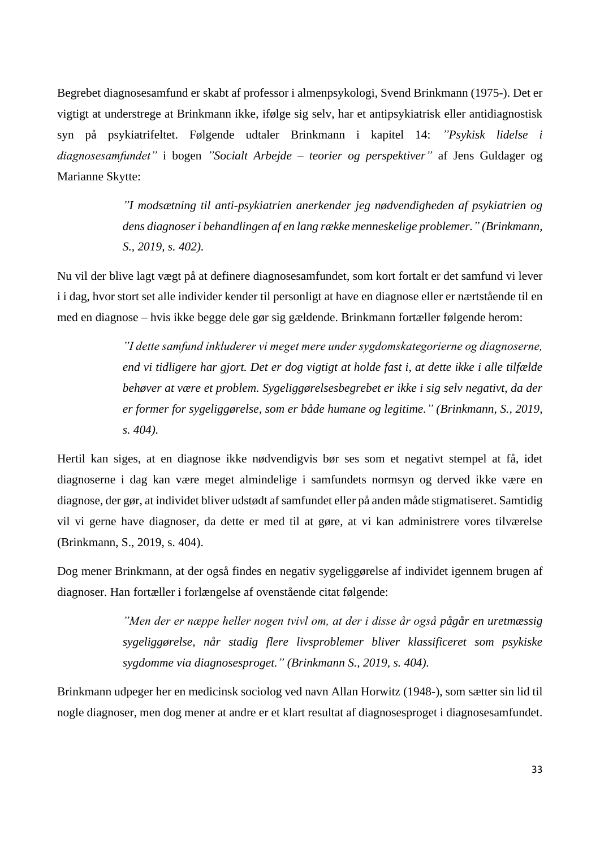Begrebet diagnosesamfund er skabt af professor i almenpsykologi, Svend Brinkmann (1975-). Det er vigtigt at understrege at Brinkmann ikke, ifølge sig selv, har et antipsykiatrisk eller antidiagnostisk syn på psykiatrifeltet. Følgende udtaler Brinkmann i kapitel 14: *"Psykisk lidelse i diagnosesamfundet"* i bogen *"Socialt Arbejde – teorier og perspektiver"* af Jens Guldager og Marianne Skytte:

> *"I modsætning til anti-psykiatrien anerkender jeg nødvendigheden af psykiatrien og dens diagnoser i behandlingen af en lang række menneskelige problemer." (Brinkmann, S., 2019, s. 402).*

Nu vil der blive lagt vægt på at definere diagnosesamfundet, som kort fortalt er det samfund vi lever i i dag, hvor stort set alle individer kender til personligt at have en diagnose eller er nærtstående til en med en diagnose – hvis ikke begge dele gør sig gældende. Brinkmann fortæller følgende herom:

> *"I dette samfund inkluderer vi meget mere under sygdomskategorierne og diagnoserne, end vi tidligere har gjort. Det er dog vigtigt at holde fast i, at dette ikke i alle tilfælde behøver at være et problem. Sygeliggørelsesbegrebet er ikke i sig selv negativt, da der er former for sygeliggørelse, som er både humane og legitime." (Brinkmann, S., 2019, s. 404).*

Hertil kan siges, at en diagnose ikke nødvendigvis bør ses som et negativt stempel at få, idet diagnoserne i dag kan være meget almindelige i samfundets normsyn og derved ikke være en diagnose, der gør, at individet bliver udstødt af samfundet eller på anden måde stigmatiseret. Samtidig vil vi gerne have diagnoser, da dette er med til at gøre, at vi kan administrere vores tilværelse (Brinkmann, S., 2019, s. 404).

Dog mener Brinkmann, at der også findes en negativ sygeliggørelse af individet igennem brugen af diagnoser. Han fortæller i forlængelse af ovenstående citat følgende:

> *"Men der er næppe heller nogen tvivl om, at der i disse år også pågår en uretmæssig sygeliggørelse, når stadig flere livsproblemer bliver klassificeret som psykiske sygdomme via diagnosesproget." (Brinkmann S., 2019, s. 404).*

Brinkmann udpeger her en medicinsk sociolog ved navn Allan Horwitz (1948-), som sætter sin lid til nogle diagnoser, men dog mener at andre er et klart resultat af diagnosesproget i diagnosesamfundet.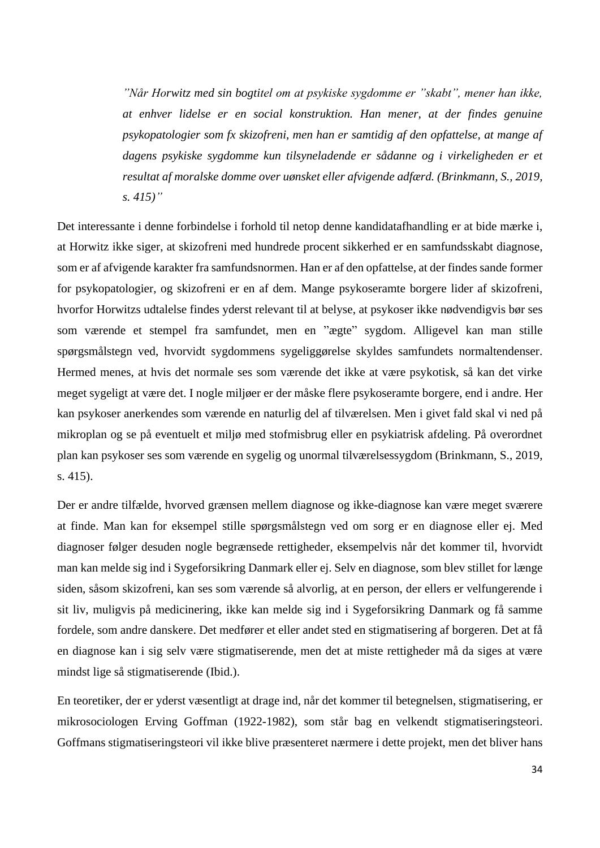*"Når Horwitz med sin bogtitel om at psykiske sygdomme er "skabt", mener han ikke, at enhver lidelse er en social konstruktion. Han mener, at der findes genuine psykopatologier som fx skizofreni, men han er samtidig af den opfattelse, at mange af dagens psykiske sygdomme kun tilsyneladende er sådanne og i virkeligheden er et resultat af moralske domme over uønsket eller afvigende adfærd. (Brinkmann, S., 2019, s. 415)"*

Det interessante i denne forbindelse i forhold til netop denne kandidatafhandling er at bide mærke i, at Horwitz ikke siger, at skizofreni med hundrede procent sikkerhed er en samfundsskabt diagnose, som er af afvigende karakter fra samfundsnormen. Han er af den opfattelse, at der findes sande former for psykopatologier, og skizofreni er en af dem. Mange psykoseramte borgere lider af skizofreni, hvorfor Horwitzs udtalelse findes yderst relevant til at belyse, at psykoser ikke nødvendigvis bør ses som værende et stempel fra samfundet, men en "ægte" sygdom. Alligevel kan man stille spørgsmålstegn ved, hvorvidt sygdommens sygeliggørelse skyldes samfundets normaltendenser. Hermed menes, at hvis det normale ses som værende det ikke at være psykotisk, så kan det virke meget sygeligt at være det. I nogle miljøer er der måske flere psykoseramte borgere, end i andre. Her kan psykoser anerkendes som værende en naturlig del af tilværelsen. Men i givet fald skal vi ned på mikroplan og se på eventuelt et miljø med stofmisbrug eller en psykiatrisk afdeling. På overordnet plan kan psykoser ses som værende en sygelig og unormal tilværelsessygdom (Brinkmann, S., 2019, s. 415).

Der er andre tilfælde, hvorved grænsen mellem diagnose og ikke-diagnose kan være meget sværere at finde. Man kan for eksempel stille spørgsmålstegn ved om sorg er en diagnose eller ej. Med diagnoser følger desuden nogle begrænsede rettigheder, eksempelvis når det kommer til, hvorvidt man kan melde sig ind i Sygeforsikring Danmark eller ej. Selv en diagnose, som blev stillet for længe siden, såsom skizofreni, kan ses som værende så alvorlig, at en person, der ellers er velfungerende i sit liv, muligvis på medicinering, ikke kan melde sig ind i Sygeforsikring Danmark og få samme fordele, som andre danskere. Det medfører et eller andet sted en stigmatisering af borgeren. Det at få en diagnose kan i sig selv være stigmatiserende, men det at miste rettigheder må da siges at være mindst lige så stigmatiserende (Ibid.).

En teoretiker, der er yderst væsentligt at drage ind, når det kommer til betegnelsen, stigmatisering, er mikrosociologen Erving Goffman (1922-1982), som står bag en velkendt stigmatiseringsteori. Goffmans stigmatiseringsteori vil ikke blive præsenteret nærmere i dette projekt, men det bliver hans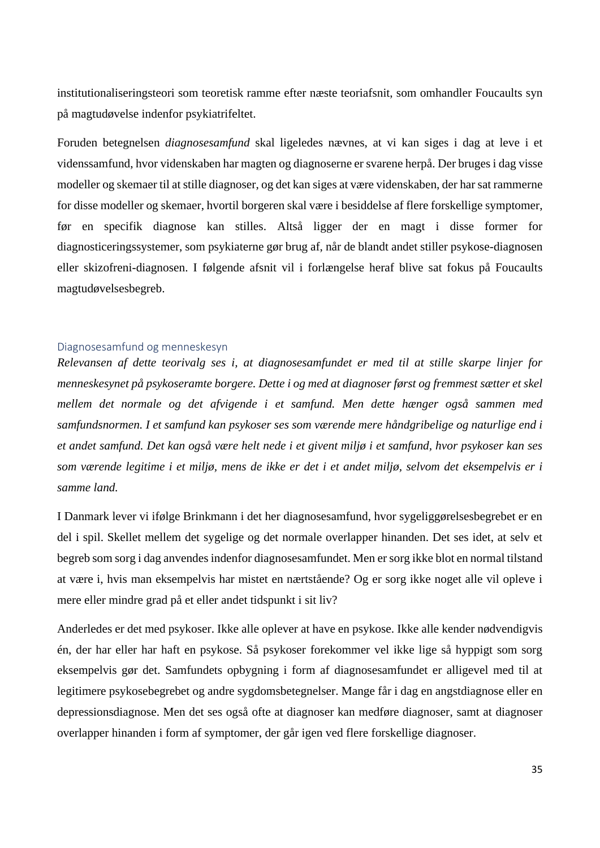institutionaliseringsteori som teoretisk ramme efter næste teoriafsnit, som omhandler Foucaults syn på magtudøvelse indenfor psykiatrifeltet.

Foruden betegnelsen *diagnosesamfund* skal ligeledes nævnes, at vi kan siges i dag at leve i et videnssamfund, hvor videnskaben har magten og diagnoserne er svarene herpå. Der bruges i dag visse modeller og skemaer til at stille diagnoser, og det kan siges at være videnskaben, der har sat rammerne for disse modeller og skemaer, hvortil borgeren skal være i besiddelse af flere forskellige symptomer, før en specifik diagnose kan stilles. Altså ligger der en magt i disse former for diagnosticeringssystemer, som psykiaterne gør brug af, når de blandt andet stiller psykose-diagnosen eller skizofreni-diagnosen. I følgende afsnit vil i forlængelse heraf blive sat fokus på Foucaults magtudøvelsesbegreb.

#### <span id="page-34-0"></span>Diagnosesamfund og menneskesyn

*Relevansen af dette teorivalg ses i, at diagnosesamfundet er med til at stille skarpe linjer for menneskesynet på psykoseramte borgere. Dette i og med at diagnoser først og fremmest sætter et skel mellem det normale og det afvigende i et samfund. Men dette hænger også sammen med samfundsnormen. I et samfund kan psykoser ses som værende mere håndgribelige og naturlige end i et andet samfund. Det kan også være helt nede i et givent miljø i et samfund, hvor psykoser kan ses som værende legitime i et miljø, mens de ikke er det i et andet miljø, selvom det eksempelvis er i samme land.* 

I Danmark lever vi ifølge Brinkmann i det her diagnosesamfund, hvor sygeliggørelsesbegrebet er en del i spil. Skellet mellem det sygelige og det normale overlapper hinanden. Det ses idet, at selv et begreb som sorg i dag anvendes indenfor diagnosesamfundet. Men er sorg ikke blot en normal tilstand at være i, hvis man eksempelvis har mistet en nærtstående? Og er sorg ikke noget alle vil opleve i mere eller mindre grad på et eller andet tidspunkt i sit liv?

Anderledes er det med psykoser. Ikke alle oplever at have en psykose. Ikke alle kender nødvendigvis én, der har eller har haft en psykose. Så psykoser forekommer vel ikke lige så hyppigt som sorg eksempelvis gør det. Samfundets opbygning i form af diagnosesamfundet er alligevel med til at legitimere psykosebegrebet og andre sygdomsbetegnelser. Mange får i dag en angstdiagnose eller en depressionsdiagnose. Men det ses også ofte at diagnoser kan medføre diagnoser, samt at diagnoser overlapper hinanden i form af symptomer, der går igen ved flere forskellige diagnoser.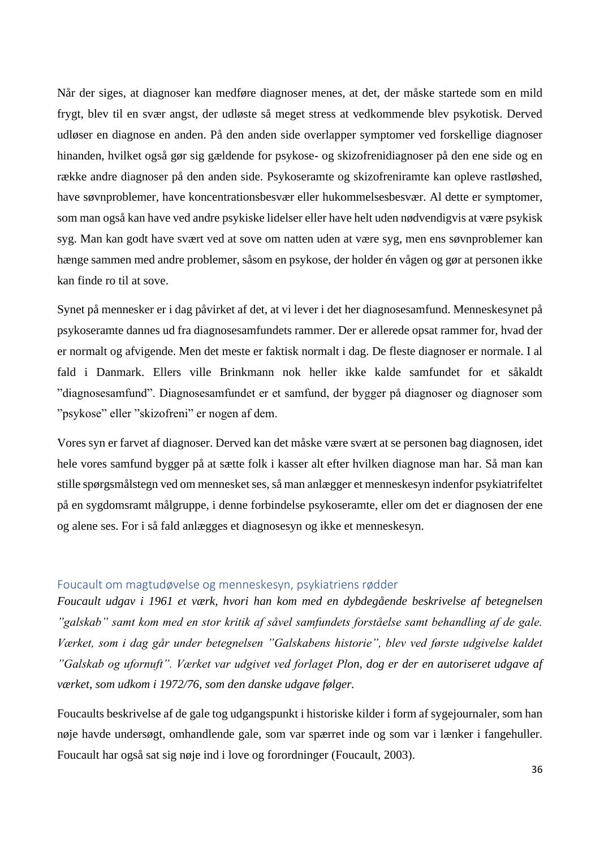Når der siges, at diagnoser kan medføre diagnoser menes, at det, der måske startede som en mild frygt, blev til en svær angst, der udløste så meget stress at vedkommende blev psykotisk. Derved udløser en diagnose en anden. På den anden side overlapper symptomer ved forskellige diagnoser hinanden, hvilket også gør sig gældende for psykose- og skizofrenidiagnoser på den ene side og en række andre diagnoser på den anden side. Psykoseramte og skizofreniramte kan opleve rastløshed, have søvnproblemer, have koncentrationsbesvær eller hukommelsesbesvær. Al dette er symptomer, som man også kan have ved andre psykiske lidelser eller have helt uden nødvendigvis at være psykisk syg. Man kan godt have svært ved at sove om natten uden at være syg, men ens søvnproblemer kan hænge sammen med andre problemer, såsom en psykose, der holder én vågen og gør at personen ikke kan finde ro til at sove.

Synet på mennesker er i dag påvirket af det, at vi lever i det her diagnosesamfund. Menneskesynet på psykoseramte dannes ud fra diagnosesamfundets rammer. Der er allerede opsat rammer for, hvad der er normalt og afvigende. Men det meste er faktisk normalt i dag. De fleste diagnoser er normale. I al fald i Danmark. Ellers ville Brinkmann nok heller ikke kalde samfundet for et såkaldt "diagnosesamfund". Diagnosesamfundet er et samfund, der bygger på diagnoser og diagnoser som "psykose" eller "skizofreni" er nogen af dem.

Vores syn er farvet af diagnoser. Derved kan det måske være svært at se personen bag diagnosen, idet hele vores samfund bygger på at sætte folk i kasser alt efter hvilken diagnose man har. Så man kan stille spørgsmålstegn ved om mennesket ses, så man anlægger et menneskesyn indenfor psykiatrifeltet på en sygdomsramt målgruppe, i denne forbindelse psykoseramte, eller om det er diagnosen der ene og alene ses. For i så fald anlægges et diagnosesyn og ikke et menneskesyn.

### <span id="page-35-0"></span>Foucault om magtudøvelse og menneskesyn, psykiatriens rødder

*Foucault udgav i 1961 et værk, hvori han kom med en dybdegående beskrivelse af betegnelsen "galskab" samt kom med en stor kritik af såvel samfundets forståelse samt behandling af de gale. Værket, som i dag går under betegnelsen "Galskabens historie", blev ved første udgivelse kaldet "Galskab og ufornuft". Værket var udgivet ved forlaget Plon, dog er der en autoriseret udgave af værket, som udkom i 1972/76, som den danske udgave følger.*

Foucaults beskrivelse af de gale tog udgangspunkt i historiske kilder i form af sygejournaler, som han nøje havde undersøgt, omhandlende gale, som var spærret inde og som var i lænker i fangehuller. Foucault har også sat sig nøje ind i love og forordninger (Foucault, 2003).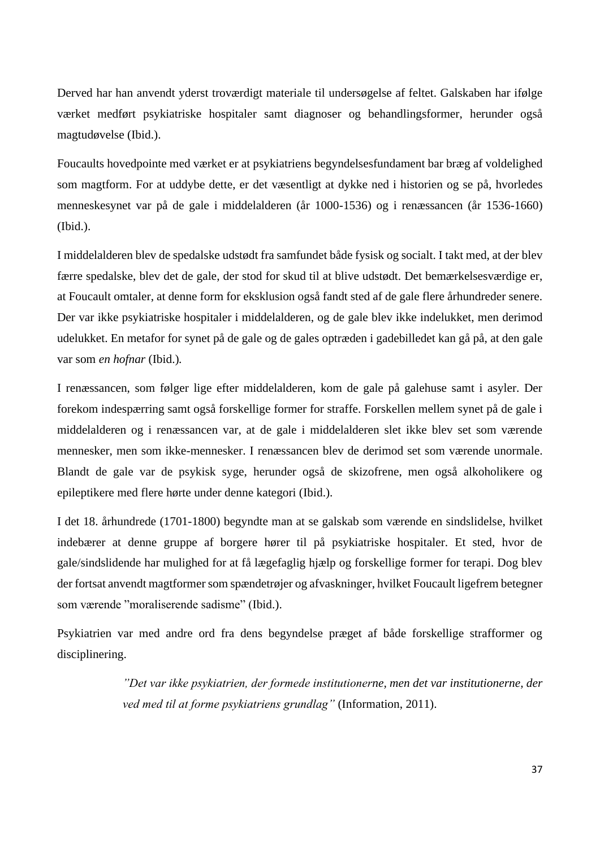Derved har han anvendt yderst troværdigt materiale til undersøgelse af feltet. Galskaben har ifølge værket medført psykiatriske hospitaler samt diagnoser og behandlingsformer, herunder også magtudøvelse (Ibid.).

Foucaults hovedpointe med værket er at psykiatriens begyndelsesfundament bar bræg af voldelighed som magtform. For at uddybe dette, er det væsentligt at dykke ned i historien og se på, hvorledes menneskesynet var på de gale i middelalderen (år 1000-1536) og i renæssancen (år 1536-1660) (Ibid.).

I middelalderen blev de spedalske udstødt fra samfundet både fysisk og socialt. I takt med, at der blev færre spedalske, blev det de gale, der stod for skud til at blive udstødt. Det bemærkelsesværdige er, at Foucault omtaler, at denne form for eksklusion også fandt sted af de gale flere århundreder senere. Der var ikke psykiatriske hospitaler i middelalderen, og de gale blev ikke indelukket, men derimod udelukket. En metafor for synet på de gale og de gales optræden i gadebilledet kan gå på, at den gale var som *en hofnar* (Ibid.)*.* 

I renæssancen, som følger lige efter middelalderen, kom de gale på galehuse samt i asyler. Der forekom indespærring samt også forskellige former for straffe. Forskellen mellem synet på de gale i middelalderen og i renæssancen var, at de gale i middelalderen slet ikke blev set som værende mennesker, men som ikke-mennesker. I renæssancen blev de derimod set som værende unormale. Blandt de gale var de psykisk syge, herunder også de skizofrene, men også alkoholikere og epileptikere med flere hørte under denne kategori (Ibid.).

I det 18. århundrede (1701-1800) begyndte man at se galskab som værende en sindslidelse, hvilket indebærer at denne gruppe af borgere hører til på psykiatriske hospitaler. Et sted, hvor de gale/sindslidende har mulighed for at få lægefaglig hjælp og forskellige former for terapi. Dog blev der fortsat anvendt magtformer som spændetrøjer og afvaskninger, hvilket Foucault ligefrem betegner som værende "moraliserende sadisme" (Ibid.).

Psykiatrien var med andre ord fra dens begyndelse præget af både forskellige strafformer og disciplinering.

> *"Det var ikke psykiatrien, der formede institutionerne, men det var institutionerne, der ved med til at forme psykiatriens grundlag"* (Information, 2011).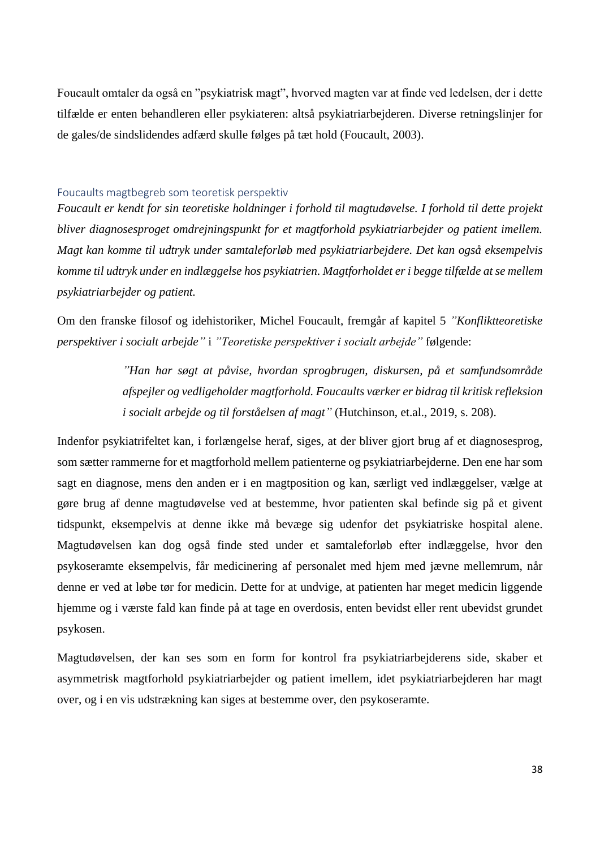Foucault omtaler da også en "psykiatrisk magt", hvorved magten var at finde ved ledelsen, der i dette tilfælde er enten behandleren eller psykiateren: altså psykiatriarbejderen. Diverse retningslinjer for de gales/de sindslidendes adfærd skulle følges på tæt hold (Foucault, 2003).

#### Foucaults magtbegreb som teoretisk perspektiv

*Foucault er kendt for sin teoretiske holdninger i forhold til magtudøvelse. I forhold til dette projekt bliver diagnosesproget omdrejningspunkt for et magtforhold psykiatriarbejder og patient imellem. Magt kan komme til udtryk under samtaleforløb med psykiatriarbejdere. Det kan også eksempelvis komme til udtryk under en indlæggelse hos psykiatrien. Magtforholdet er i begge tilfælde at se mellem psykiatriarbejder og patient.* 

Om den franske filosof og idehistoriker, Michel Foucault, fremgår af kapitel 5 *"Konfliktteoretiske perspektiver i socialt arbejde"* i *"Teoretiske perspektiver i socialt arbejde"* følgende:

> *"Han har søgt at påvise, hvordan sprogbrugen, diskursen, på et samfundsområde afspejler og vedligeholder magtforhold. Foucaults værker er bidrag til kritisk refleksion i socialt arbejde og til forståelsen af magt"* (Hutchinson, et.al., 2019, s. 208).

Indenfor psykiatrifeltet kan, i forlængelse heraf, siges, at der bliver gjort brug af et diagnosesprog, som sætter rammerne for et magtforhold mellem patienterne og psykiatriarbejderne. Den ene har som sagt en diagnose, mens den anden er i en magtposition og kan, særligt ved indlæggelser, vælge at gøre brug af denne magtudøvelse ved at bestemme, hvor patienten skal befinde sig på et givent tidspunkt, eksempelvis at denne ikke må bevæge sig udenfor det psykiatriske hospital alene. Magtudøvelsen kan dog også finde sted under et samtaleforløb efter indlæggelse, hvor den psykoseramte eksempelvis, får medicinering af personalet med hjem med jævne mellemrum, når denne er ved at løbe tør for medicin. Dette for at undvige, at patienten har meget medicin liggende hjemme og i værste fald kan finde på at tage en overdosis, enten bevidst eller rent ubevidst grundet psykosen.

Magtudøvelsen, der kan ses som en form for kontrol fra psykiatriarbejderens side, skaber et asymmetrisk magtforhold psykiatriarbejder og patient imellem, idet psykiatriarbejderen har magt over, og i en vis udstrækning kan siges at bestemme over, den psykoseramte.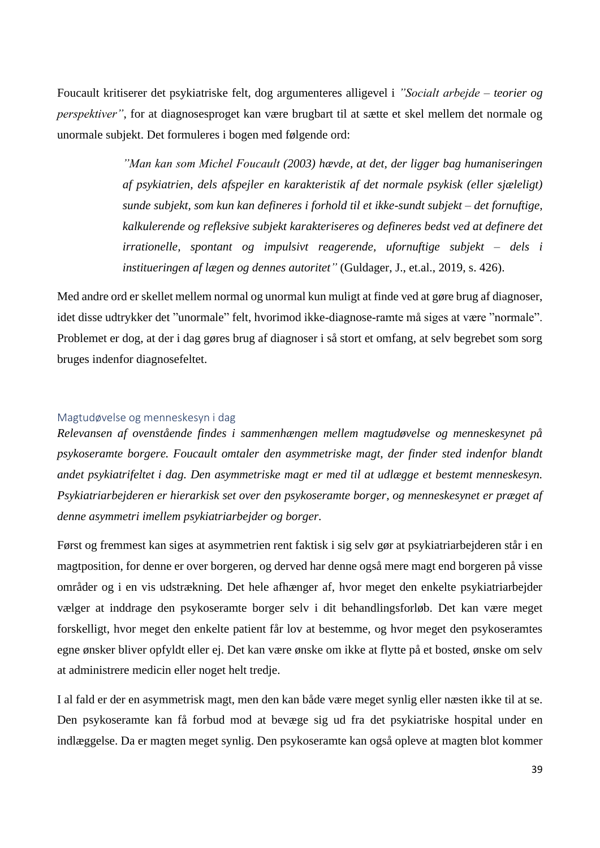Foucault kritiserer det psykiatriske felt, dog argumenteres alligevel i *"Socialt arbejde – teorier og perspektiver"*, for at diagnosesproget kan være brugbart til at sætte et skel mellem det normale og unormale subjekt. Det formuleres i bogen med følgende ord:

> *"Man kan som Michel Foucault (2003) hævde, at det, der ligger bag humaniseringen af psykiatrien, dels afspejler en karakteristik af det normale psykisk (eller sjæleligt) sunde subjekt, som kun kan defineres i forhold til et ikke-sundt subjekt – det fornuftige, kalkulerende og refleksive subjekt karakteriseres og defineres bedst ved at definere det irrationelle, spontant og impulsivt reagerende, ufornuftige subjekt – dels i institueringen af lægen og dennes autoritet"* (Guldager, J., et.al., 2019, s. 426).

Med andre ord er skellet mellem normal og unormal kun muligt at finde ved at gøre brug af diagnoser, idet disse udtrykker det "unormale" felt, hvorimod ikke-diagnose-ramte må siges at være "normale". Problemet er dog, at der i dag gøres brug af diagnoser i så stort et omfang, at selv begrebet som sorg bruges indenfor diagnosefeltet.

## Magtudøvelse og menneskesyn i dag

*Relevansen af ovenstående findes i sammenhængen mellem magtudøvelse og menneskesynet på psykoseramte borgere. Foucault omtaler den asymmetriske magt, der finder sted indenfor blandt andet psykiatrifeltet i dag. Den asymmetriske magt er med til at udlægge et bestemt menneskesyn. Psykiatriarbejderen er hierarkisk set over den psykoseramte borger, og menneskesynet er præget af denne asymmetri imellem psykiatriarbejder og borger.* 

Først og fremmest kan siges at asymmetrien rent faktisk i sig selv gør at psykiatriarbejderen står i en magtposition, for denne er over borgeren, og derved har denne også mere magt end borgeren på visse områder og i en vis udstrækning. Det hele afhænger af, hvor meget den enkelte psykiatriarbejder vælger at inddrage den psykoseramte borger selv i dit behandlingsforløb. Det kan være meget forskelligt, hvor meget den enkelte patient får lov at bestemme, og hvor meget den psykoseramtes egne ønsker bliver opfyldt eller ej. Det kan være ønske om ikke at flytte på et bosted, ønske om selv at administrere medicin eller noget helt tredje.

I al fald er der en asymmetrisk magt, men den kan både være meget synlig eller næsten ikke til at se. Den psykoseramte kan få forbud mod at bevæge sig ud fra det psykiatriske hospital under en indlæggelse. Da er magten meget synlig. Den psykoseramte kan også opleve at magten blot kommer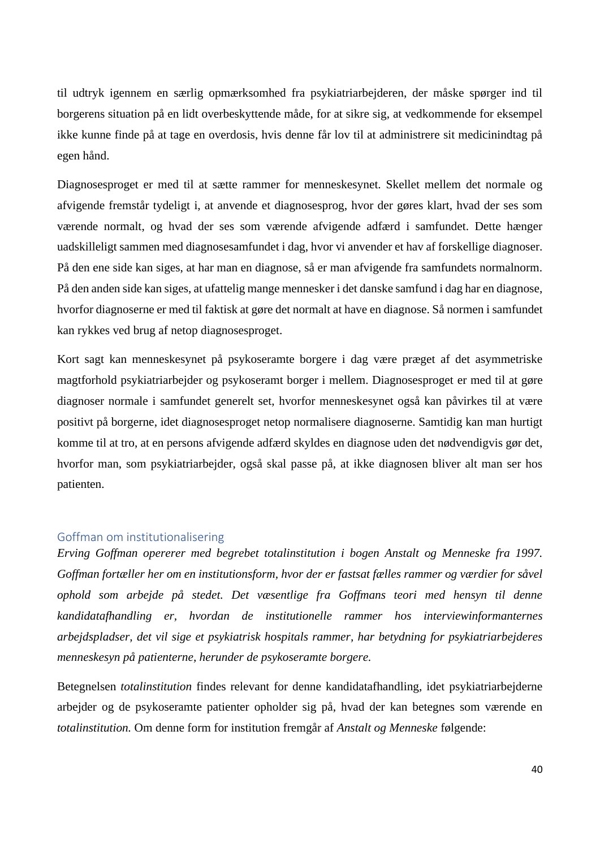til udtryk igennem en særlig opmærksomhed fra psykiatriarbejderen, der måske spørger ind til borgerens situation på en lidt overbeskyttende måde, for at sikre sig, at vedkommende for eksempel ikke kunne finde på at tage en overdosis, hvis denne får lov til at administrere sit medicinindtag på egen hånd.

Diagnosesproget er med til at sætte rammer for menneskesynet. Skellet mellem det normale og afvigende fremstår tydeligt i, at anvende et diagnosesprog, hvor der gøres klart, hvad der ses som værende normalt, og hvad der ses som værende afvigende adfærd i samfundet. Dette hænger uadskilleligt sammen med diagnosesamfundet i dag, hvor vi anvender et hav af forskellige diagnoser. På den ene side kan siges, at har man en diagnose, så er man afvigende fra samfundets normalnorm. På den anden side kan siges, at ufattelig mange mennesker i det danske samfund i dag har en diagnose, hvorfor diagnoserne er med til faktisk at gøre det normalt at have en diagnose. Så normen i samfundet kan rykkes ved brug af netop diagnosesproget.

Kort sagt kan menneskesynet på psykoseramte borgere i dag være præget af det asymmetriske magtforhold psykiatriarbejder og psykoseramt borger i mellem. Diagnosesproget er med til at gøre diagnoser normale i samfundet generelt set, hvorfor menneskesynet også kan påvirkes til at være positivt på borgerne, idet diagnosesproget netop normalisere diagnoserne. Samtidig kan man hurtigt komme til at tro, at en persons afvigende adfærd skyldes en diagnose uden det nødvendigvis gør det, hvorfor man, som psykiatriarbejder, også skal passe på, at ikke diagnosen bliver alt man ser hos patienten.

#### Goffman om institutionalisering

*Erving Goffman opererer med begrebet totalinstitution i bogen Anstalt og Menneske fra 1997. Goffman fortæller her om en institutionsform, hvor der er fastsat fælles rammer og værdier for såvel ophold som arbejde på stedet. Det væsentlige fra Goffmans teori med hensyn til denne kandidatafhandling er, hvordan de institutionelle rammer hos interviewinformanternes arbejdspladser, det vil sige et psykiatrisk hospitals rammer, har betydning for psykiatriarbejderes menneskesyn på patienterne, herunder de psykoseramte borgere.* 

Betegnelsen *totalinstitution* findes relevant for denne kandidatafhandling, idet psykiatriarbejderne arbejder og de psykoseramte patienter opholder sig på, hvad der kan betegnes som værende en *totalinstitution.* Om denne form for institution fremgår af *Anstalt og Menneske* følgende: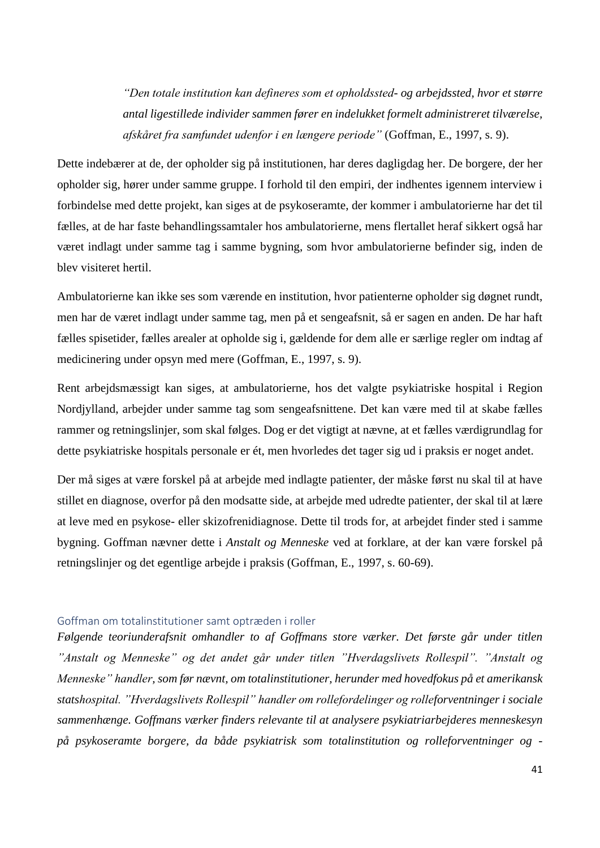*"Den totale institution kan defineres som et opholdssted- og arbejdssted, hvor et større antal ligestillede individer sammen fører en indelukket formelt administreret tilværelse, afskåret fra samfundet udenfor i en længere periode"* (Goffman, E., 1997, s. 9).

Dette indebærer at de, der opholder sig på institutionen, har deres dagligdag her. De borgere, der her opholder sig, hører under samme gruppe. I forhold til den empiri, der indhentes igennem interview i forbindelse med dette projekt, kan siges at de psykoseramte, der kommer i ambulatorierne har det til fælles, at de har faste behandlingssamtaler hos ambulatorierne, mens flertallet heraf sikkert også har været indlagt under samme tag i samme bygning, som hvor ambulatorierne befinder sig, inden de blev visiteret hertil.

Ambulatorierne kan ikke ses som værende en institution, hvor patienterne opholder sig døgnet rundt, men har de været indlagt under samme tag, men på et sengeafsnit, så er sagen en anden. De har haft fælles spisetider, fælles arealer at opholde sig i, gældende for dem alle er særlige regler om indtag af medicinering under opsyn med mere (Goffman, E., 1997, s. 9).

Rent arbejdsmæssigt kan siges, at ambulatorierne, hos det valgte psykiatriske hospital i Region Nordjylland, arbejder under samme tag som sengeafsnittene. Det kan være med til at skabe fælles rammer og retningslinjer, som skal følges. Dog er det vigtigt at nævne, at et fælles værdigrundlag for dette psykiatriske hospitals personale er ét, men hvorledes det tager sig ud i praksis er noget andet.

Der må siges at være forskel på at arbejde med indlagte patienter, der måske først nu skal til at have stillet en diagnose, overfor på den modsatte side, at arbejde med udredte patienter, der skal til at lære at leve med en psykose- eller skizofrenidiagnose. Dette til trods for, at arbejdet finder sted i samme bygning. Goffman nævner dette i *Anstalt og Menneske* ved at forklare, at der kan være forskel på retningslinjer og det egentlige arbejde i praksis (Goffman, E., 1997, s. 60-69).

#### Goffman om totalinstitutioner samt optræden i roller

*Følgende teoriunderafsnit omhandler to af Goffmans store værker. Det første går under titlen "Anstalt og Menneske" og det andet går under titlen "Hverdagslivets Rollespil". "Anstalt og Menneske" handler, som før nævnt, om totalinstitutioner, herunder med hovedfokus på et amerikansk statshospital. "Hverdagslivets Rollespil" handler om rollefordelinger og rolleforventninger i sociale sammenhænge. Goffmans værker finders relevante til at analysere psykiatriarbejderes menneskesyn på psykoseramte borgere, da både psykiatrisk som totalinstitution og rolleforventninger og -*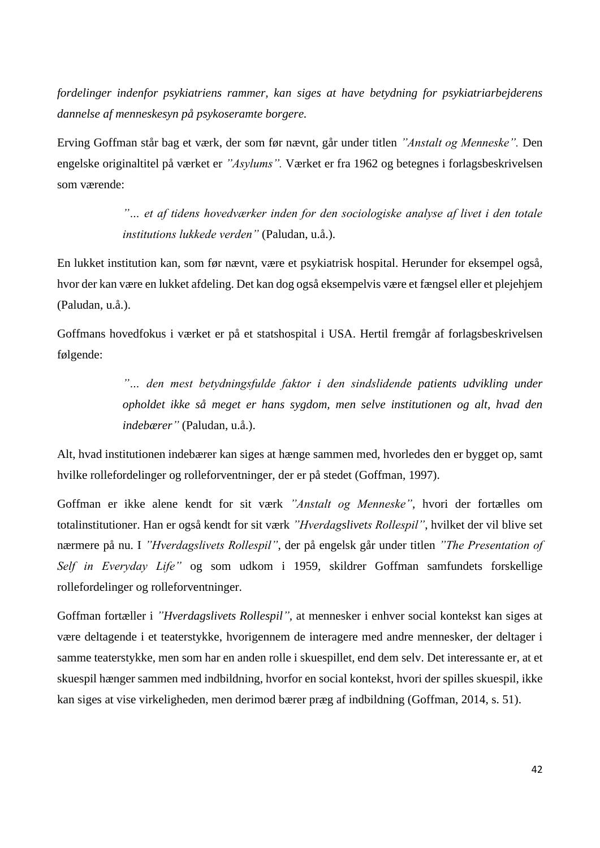*fordelinger indenfor psykiatriens rammer, kan siges at have betydning for psykiatriarbejderens dannelse af menneskesyn på psykoseramte borgere.*

Erving Goffman står bag et værk, der som før nævnt, går under titlen *"Anstalt og Menneske".* Den engelske originaltitel på værket er *"Asylums".* Værket er fra 1962 og betegnes i forlagsbeskrivelsen som værende:

> *"… et af tidens hovedværker inden for den sociologiske analyse af livet i den totale institutions lukkede verden"* (Paludan, u.å.).

En lukket institution kan, som før nævnt, være et psykiatrisk hospital. Herunder for eksempel også, hvor der kan være en lukket afdeling. Det kan dog også eksempelvis være et fængsel eller et plejehjem (Paludan, u.å.).

Goffmans hovedfokus i værket er på et statshospital i USA. Hertil fremgår af forlagsbeskrivelsen følgende:

> *"… den mest betydningsfulde faktor i den sindslidende patients udvikling under opholdet ikke så meget er hans sygdom, men selve institutionen og alt, hvad den indebærer"* (Paludan, u.å.).

Alt, hvad institutionen indebærer kan siges at hænge sammen med, hvorledes den er bygget op, samt hvilke rollefordelinger og rolleforventninger, der er på stedet (Goffman, 1997).

Goffman er ikke alene kendt for sit værk *"Anstalt og Menneske"*, hvori der fortælles om totalinstitutioner. Han er også kendt for sit værk *"Hverdagslivets Rollespil"*, hvilket der vil blive set nærmere på nu. I *"Hverdagslivets Rollespil"*, der på engelsk går under titlen *"The Presentation of Self in Everyday Life"* og som udkom i 1959, skildrer Goffman samfundets forskellige rollefordelinger og rolleforventninger.

Goffman fortæller i *"Hverdagslivets Rollespil",* at mennesker i enhver social kontekst kan siges at være deltagende i et teaterstykke, hvorigennem de interagere med andre mennesker, der deltager i samme teaterstykke, men som har en anden rolle i skuespillet, end dem selv. Det interessante er, at et skuespil hænger sammen med indbildning, hvorfor en social kontekst, hvori der spilles skuespil, ikke kan siges at vise virkeligheden, men derimod bærer præg af indbildning (Goffman, 2014, s. 51).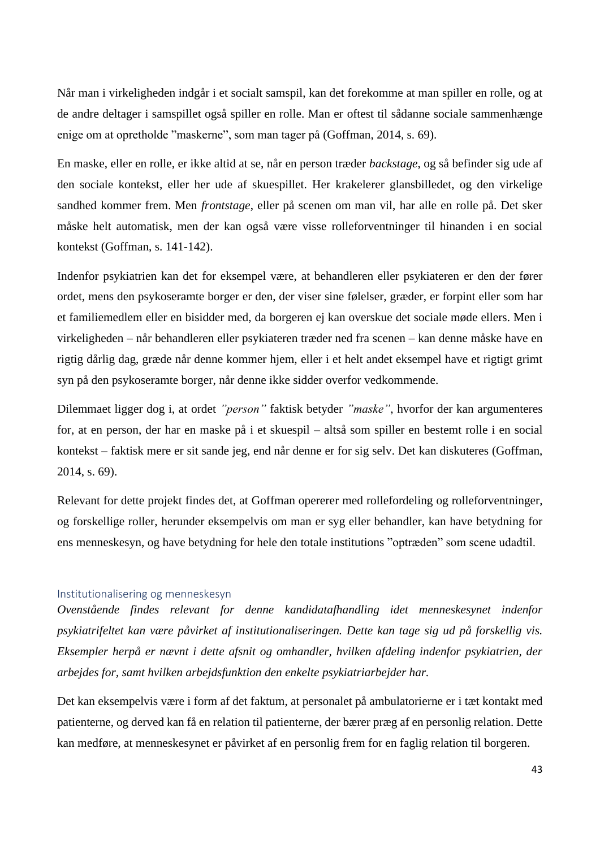Når man i virkeligheden indgår i et socialt samspil, kan det forekomme at man spiller en rolle, og at de andre deltager i samspillet også spiller en rolle. Man er oftest til sådanne sociale sammenhænge enige om at opretholde "maskerne", som man tager på (Goffman, 2014, s. 69).

En maske, eller en rolle, er ikke altid at se, når en person træder *backstage*, og så befinder sig ude af den sociale kontekst, eller her ude af skuespillet. Her krakelerer glansbilledet, og den virkelige sandhed kommer frem. Men *frontstage*, eller på scenen om man vil, har alle en rolle på. Det sker måske helt automatisk, men der kan også være visse rolleforventninger til hinanden i en social kontekst (Goffman, s. 141-142).

Indenfor psykiatrien kan det for eksempel være, at behandleren eller psykiateren er den der fører ordet, mens den psykoseramte borger er den, der viser sine følelser, græder, er forpint eller som har et familiemedlem eller en bisidder med, da borgeren ej kan overskue det sociale møde ellers. Men i virkeligheden – når behandleren eller psykiateren træder ned fra scenen – kan denne måske have en rigtig dårlig dag, græde når denne kommer hjem, eller i et helt andet eksempel have et rigtigt grimt syn på den psykoseramte borger, når denne ikke sidder overfor vedkommende.

Dilemmaet ligger dog i, at ordet *"person"* faktisk betyder *"maske"*, hvorfor der kan argumenteres for, at en person, der har en maske på i et skuespil – altså som spiller en bestemt rolle i en social kontekst – faktisk mere er sit sande jeg, end når denne er for sig selv. Det kan diskuteres (Goffman, 2014, s. 69).

Relevant for dette projekt findes det, at Goffman opererer med rollefordeling og rolleforventninger, og forskellige roller, herunder eksempelvis om man er syg eller behandler, kan have betydning for ens menneskesyn, og have betydning for hele den totale institutions "optræden" som scene udadtil.

#### Institutionalisering og menneskesyn

*Ovenstående findes relevant for denne kandidatafhandling idet menneskesynet indenfor psykiatrifeltet kan være påvirket af institutionaliseringen. Dette kan tage sig ud på forskellig vis. Eksempler herpå er nævnt i dette afsnit og omhandler, hvilken afdeling indenfor psykiatrien, der arbejdes for, samt hvilken arbejdsfunktion den enkelte psykiatriarbejder har.*

Det kan eksempelvis være i form af det faktum, at personalet på ambulatorierne er i tæt kontakt med patienterne, og derved kan få en relation til patienterne, der bærer præg af en personlig relation. Dette kan medføre, at menneskesynet er påvirket af en personlig frem for en faglig relation til borgeren.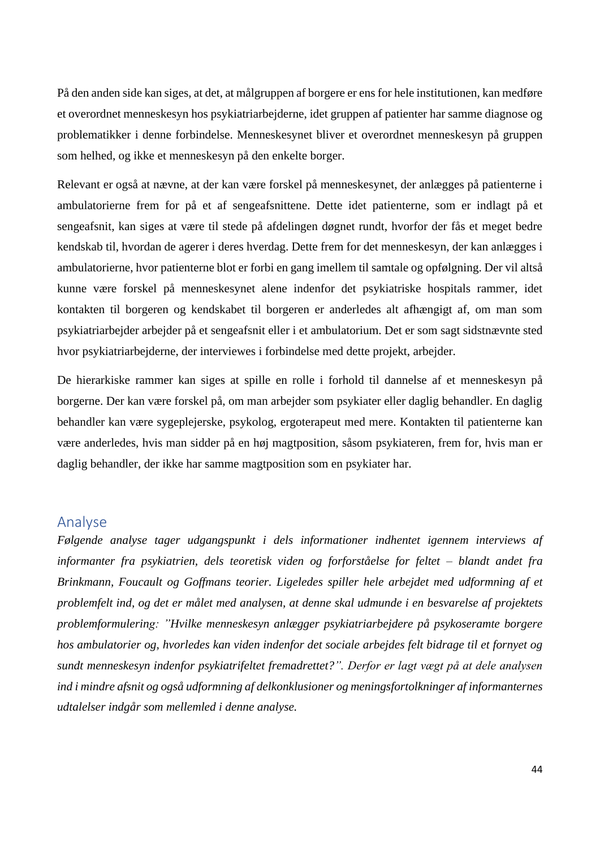På den anden side kan siges, at det, at målgruppen af borgere er ens for hele institutionen, kan medføre et overordnet menneskesyn hos psykiatriarbejderne, idet gruppen af patienter har samme diagnose og problematikker i denne forbindelse. Menneskesynet bliver et overordnet menneskesyn på gruppen som helhed, og ikke et menneskesyn på den enkelte borger.

Relevant er også at nævne, at der kan være forskel på menneskesynet, der anlægges på patienterne i ambulatorierne frem for på et af sengeafsnittene. Dette idet patienterne, som er indlagt på et sengeafsnit, kan siges at være til stede på afdelingen døgnet rundt, hvorfor der fås et meget bedre kendskab til, hvordan de agerer i deres hverdag. Dette frem for det menneskesyn, der kan anlægges i ambulatorierne, hvor patienterne blot er forbi en gang imellem til samtale og opfølgning. Der vil altså kunne være forskel på menneskesynet alene indenfor det psykiatriske hospitals rammer, idet kontakten til borgeren og kendskabet til borgeren er anderledes alt afhængigt af, om man som psykiatriarbejder arbejder på et sengeafsnit eller i et ambulatorium. Det er som sagt sidstnævnte sted hvor psykiatriarbejderne, der interviewes i forbindelse med dette projekt, arbejder.

De hierarkiske rammer kan siges at spille en rolle i forhold til dannelse af et menneskesyn på borgerne. Der kan være forskel på, om man arbejder som psykiater eller daglig behandler. En daglig behandler kan være sygeplejerske, psykolog, ergoterapeut med mere. Kontakten til patienterne kan være anderledes, hvis man sidder på en høj magtposition, såsom psykiateren, frem for, hvis man er daglig behandler, der ikke har samme magtposition som en psykiater har.

## Analyse

*Følgende analyse tager udgangspunkt i dels informationer indhentet igennem interviews af informanter fra psykiatrien, dels teoretisk viden og forforståelse for feltet – blandt andet fra Brinkmann, Foucault og Goffmans teorier. Ligeledes spiller hele arbejdet med udformning af et problemfelt ind, og det er målet med analysen, at denne skal udmunde i en besvarelse af projektets problemformulering: "Hvilke menneskesyn anlægger psykiatriarbejdere på psykoseramte borgere hos ambulatorier og, hvorledes kan viden indenfor det sociale arbejdes felt bidrage til et fornyet og sundt menneskesyn indenfor psykiatrifeltet fremadrettet?". Derfor er lagt vægt på at dele analysen ind i mindre afsnit og også udformning af delkonklusioner og meningsfortolkninger af informanternes udtalelser indgår som mellemled i denne analyse.*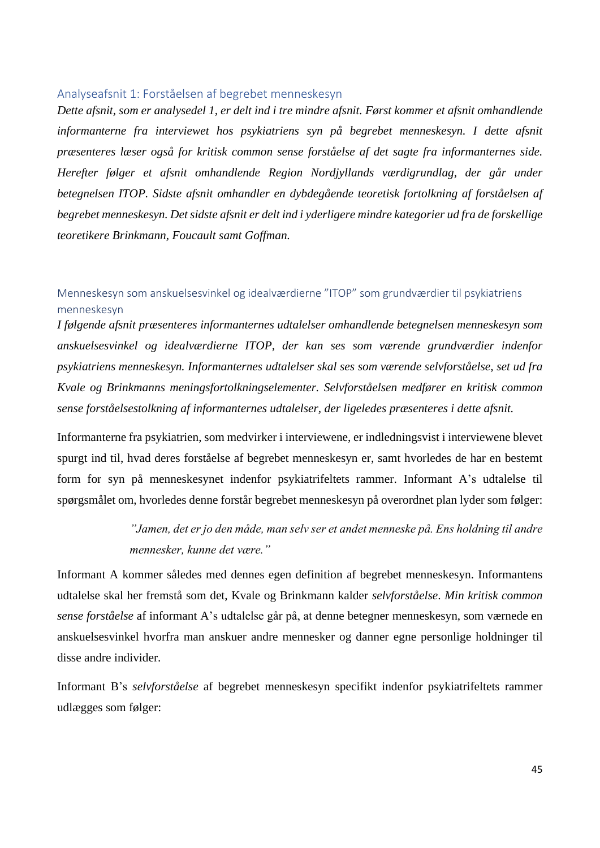## Analyseafsnit 1: Forståelsen af begrebet menneskesyn

*Dette afsnit, som er analysedel 1, er delt ind i tre mindre afsnit. Først kommer et afsnit omhandlende informanterne fra interviewet hos psykiatriens syn på begrebet menneskesyn. I dette afsnit præsenteres læser også for kritisk common sense forståelse af det sagte fra informanternes side. Herefter følger et afsnit omhandlende Region Nordjyllands værdigrundlag, der går under betegnelsen ITOP. Sidste afsnit omhandler en dybdegående teoretisk fortolkning af forståelsen af begrebet menneskesyn. Det sidste afsnit er delt ind i yderligere mindre kategorier ud fra de forskellige teoretikere Brinkmann, Foucault samt Goffman.*

## Menneskesyn som anskuelsesvinkel og idealværdierne "ITOP" som grundværdier til psykiatriens menneskesyn

*I følgende afsnit præsenteres informanternes udtalelser omhandlende betegnelsen menneskesyn som anskuelsesvinkel og idealværdierne ITOP, der kan ses som værende grundværdier indenfor psykiatriens menneskesyn. Informanternes udtalelser skal ses som værende selvforståelse, set ud fra Kvale og Brinkmanns meningsfortolkningselementer. Selvforståelsen medfører en kritisk common sense forståelsestolkning af informanternes udtalelser, der ligeledes præsenteres i dette afsnit.* 

Informanterne fra psykiatrien, som medvirker i interviewene, er indledningsvist i interviewene blevet spurgt ind til, hvad deres forståelse af begrebet menneskesyn er, samt hvorledes de har en bestemt form for syn på menneskesynet indenfor psykiatrifeltets rammer. Informant A's udtalelse til spørgsmålet om, hvorledes denne forstår begrebet menneskesyn på overordnet plan lyder som følger:

# *"Jamen, det er jo den måde, man selv ser et andet menneske på. Ens holdning til andre mennesker, kunne det være."*

Informant A kommer således med dennes egen definition af begrebet menneskesyn. Informantens udtalelse skal her fremstå som det, Kvale og Brinkmann kalder *selvforståelse*. *Min kritisk common sense forståelse* af informant A's udtalelse går på, at denne betegner menneskesyn, som værnede en anskuelsesvinkel hvorfra man anskuer andre mennesker og danner egne personlige holdninger til disse andre individer.

Informant B's *selvforståelse* af begrebet menneskesyn specifikt indenfor psykiatrifeltets rammer udlægges som følger: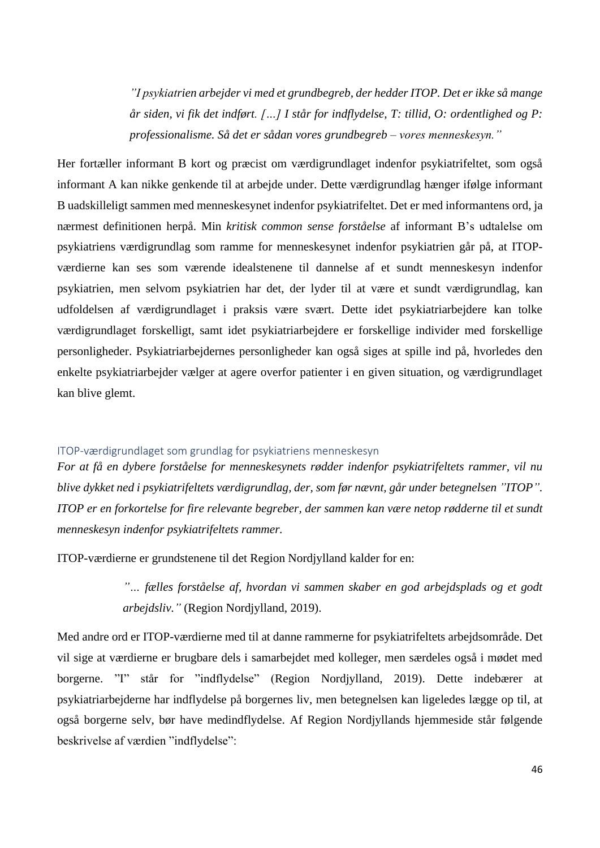*"I psykiatrien arbejder vi med et grundbegreb, der hedder ITOP. Det er ikke så mange år siden, vi fik det indført. […] I står for indflydelse, T: tillid, O: ordentlighed og P: professionalisme. Så det er sådan vores grundbegreb – vores menneskesyn."*

Her fortæller informant B kort og præcist om værdigrundlaget indenfor psykiatrifeltet, som også informant A kan nikke genkende til at arbejde under. Dette værdigrundlag hænger ifølge informant B uadskilleligt sammen med menneskesynet indenfor psykiatrifeltet. Det er med informantens ord, ja nærmest definitionen herpå. Min *kritisk common sense forståelse* af informant B's udtalelse om psykiatriens værdigrundlag som ramme for menneskesynet indenfor psykiatrien går på, at ITOPværdierne kan ses som værende idealstenene til dannelse af et sundt menneskesyn indenfor psykiatrien, men selvom psykiatrien har det, der lyder til at være et sundt værdigrundlag, kan udfoldelsen af værdigrundlaget i praksis være svært. Dette idet psykiatriarbejdere kan tolke værdigrundlaget forskelligt, samt idet psykiatriarbejdere er forskellige individer med forskellige personligheder. Psykiatriarbejdernes personligheder kan også siges at spille ind på, hvorledes den enkelte psykiatriarbejder vælger at agere overfor patienter i en given situation, og værdigrundlaget kan blive glemt.

## ITOP-værdigrundlaget som grundlag for psykiatriens menneskesyn

*For at få en dybere forståelse for menneskesynets rødder indenfor psykiatrifeltets rammer, vil nu blive dykket ned i psykiatrifeltets værdigrundlag, der, som før nævnt, går under betegnelsen "ITOP". ITOP er en forkortelse for fire relevante begreber, der sammen kan være netop rødderne til et sundt menneskesyn indenfor psykiatrifeltets rammer.* 

ITOP-værdierne er grundstenene til det Region Nordjylland kalder for en:

*"… fælles forståelse af, hvordan vi sammen skaber en god arbejdsplads og et godt arbejdsliv."* (Region Nordjylland, 2019).

Med andre ord er ITOP-værdierne med til at danne rammerne for psykiatrifeltets arbejdsområde. Det vil sige at værdierne er brugbare dels i samarbejdet med kolleger, men særdeles også i mødet med borgerne. "I" står for "indflydelse" (Region Nordjylland, 2019). Dette indebærer at psykiatriarbejderne har indflydelse på borgernes liv, men betegnelsen kan ligeledes lægge op til, at også borgerne selv, bør have medindflydelse. Af Region Nordjyllands hjemmeside står følgende beskrivelse af værdien "indflydelse":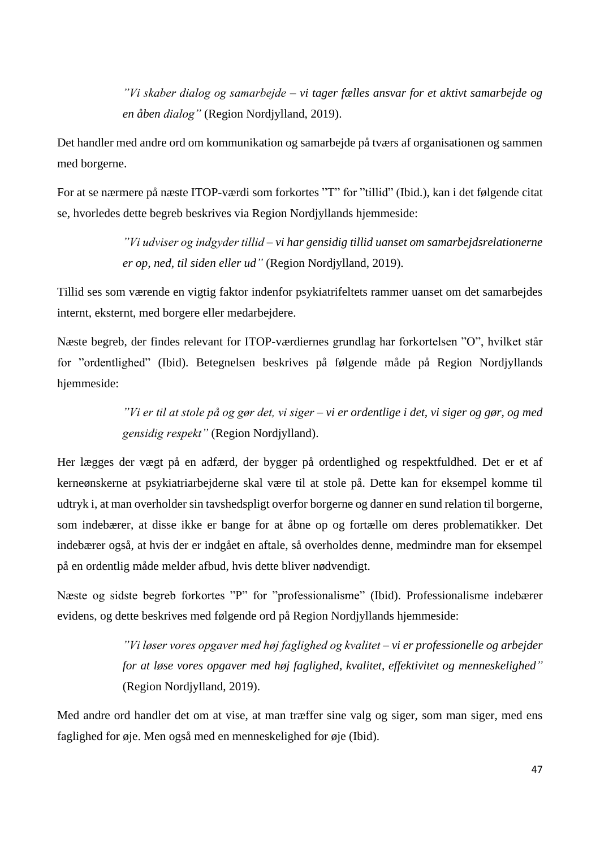*"Vi skaber dialog og samarbejde – vi tager fælles ansvar for et aktivt samarbejde og en åben dialog"* (Region Nordjylland, 2019).

Det handler med andre ord om kommunikation og samarbejde på tværs af organisationen og sammen med borgerne.

For at se nærmere på næste ITOP-værdi som forkortes "T" for "tillid" (Ibid.), kan i det følgende citat se, hvorledes dette begreb beskrives via Region Nordjyllands hjemmeside:

> *"Vi udviser og indgyder tillid – vi har gensidig tillid uanset om samarbejdsrelationerne er op, ned, til siden eller ud"* (Region Nordjylland, 2019).

Tillid ses som værende en vigtig faktor indenfor psykiatrifeltets rammer uanset om det samarbejdes internt, eksternt, med borgere eller medarbejdere.

Næste begreb, der findes relevant for ITOP-værdiernes grundlag har forkortelsen "O", hvilket står for "ordentlighed" (Ibid). Betegnelsen beskrives på følgende måde på Region Nordjyllands hjemmeside:

> *"Vi er til at stole på og gør det, vi siger – vi er ordentlige i det, vi siger og gør, og med gensidig respekt"* (Region Nordjylland).

Her lægges der vægt på en adfærd, der bygger på ordentlighed og respektfuldhed. Det er et af kerneønskerne at psykiatriarbejderne skal være til at stole på. Dette kan for eksempel komme til udtryk i, at man overholder sin tavshedspligt overfor borgerne og danner en sund relation til borgerne, som indebærer, at disse ikke er bange for at åbne op og fortælle om deres problematikker. Det indebærer også, at hvis der er indgået en aftale, så overholdes denne, medmindre man for eksempel på en ordentlig måde melder afbud, hvis dette bliver nødvendigt.

Næste og sidste begreb forkortes "P" for "professionalisme" (Ibid). Professionalisme indebærer evidens, og dette beskrives med følgende ord på Region Nordjyllands hjemmeside:

> *"Vi løser vores opgaver med høj faglighed og kvalitet – vi er professionelle og arbejder for at løse vores opgaver med høj faglighed, kvalitet, effektivitet og menneskelighed"* (Region Nordjylland, 2019).

Med andre ord handler det om at vise, at man træffer sine valg og siger, som man siger, med ens faglighed for øje. Men også med en menneskelighed for øje (Ibid).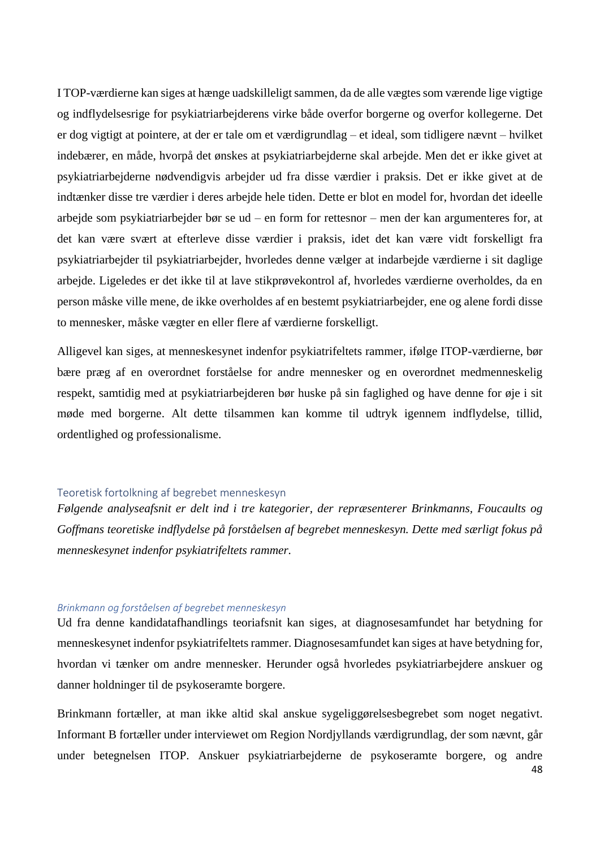I TOP-værdierne kan siges at hænge uadskilleligt sammen, da de alle vægtes som værende lige vigtige og indflydelsesrige for psykiatriarbejderens virke både overfor borgerne og overfor kollegerne. Det er dog vigtigt at pointere, at der er tale om et værdigrundlag – et ideal, som tidligere nævnt – hvilket indebærer, en måde, hvorpå det ønskes at psykiatriarbejderne skal arbejde. Men det er ikke givet at psykiatriarbejderne nødvendigvis arbejder ud fra disse værdier i praksis. Det er ikke givet at de indtænker disse tre værdier i deres arbejde hele tiden. Dette er blot en model for, hvordan det ideelle arbejde som psykiatriarbejder bør se ud – en form for rettesnor – men der kan argumenteres for, at det kan være svært at efterleve disse værdier i praksis, idet det kan være vidt forskelligt fra psykiatriarbejder til psykiatriarbejder, hvorledes denne vælger at indarbejde værdierne i sit daglige arbejde. Ligeledes er det ikke til at lave stikprøvekontrol af, hvorledes værdierne overholdes, da en person måske ville mene, de ikke overholdes af en bestemt psykiatriarbejder, ene og alene fordi disse to mennesker, måske vægter en eller flere af værdierne forskelligt.

Alligevel kan siges, at menneskesynet indenfor psykiatrifeltets rammer, ifølge ITOP-værdierne, bør bære præg af en overordnet forståelse for andre mennesker og en overordnet medmenneskelig respekt, samtidig med at psykiatriarbejderen bør huske på sin faglighed og have denne for øje i sit møde med borgerne. Alt dette tilsammen kan komme til udtryk igennem indflydelse, tillid, ordentlighed og professionalisme.

### Teoretisk fortolkning af begrebet menneskesyn

*Følgende analyseafsnit er delt ind i tre kategorier, der repræsenterer Brinkmanns, Foucaults og Goffmans teoretiske indflydelse på forståelsen af begrebet menneskesyn. Dette med særligt fokus på menneskesynet indenfor psykiatrifeltets rammer.*

#### *Brinkmann og forståelsen af begrebet menneskesyn*

Ud fra denne kandidatafhandlings teoriafsnit kan siges, at diagnosesamfundet har betydning for menneskesynet indenfor psykiatrifeltets rammer. Diagnosesamfundet kan siges at have betydning for, hvordan vi tænker om andre mennesker. Herunder også hvorledes psykiatriarbejdere anskuer og danner holdninger til de psykoseramte borgere.

Brinkmann fortæller, at man ikke altid skal anskue sygeliggørelsesbegrebet som noget negativt. Informant B fortæller under interviewet om Region Nordjyllands værdigrundlag, der som nævnt, går under betegnelsen ITOP. Anskuer psykiatriarbejderne de psykoseramte borgere, og andre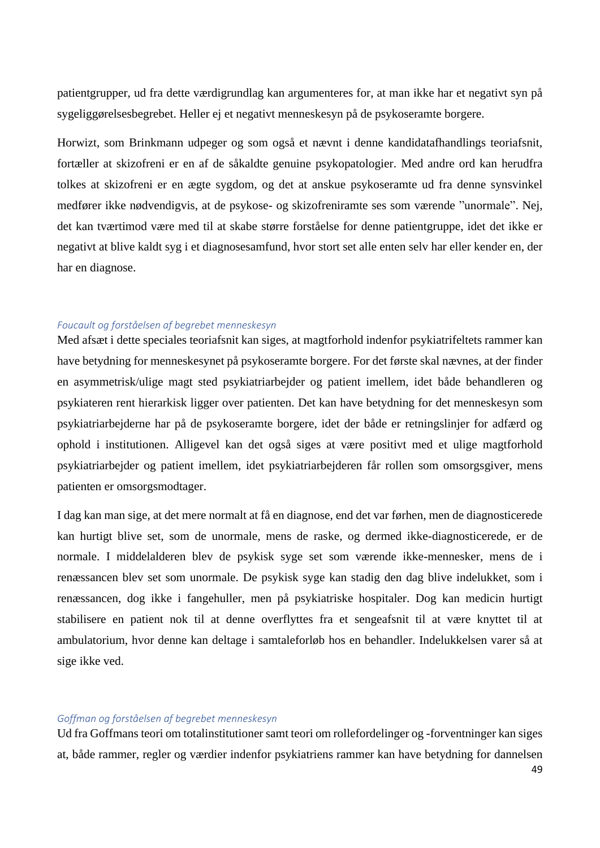patientgrupper, ud fra dette værdigrundlag kan argumenteres for, at man ikke har et negativt syn på sygeliggørelsesbegrebet. Heller ej et negativt menneskesyn på de psykoseramte borgere.

Horwizt, som Brinkmann udpeger og som også et nævnt i denne kandidatafhandlings teoriafsnit, fortæller at skizofreni er en af de såkaldte genuine psykopatologier. Med andre ord kan herudfra tolkes at skizofreni er en ægte sygdom, og det at anskue psykoseramte ud fra denne synsvinkel medfører ikke nødvendigvis, at de psykose- og skizofreniramte ses som værende "unormale". Nej, det kan tværtimod være med til at skabe større forståelse for denne patientgruppe, idet det ikke er negativt at blive kaldt syg i et diagnosesamfund, hvor stort set alle enten selv har eller kender en, der har en diagnose.

#### *Foucault og forståelsen af begrebet menneskesyn*

Med afsæt i dette speciales teoriafsnit kan siges, at magtforhold indenfor psykiatrifeltets rammer kan have betydning for menneskesynet på psykoseramte borgere. For det første skal nævnes, at der finder en asymmetrisk/ulige magt sted psykiatriarbejder og patient imellem, idet både behandleren og psykiateren rent hierarkisk ligger over patienten. Det kan have betydning for det menneskesyn som psykiatriarbejderne har på de psykoseramte borgere, idet der både er retningslinjer for adfærd og ophold i institutionen. Alligevel kan det også siges at være positivt med et ulige magtforhold psykiatriarbejder og patient imellem, idet psykiatriarbejderen får rollen som omsorgsgiver, mens patienten er omsorgsmodtager.

I dag kan man sige, at det mere normalt at få en diagnose, end det var førhen, men de diagnosticerede kan hurtigt blive set, som de unormale, mens de raske, og dermed ikke-diagnosticerede, er de normale. I middelalderen blev de psykisk syge set som værende ikke-mennesker, mens de i renæssancen blev set som unormale. De psykisk syge kan stadig den dag blive indelukket, som i renæssancen, dog ikke i fangehuller, men på psykiatriske hospitaler. Dog kan medicin hurtigt stabilisere en patient nok til at denne overflyttes fra et sengeafsnit til at være knyttet til at ambulatorium, hvor denne kan deltage i samtaleforløb hos en behandler. Indelukkelsen varer så at sige ikke ved.

#### *Goffman og forståelsen af begrebet menneskesyn*

Ud fra Goffmans teori om totalinstitutioner samt teori om rollefordelinger og -forventninger kan siges at, både rammer, regler og værdier indenfor psykiatriens rammer kan have betydning for dannelsen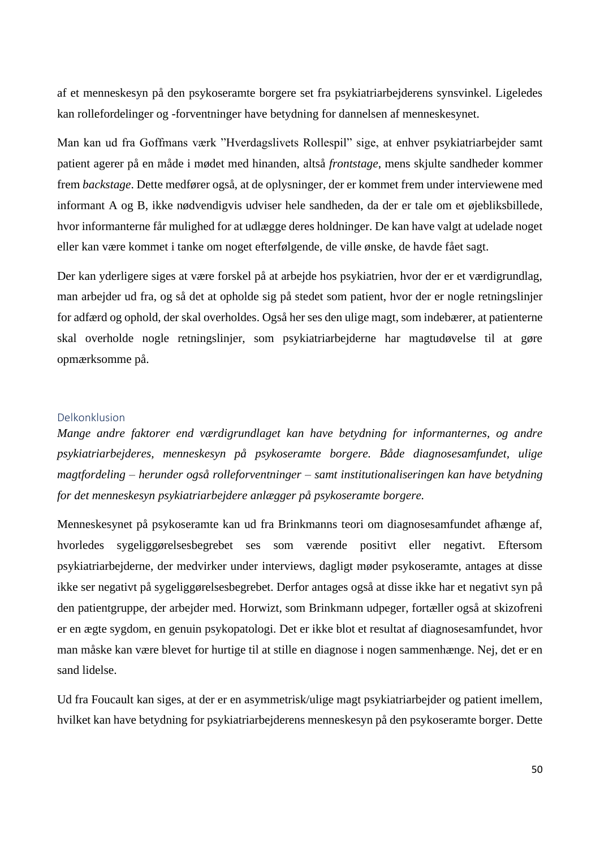af et menneskesyn på den psykoseramte borgere set fra psykiatriarbejderens synsvinkel. Ligeledes kan rollefordelinger og -forventninger have betydning for dannelsen af menneskesynet.

Man kan ud fra Goffmans værk "Hverdagslivets Rollespil" sige, at enhver psykiatriarbejder samt patient agerer på en måde i mødet med hinanden, altså *frontstage*, mens skjulte sandheder kommer frem *backstage*. Dette medfører også, at de oplysninger, der er kommet frem under interviewene med informant A og B, ikke nødvendigvis udviser hele sandheden, da der er tale om et øjebliksbillede, hvor informanterne får mulighed for at udlægge deres holdninger. De kan have valgt at udelade noget eller kan være kommet i tanke om noget efterfølgende, de ville ønske, de havde fået sagt.

Der kan yderligere siges at være forskel på at arbejde hos psykiatrien, hvor der er et værdigrundlag, man arbejder ud fra, og så det at opholde sig på stedet som patient, hvor der er nogle retningslinjer for adfærd og ophold, der skal overholdes. Også her ses den ulige magt, som indebærer, at patienterne skal overholde nogle retningslinjer, som psykiatriarbejderne har magtudøvelse til at gøre opmærksomme på.

#### Delkonklusion

*Mange andre faktorer end værdigrundlaget kan have betydning for informanternes, og andre psykiatriarbejderes, menneskesyn på psykoseramte borgere. Både diagnosesamfundet, ulige magtfordeling – herunder også rolleforventninger – samt institutionaliseringen kan have betydning for det menneskesyn psykiatriarbejdere anlægger på psykoseramte borgere.*

Menneskesynet på psykoseramte kan ud fra Brinkmanns teori om diagnosesamfundet afhænge af, hvorledes sygeliggørelsesbegrebet ses som værende positivt eller negativt. Eftersom psykiatriarbejderne, der medvirker under interviews, dagligt møder psykoseramte, antages at disse ikke ser negativt på sygeliggørelsesbegrebet. Derfor antages også at disse ikke har et negativt syn på den patientgruppe, der arbejder med. Horwizt, som Brinkmann udpeger, fortæller også at skizofreni er en ægte sygdom, en genuin psykopatologi. Det er ikke blot et resultat af diagnosesamfundet, hvor man måske kan være blevet for hurtige til at stille en diagnose i nogen sammenhænge. Nej, det er en sand lidelse.

Ud fra Foucault kan siges, at der er en asymmetrisk/ulige magt psykiatriarbejder og patient imellem, hvilket kan have betydning for psykiatriarbejderens menneskesyn på den psykoseramte borger. Dette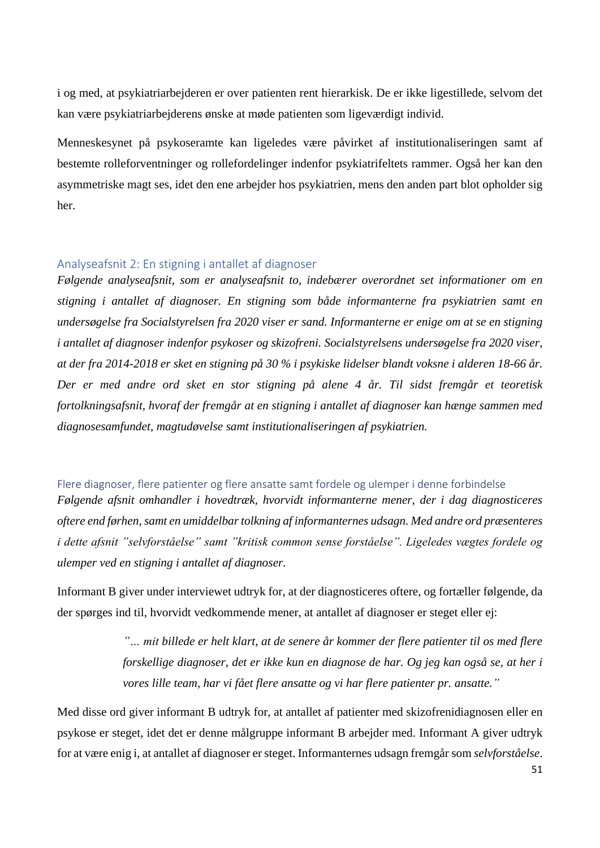i og med, at psykiatriarbejderen er over patienten rent hierarkisk. De er ikke ligestillede, selvom det kan være psykiatriarbejderens ønske at møde patienten som ligeværdigt individ.

Menneskesynet på psykoseramte kan ligeledes være påvirket af institutionaliseringen samt af bestemte rolleforventninger og rollefordelinger indenfor psykiatrifeltets rammer. Også her kan den asymmetriske magt ses, idet den ene arbejder hos psykiatrien, mens den anden part blot opholder sig her.

## Analyseafsnit 2: En stigning i antallet af diagnoser

*Følgende analyseafsnit, som er analyseafsnit to, indebærer overordnet set informationer om en stigning i antallet af diagnoser. En stigning som både informanterne fra psykiatrien samt en undersøgelse fra Socialstyrelsen fra 2020 viser er sand. Informanterne er enige om at se en stigning i antallet af diagnoser indenfor psykoser og skizofreni. Socialstyrelsens undersøgelse fra 2020 viser, at der fra 2014-2018 er sket en stigning på 30 % i psykiske lidelser blandt voksne i alderen 18-66 år. Der er med andre ord sket en stor stigning på alene 4 år. Til sidst fremgår et teoretisk fortolkningsafsnit, hvoraf der fremgår at en stigning i antallet af diagnoser kan hænge sammen med diagnosesamfundet, magtudøvelse samt institutionaliseringen af psykiatrien.* 

## Flere diagnoser, flere patienter og flere ansatte samt fordele og ulemper i denne forbindelse

*Følgende afsnit omhandler i hovedtræk, hvorvidt informanterne mener, der i dag diagnosticeres oftere end førhen, samt en umiddelbar tolkning af informanternes udsagn. Med andre ord præsenteres i dette afsnit "selvforståelse" samt "kritisk common sense forståelse". Ligeledes vægtes fordele og ulemper ved en stigning i antallet af diagnoser.* 

Informant B giver under interviewet udtryk for, at der diagnosticeres oftere, og fortæller følgende, da der spørges ind til, hvorvidt vedkommende mener, at antallet af diagnoser er steget eller ej:

> *"… mit billede er helt klart, at de senere år kommer der flere patienter til os med flere forskellige diagnoser, det er ikke kun en diagnose de har. Og jeg kan også se, at her i vores lille team, har vi fået flere ansatte og vi har flere patienter pr. ansatte."*

Med disse ord giver informant B udtryk for, at antallet af patienter med skizofrenidiagnosen eller en psykose er steget, idet det er denne målgruppe informant B arbejder med. Informant A giver udtryk for at være enig i, at antallet af diagnoser er steget. Informanternes udsagn fremgår som *selvforståelse*.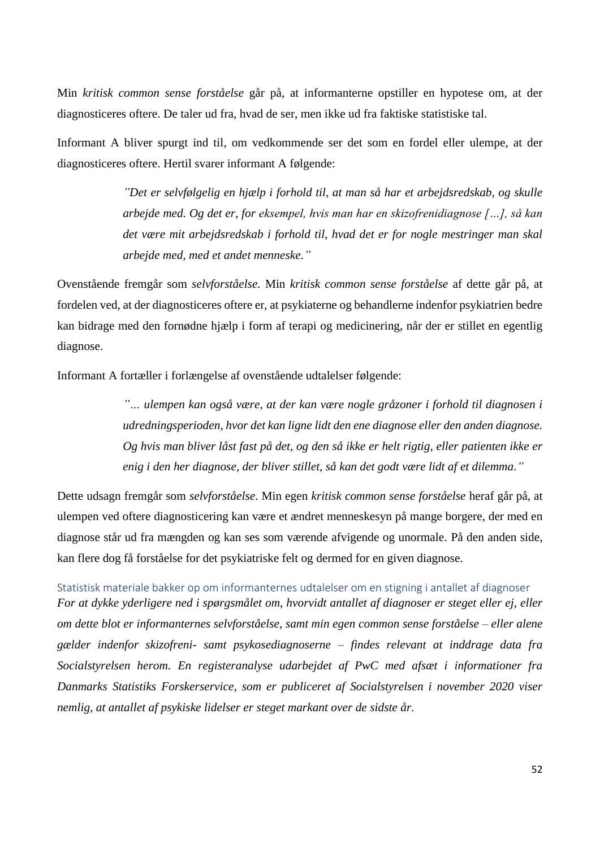Min *kritisk common sense forståelse* går på, at informanterne opstiller en hypotese om, at der diagnosticeres oftere. De taler ud fra, hvad de ser, men ikke ud fra faktiske statistiske tal.

Informant A bliver spurgt ind til, om vedkommende ser det som en fordel eller ulempe, at der diagnosticeres oftere. Hertil svarer informant A følgende:

> *"Det er selvfølgelig en hjælp i forhold til, at man så har et arbejdsredskab, og skulle arbejde med. Og det er, for eksempel, hvis man har en skizofrenidiagnose […], så kan det være mit arbejdsredskab i forhold til, hvad det er for nogle mestringer man skal arbejde med, med et andet menneske."*

Ovenstående fremgår som *selvforståelse.* Min *kritisk common sense forståelse* af dette går på, at fordelen ved, at der diagnosticeres oftere er, at psykiaterne og behandlerne indenfor psykiatrien bedre kan bidrage med den fornødne hjælp i form af terapi og medicinering, når der er stillet en egentlig diagnose.

Informant A fortæller i forlængelse af ovenstående udtalelser følgende:

*"… ulempen kan også være, at der kan være nogle gråzoner i forhold til diagnosen i udredningsperioden, hvor det kan ligne lidt den ene diagnose eller den anden diagnose. Og hvis man bliver låst fast på det, og den så ikke er helt rigtig, eller patienten ikke er enig i den her diagnose, der bliver stillet, så kan det godt være lidt af et dilemma."*

Dette udsagn fremgår som *selvforståelse*. Min egen *kritisk common sense forståelse* heraf går på, at ulempen ved oftere diagnosticering kan være et ændret menneskesyn på mange borgere, der med en diagnose står ud fra mængden og kan ses som værende afvigende og unormale. På den anden side, kan flere dog få forståelse for det psykiatriske felt og dermed for en given diagnose.

Statistisk materiale bakker op om informanternes udtalelser om en stigning i antallet af diagnoser *For at dykke yderligere ned i spørgsmålet om, hvorvidt antallet af diagnoser er steget eller ej, eller om dette blot er informanternes selvforståelse, samt min egen common sense forståelse – eller alene gælder indenfor skizofreni- samt psykosediagnoserne – findes relevant at inddrage data fra Socialstyrelsen herom. En registeranalyse udarbejdet af PwC med afsæt i informationer fra Danmarks Statistiks Forskerservice, som er publiceret af Socialstyrelsen i november 2020 viser nemlig, at antallet af psykiske lidelser er steget markant over de sidste år.*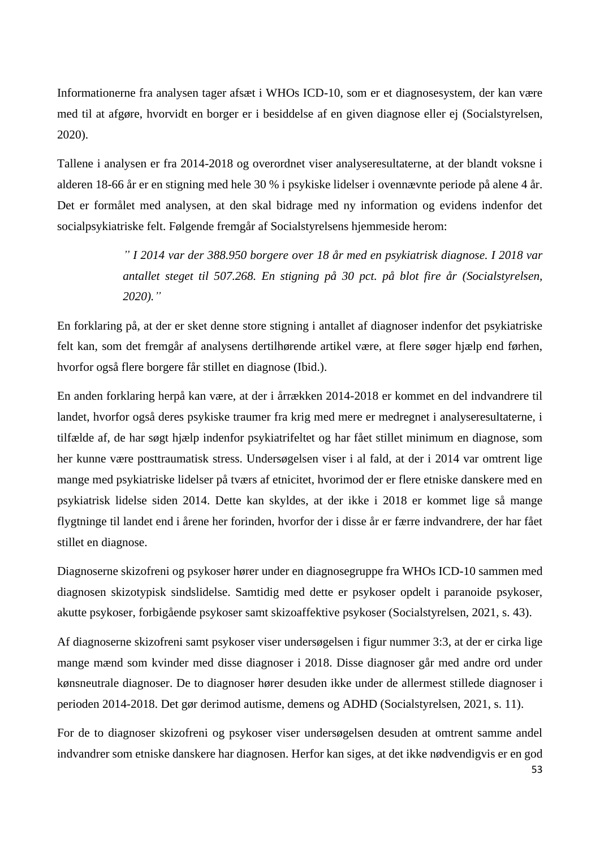Informationerne fra analysen tager afsæt i WHOs ICD-10, som er et diagnosesystem, der kan være med til at afgøre, hvorvidt en borger er i besiddelse af en given diagnose eller ej (Socialstyrelsen, 2020).

Tallene i analysen er fra 2014-2018 og overordnet viser analyseresultaterne, at der blandt voksne i alderen 18-66 år er en stigning med hele 30 % i psykiske lidelser i ovennævnte periode på alene 4 år. Det er formålet med analysen, at den skal bidrage med ny information og evidens indenfor det socialpsykiatriske felt. Følgende fremgår af Socialstyrelsens hjemmeside herom:

> *" I 2014 var der 388.950 borgere over 18 år med en psykiatrisk diagnose. I 2018 var antallet steget til 507.268. En stigning på 30 pct. på blot fire år (Socialstyrelsen, 2020)."*

En forklaring på, at der er sket denne store stigning i antallet af diagnoser indenfor det psykiatriske felt kan, som det fremgår af analysens dertilhørende artikel være, at flere søger hjælp end førhen, hvorfor også flere borgere får stillet en diagnose (Ibid.).

En anden forklaring herpå kan være, at der i årrækken 2014-2018 er kommet en del indvandrere til landet, hvorfor også deres psykiske traumer fra krig med mere er medregnet i analyseresultaterne, i tilfælde af, de har søgt hjælp indenfor psykiatrifeltet og har fået stillet minimum en diagnose, som her kunne være posttraumatisk stress. Undersøgelsen viser i al fald, at der i 2014 var omtrent lige mange med psykiatriske lidelser på tværs af etnicitet, hvorimod der er flere etniske danskere med en psykiatrisk lidelse siden 2014. Dette kan skyldes, at der ikke i 2018 er kommet lige så mange flygtninge til landet end i årene her forinden, hvorfor der i disse år er færre indvandrere, der har fået stillet en diagnose.

Diagnoserne skizofreni og psykoser hører under en diagnosegruppe fra WHOs ICD-10 sammen med diagnosen skizotypisk sindslidelse. Samtidig med dette er psykoser opdelt i paranoide psykoser, akutte psykoser, forbigående psykoser samt skizoaffektive psykoser (Socialstyrelsen, 2021, s. 43).

Af diagnoserne skizofreni samt psykoser viser undersøgelsen i figur nummer 3:3, at der er cirka lige mange mænd som kvinder med disse diagnoser i 2018. Disse diagnoser går med andre ord under kønsneutrale diagnoser. De to diagnoser hører desuden ikke under de allermest stillede diagnoser i perioden 2014-2018. Det gør derimod autisme, demens og ADHD (Socialstyrelsen, 2021, s. 11).

For de to diagnoser skizofreni og psykoser viser undersøgelsen desuden at omtrent samme andel indvandrer som etniske danskere har diagnosen. Herfor kan siges, at det ikke nødvendigvis er en god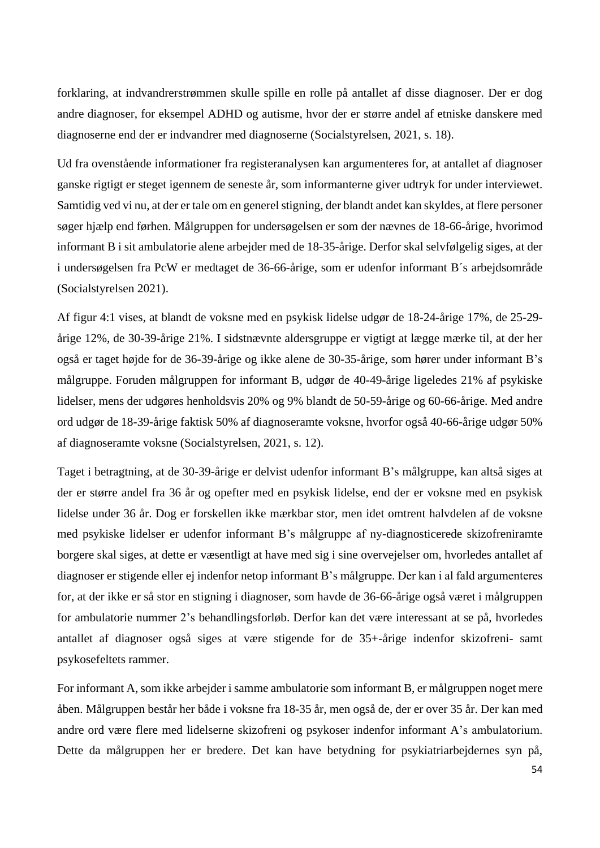forklaring, at indvandrerstrømmen skulle spille en rolle på antallet af disse diagnoser. Der er dog andre diagnoser, for eksempel ADHD og autisme, hvor der er større andel af etniske danskere med diagnoserne end der er indvandrer med diagnoserne (Socialstyrelsen, 2021, s. 18).

Ud fra ovenstående informationer fra registeranalysen kan argumenteres for, at antallet af diagnoser ganske rigtigt er steget igennem de seneste år, som informanterne giver udtryk for under interviewet. Samtidig ved vi nu, at der er tale om en generel stigning, der blandt andet kan skyldes, at flere personer søger hjælp end førhen. Målgruppen for undersøgelsen er som der nævnes de 18-66-årige, hvorimod informant B i sit ambulatorie alene arbejder med de 18-35-årige. Derfor skal selvfølgelig siges, at der i undersøgelsen fra PcW er medtaget de 36-66-årige, som er udenfor informant B´s arbejdsområde (Socialstyrelsen 2021).

Af figur 4:1 vises, at blandt de voksne med en psykisk lidelse udgør de 18-24-årige 17%, de 25-29 årige 12%, de 30-39-årige 21%. I sidstnævnte aldersgruppe er vigtigt at lægge mærke til, at der her også er taget højde for de 36-39-årige og ikke alene de 30-35-årige, som hører under informant B's målgruppe. Foruden målgruppen for informant B, udgør de 40-49-årige ligeledes 21% af psykiske lidelser, mens der udgøres henholdsvis 20% og 9% blandt de 50-59-årige og 60-66-årige. Med andre ord udgør de 18-39-årige faktisk 50% af diagnoseramte voksne, hvorfor også 40-66-årige udgør 50% af diagnoseramte voksne (Socialstyrelsen, 2021, s. 12).

Taget i betragtning, at de 30-39-årige er delvist udenfor informant B's målgruppe, kan altså siges at der er større andel fra 36 år og opefter med en psykisk lidelse, end der er voksne med en psykisk lidelse under 36 år. Dog er forskellen ikke mærkbar stor, men idet omtrent halvdelen af de voksne med psykiske lidelser er udenfor informant B's målgruppe af ny-diagnosticerede skizofreniramte borgere skal siges, at dette er væsentligt at have med sig i sine overvejelser om, hvorledes antallet af diagnoser er stigende eller ej indenfor netop informant B's målgruppe. Der kan i al fald argumenteres for, at der ikke er så stor en stigning i diagnoser, som havde de 36-66-årige også været i målgruppen for ambulatorie nummer 2's behandlingsforløb. Derfor kan det være interessant at se på, hvorledes antallet af diagnoser også siges at være stigende for de 35+-årige indenfor skizofreni- samt psykosefeltets rammer.

For informant A, som ikke arbejder i samme ambulatorie som informant B, er målgruppen noget mere åben. Målgruppen består her både i voksne fra 18-35 år, men også de, der er over 35 år. Der kan med andre ord være flere med lidelserne skizofreni og psykoser indenfor informant A's ambulatorium. Dette da målgruppen her er bredere. Det kan have betydning for psykiatriarbejdernes syn på,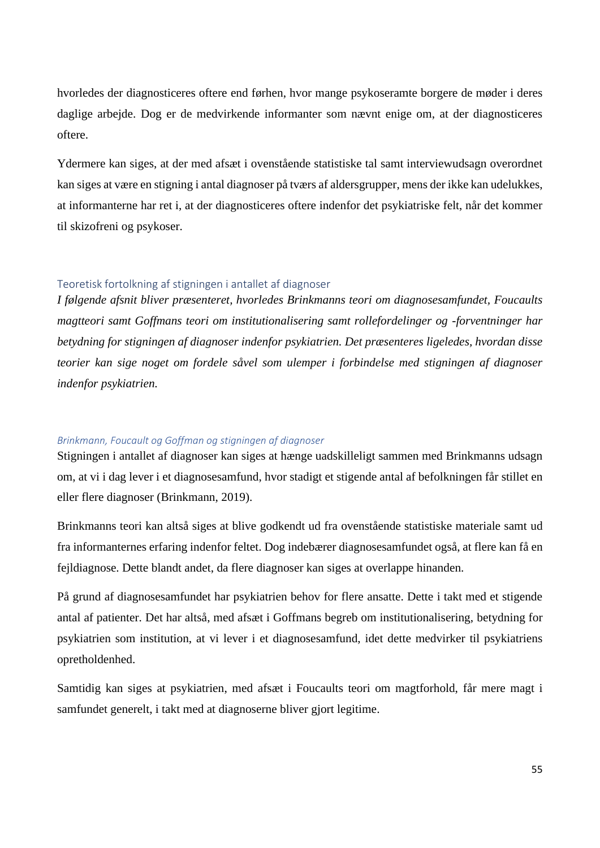hvorledes der diagnosticeres oftere end førhen, hvor mange psykoseramte borgere de møder i deres daglige arbejde. Dog er de medvirkende informanter som nævnt enige om, at der diagnosticeres oftere.

Ydermere kan siges, at der med afsæt i ovenstående statistiske tal samt interviewudsagn overordnet kan siges at være en stigning i antal diagnoser på tværs af aldersgrupper, mens der ikke kan udelukkes, at informanterne har ret i, at der diagnosticeres oftere indenfor det psykiatriske felt, når det kommer til skizofreni og psykoser.

## Teoretisk fortolkning af stigningen i antallet af diagnoser

*I følgende afsnit bliver præsenteret, hvorledes Brinkmanns teori om diagnosesamfundet, Foucaults magtteori samt Goffmans teori om institutionalisering samt rollefordelinger og -forventninger har betydning for stigningen af diagnoser indenfor psykiatrien. Det præsenteres ligeledes, hvordan disse teorier kan sige noget om fordele såvel som ulemper i forbindelse med stigningen af diagnoser indenfor psykiatrien.* 

#### *Brinkmann, Foucault og Goffman og stigningen af diagnoser*

Stigningen i antallet af diagnoser kan siges at hænge uadskilleligt sammen med Brinkmanns udsagn om, at vi i dag lever i et diagnosesamfund, hvor stadigt et stigende antal af befolkningen får stillet en eller flere diagnoser (Brinkmann, 2019).

Brinkmanns teori kan altså siges at blive godkendt ud fra ovenstående statistiske materiale samt ud fra informanternes erfaring indenfor feltet. Dog indebærer diagnosesamfundet også, at flere kan få en fejldiagnose. Dette blandt andet, da flere diagnoser kan siges at overlappe hinanden.

På grund af diagnosesamfundet har psykiatrien behov for flere ansatte. Dette i takt med et stigende antal af patienter. Det har altså, med afsæt i Goffmans begreb om institutionalisering, betydning for psykiatrien som institution, at vi lever i et diagnosesamfund, idet dette medvirker til psykiatriens opretholdenhed.

Samtidig kan siges at psykiatrien, med afsæt i Foucaults teori om magtforhold, får mere magt i samfundet generelt, i takt med at diagnoserne bliver gjort legitime.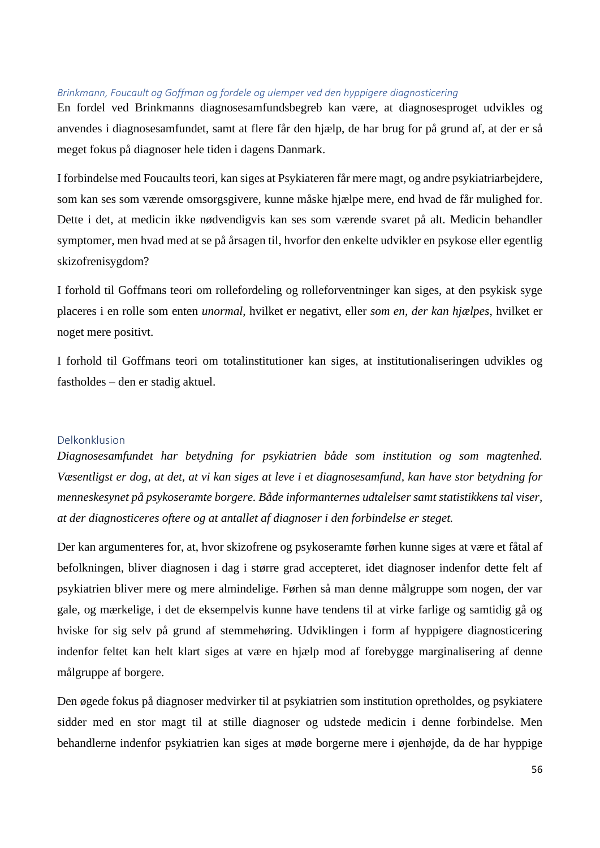#### *Brinkmann, Foucault og Goffman og fordele og ulemper ved den hyppigere diagnosticering*

En fordel ved Brinkmanns diagnosesamfundsbegreb kan være, at diagnosesproget udvikles og anvendes i diagnosesamfundet, samt at flere får den hjælp, de har brug for på grund af, at der er så meget fokus på diagnoser hele tiden i dagens Danmark.

I forbindelse med Foucaults teori, kan siges at Psykiateren får mere magt, og andre psykiatriarbejdere, som kan ses som værende omsorgsgivere, kunne måske hjælpe mere, end hvad de får mulighed for. Dette i det, at medicin ikke nødvendigvis kan ses som værende svaret på alt. Medicin behandler symptomer, men hvad med at se på årsagen til, hvorfor den enkelte udvikler en psykose eller egentlig skizofrenisygdom?

I forhold til Goffmans teori om rollefordeling og rolleforventninger kan siges, at den psykisk syge placeres i en rolle som enten *unormal*, hvilket er negativt, eller *som en, der kan hjælpes*, hvilket er noget mere positivt.

I forhold til Goffmans teori om totalinstitutioner kan siges, at institutionaliseringen udvikles og fastholdes – den er stadig aktuel.

#### Delkonklusion

*Diagnosesamfundet har betydning for psykiatrien både som institution og som magtenhed. Væsentligst er dog, at det, at vi kan siges at leve i et diagnosesamfund, kan have stor betydning for menneskesynet på psykoseramte borgere. Både informanternes udtalelser samt statistikkens tal viser, at der diagnosticeres oftere og at antallet af diagnoser i den forbindelse er steget.* 

Der kan argumenteres for, at, hvor skizofrene og psykoseramte førhen kunne siges at være et fåtal af befolkningen, bliver diagnosen i dag i større grad accepteret, idet diagnoser indenfor dette felt af psykiatrien bliver mere og mere almindelige. Førhen så man denne målgruppe som nogen, der var gale, og mærkelige, i det de eksempelvis kunne have tendens til at virke farlige og samtidig gå og hviske for sig selv på grund af stemmehøring. Udviklingen i form af hyppigere diagnosticering indenfor feltet kan helt klart siges at være en hjælp mod af forebygge marginalisering af denne målgruppe af borgere.

Den øgede fokus på diagnoser medvirker til at psykiatrien som institution opretholdes, og psykiatere sidder med en stor magt til at stille diagnoser og udstede medicin i denne forbindelse. Men behandlerne indenfor psykiatrien kan siges at møde borgerne mere i øjenhøjde, da de har hyppige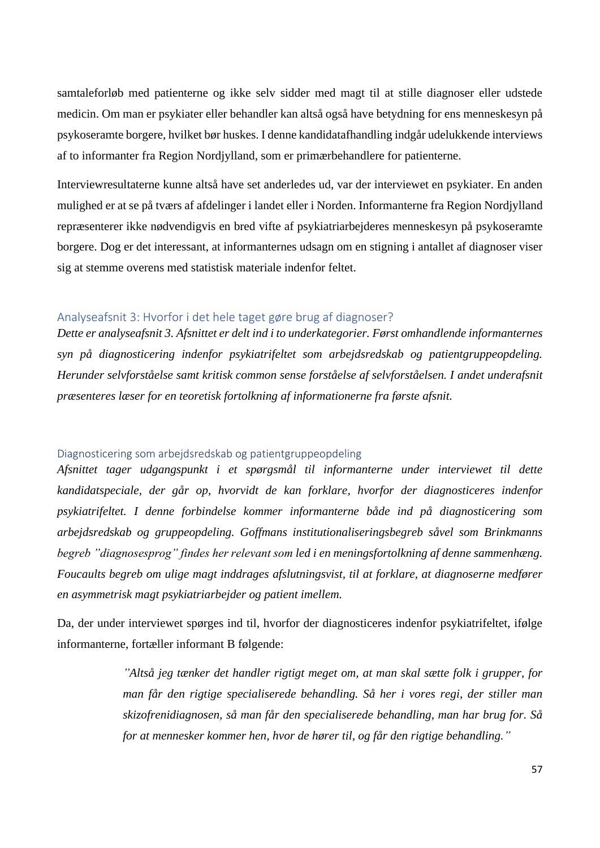samtaleforløb med patienterne og ikke selv sidder med magt til at stille diagnoser eller udstede medicin. Om man er psykiater eller behandler kan altså også have betydning for ens menneskesyn på psykoseramte borgere, hvilket bør huskes. I denne kandidatafhandling indgår udelukkende interviews af to informanter fra Region Nordjylland, som er primærbehandlere for patienterne.

Interviewresultaterne kunne altså have set anderledes ud, var der interviewet en psykiater. En anden mulighed er at se på tværs af afdelinger i landet eller i Norden. Informanterne fra Region Nordjylland repræsenterer ikke nødvendigvis en bred vifte af psykiatriarbejderes menneskesyn på psykoseramte borgere. Dog er det interessant, at informanternes udsagn om en stigning i antallet af diagnoser viser sig at stemme overens med statistisk materiale indenfor feltet.

## Analyseafsnit 3: Hvorfor i det hele taget gøre brug af diagnoser?

*Dette er analyseafsnit 3. Afsnittet er delt ind i to underkategorier. Først omhandlende informanternes syn på diagnosticering indenfor psykiatrifeltet som arbejdsredskab og patientgruppeopdeling. Herunder selvforståelse samt kritisk common sense forståelse af selvforståelsen. I andet underafsnit præsenteres læser for en teoretisk fortolkning af informationerne fra første afsnit.* 

#### Diagnosticering som arbejdsredskab og patientgruppeopdeling

*Afsnittet tager udgangspunkt i et spørgsmål til informanterne under interviewet til dette kandidatspeciale, der går op, hvorvidt de kan forklare, hvorfor der diagnosticeres indenfor psykiatrifeltet. I denne forbindelse kommer informanterne både ind på diagnosticering som arbejdsredskab og gruppeopdeling. Goffmans institutionaliseringsbegreb såvel som Brinkmanns begreb "diagnosesprog" findes her relevant som led i en meningsfortolkning af denne sammenhæng. Foucaults begreb om ulige magt inddrages afslutningsvist, til at forklare, at diagnoserne medfører en asymmetrisk magt psykiatriarbejder og patient imellem.* 

Da, der under interviewet spørges ind til, hvorfor der diagnosticeres indenfor psykiatrifeltet, ifølge informanterne, fortæller informant B følgende:

> *"Altså jeg tænker det handler rigtigt meget om, at man skal sætte folk i grupper, for man får den rigtige specialiserede behandling. Så her i vores regi, der stiller man skizofrenidiagnosen, så man får den specialiserede behandling, man har brug for. Så for at mennesker kommer hen, hvor de hører til, og får den rigtige behandling."*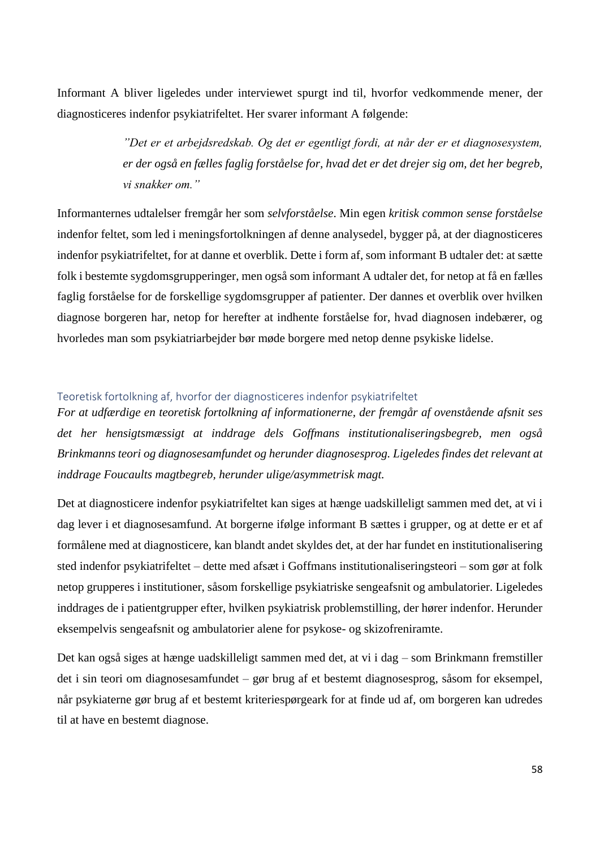Informant A bliver ligeledes under interviewet spurgt ind til, hvorfor vedkommende mener, der diagnosticeres indenfor psykiatrifeltet. Her svarer informant A følgende:

> *"Det er et arbejdsredskab. Og det er egentligt fordi, at når der er et diagnosesystem, er der også en fælles faglig forståelse for, hvad det er det drejer sig om, det her begreb, vi snakker om."*

Informanternes udtalelser fremgår her som *selvforståelse*. Min egen *kritisk common sense forståelse* indenfor feltet, som led i meningsfortolkningen af denne analysedel, bygger på, at der diagnosticeres indenfor psykiatrifeltet, for at danne et overblik. Dette i form af, som informant B udtaler det: at sætte folk i bestemte sygdomsgrupperinger, men også som informant A udtaler det, for netop at få en fælles faglig forståelse for de forskellige sygdomsgrupper af patienter. Der dannes et overblik over hvilken diagnose borgeren har, netop for herefter at indhente forståelse for, hvad diagnosen indebærer, og hvorledes man som psykiatriarbejder bør møde borgere med netop denne psykiske lidelse.

### Teoretisk fortolkning af, hvorfor der diagnosticeres indenfor psykiatrifeltet

*For at udfærdige en teoretisk fortolkning af informationerne, der fremgår af ovenstående afsnit ses det her hensigtsmæssigt at inddrage dels Goffmans institutionaliseringsbegreb, men også Brinkmanns teori og diagnosesamfundet og herunder diagnosesprog. Ligeledes findes det relevant at inddrage Foucaults magtbegreb, herunder ulige/asymmetrisk magt.* 

Det at diagnosticere indenfor psykiatrifeltet kan siges at hænge uadskilleligt sammen med det, at vi i dag lever i et diagnosesamfund. At borgerne ifølge informant B sættes i grupper, og at dette er et af formålene med at diagnosticere, kan blandt andet skyldes det, at der har fundet en institutionalisering sted indenfor psykiatrifeltet – dette med afsæt i Goffmans institutionaliseringsteori – som gør at folk netop grupperes i institutioner, såsom forskellige psykiatriske sengeafsnit og ambulatorier. Ligeledes inddrages de i patientgrupper efter, hvilken psykiatrisk problemstilling, der hører indenfor. Herunder eksempelvis sengeafsnit og ambulatorier alene for psykose- og skizofreniramte.

Det kan også siges at hænge uadskilleligt sammen med det, at vi i dag – som Brinkmann fremstiller det i sin teori om diagnosesamfundet – gør brug af et bestemt diagnosesprog, såsom for eksempel, når psykiaterne gør brug af et bestemt kriteriespørgeark for at finde ud af, om borgeren kan udredes til at have en bestemt diagnose.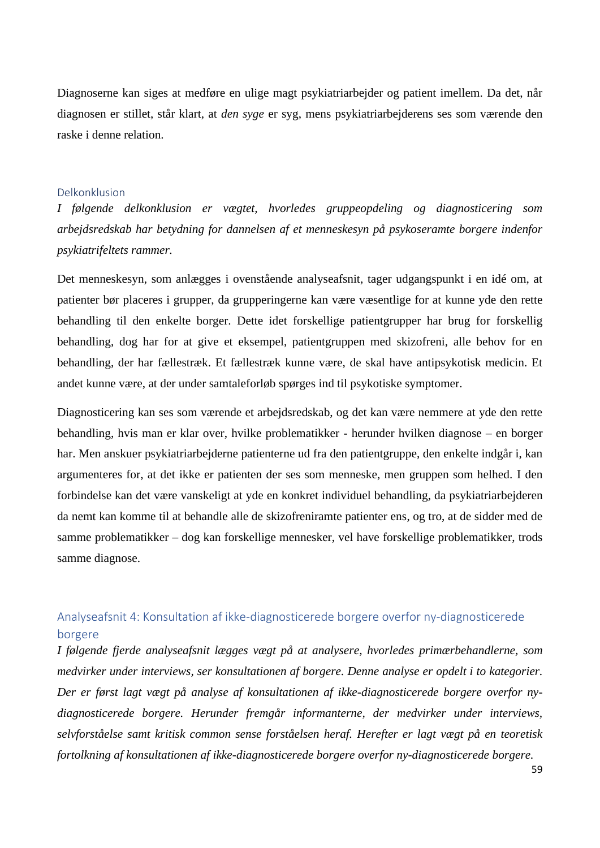Diagnoserne kan siges at medføre en ulige magt psykiatriarbejder og patient imellem. Da det, når diagnosen er stillet, står klart, at *den syge* er syg, mens psykiatriarbejderens ses som værende den raske i denne relation.

#### Delkonklusion

*I følgende delkonklusion er vægtet, hvorledes gruppeopdeling og diagnosticering som arbejdsredskab har betydning for dannelsen af et menneskesyn på psykoseramte borgere indenfor psykiatrifeltets rammer.*

Det menneskesyn, som anlægges i ovenstående analyseafsnit, tager udgangspunkt i en idé om, at patienter bør placeres i grupper, da grupperingerne kan være væsentlige for at kunne yde den rette behandling til den enkelte borger. Dette idet forskellige patientgrupper har brug for forskellig behandling, dog har for at give et eksempel, patientgruppen med skizofreni, alle behov for en behandling, der har fællestræk. Et fællestræk kunne være, de skal have antipsykotisk medicin. Et andet kunne være, at der under samtaleforløb spørges ind til psykotiske symptomer.

Diagnosticering kan ses som værende et arbejdsredskab, og det kan være nemmere at yde den rette behandling, hvis man er klar over, hvilke problematikker - herunder hvilken diagnose – en borger har. Men anskuer psykiatriarbejderne patienterne ud fra den patientgruppe, den enkelte indgår i, kan argumenteres for, at det ikke er patienten der ses som menneske, men gruppen som helhed. I den forbindelse kan det være vanskeligt at yde en konkret individuel behandling, da psykiatriarbejderen da nemt kan komme til at behandle alle de skizofreniramte patienter ens, og tro, at de sidder med de samme problematikker – dog kan forskellige mennesker, vel have forskellige problematikker, trods samme diagnose.

## Analyseafsnit 4: Konsultation af ikke-diagnosticerede borgere overfor ny-diagnosticerede borgere

*I følgende fjerde analyseafsnit lægges vægt på at analysere, hvorledes primærbehandlerne, som medvirker under interviews, ser konsultationen af borgere. Denne analyse er opdelt i to kategorier. Der er først lagt vægt på analyse af konsultationen af ikke-diagnosticerede borgere overfor nydiagnosticerede borgere. Herunder fremgår informanterne, der medvirker under interviews, selvforståelse samt kritisk common sense forståelsen heraf. Herefter er lagt vægt på en teoretisk fortolkning af konsultationen af ikke-diagnosticerede borgere overfor ny-diagnosticerede borgere.*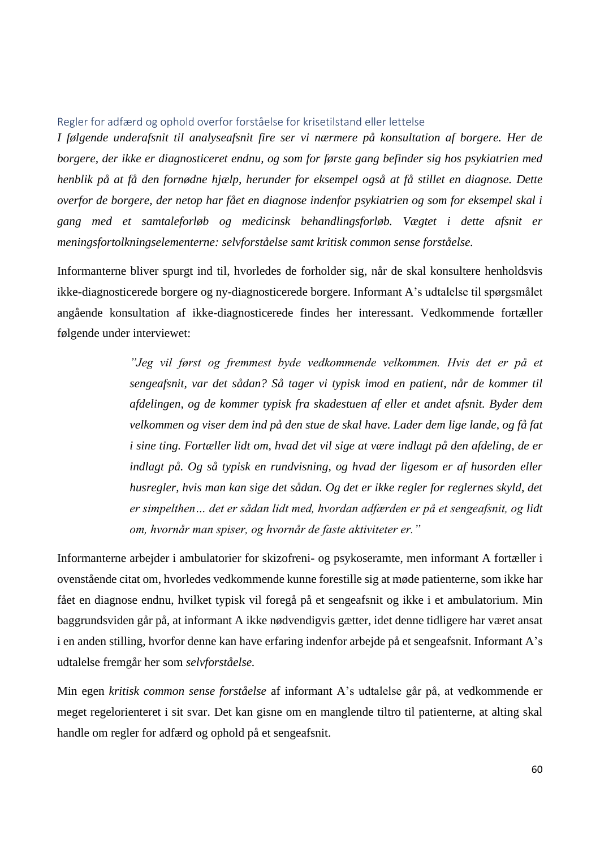Regler for adfærd og ophold overfor forståelse for krisetilstand eller lettelse

*I følgende underafsnit til analyseafsnit fire ser vi nærmere på konsultation af borgere. Her de borgere, der ikke er diagnosticeret endnu, og som for første gang befinder sig hos psykiatrien med henblik på at få den fornødne hjælp, herunder for eksempel også at få stillet en diagnose. Dette overfor de borgere, der netop har fået en diagnose indenfor psykiatrien og som for eksempel skal i gang med et samtaleforløb og medicinsk behandlingsforløb. Vægtet i dette afsnit er meningsfortolkningselementerne: selvforståelse samt kritisk common sense forståelse.*

Informanterne bliver spurgt ind til, hvorledes de forholder sig, når de skal konsultere henholdsvis ikke-diagnosticerede borgere og ny-diagnosticerede borgere. Informant A's udtalelse til spørgsmålet angående konsultation af ikke-diagnosticerede findes her interessant. Vedkommende fortæller følgende under interviewet:

> *"Jeg vil først og fremmest byde vedkommende velkommen. Hvis det er på et sengeafsnit, var det sådan? Så tager vi typisk imod en patient, når de kommer til afdelingen, og de kommer typisk fra skadestuen af eller et andet afsnit. Byder dem velkommen og viser dem ind på den stue de skal have. Lader dem lige lande, og få fat i sine ting. Fortæller lidt om, hvad det vil sige at være indlagt på den afdeling, de er indlagt på. Og så typisk en rundvisning, og hvad der ligesom er af husorden eller husregler, hvis man kan sige det sådan. Og det er ikke regler for reglernes skyld, det er simpelthen… det er sådan lidt med, hvordan adfærden er på et sengeafsnit, og lidt om, hvornår man spiser, og hvornår de faste aktiviteter er."*

Informanterne arbejder i ambulatorier for skizofreni- og psykoseramte, men informant A fortæller i ovenstående citat om, hvorledes vedkommende kunne forestille sig at møde patienterne, som ikke har fået en diagnose endnu, hvilket typisk vil foregå på et sengeafsnit og ikke i et ambulatorium. Min baggrundsviden går på, at informant A ikke nødvendigvis gætter, idet denne tidligere har været ansat i en anden stilling, hvorfor denne kan have erfaring indenfor arbejde på et sengeafsnit. Informant A's udtalelse fremgår her som *selvforståelse.* 

Min egen *kritisk common sense forståelse* af informant A's udtalelse går på, at vedkommende er meget regelorienteret i sit svar. Det kan gisne om en manglende tiltro til patienterne, at alting skal handle om regler for adfærd og ophold på et sengeafsnit.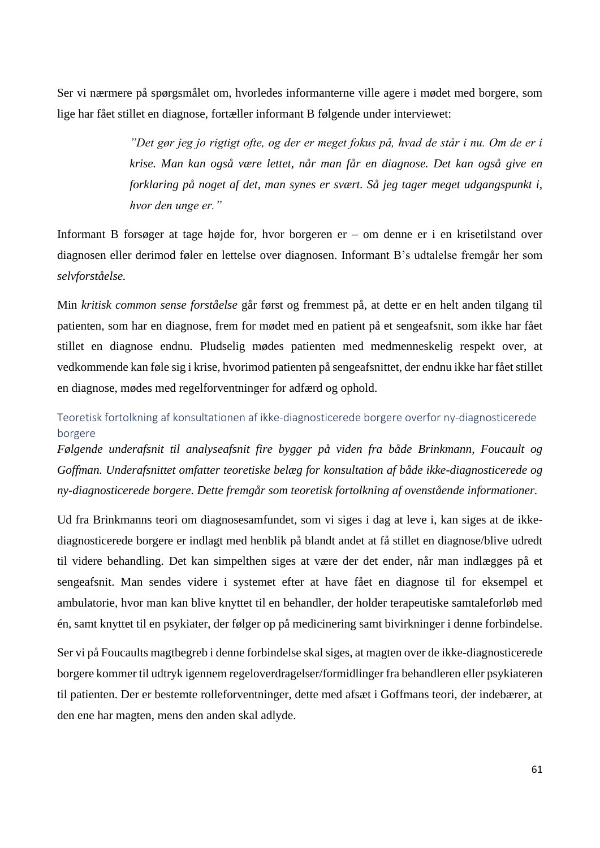Ser vi nærmere på spørgsmålet om, hvorledes informanterne ville agere i mødet med borgere, som lige har fået stillet en diagnose, fortæller informant B følgende under interviewet:

> *"Det gør jeg jo rigtigt ofte, og der er meget fokus på, hvad de står i nu. Om de er i krise. Man kan også være lettet, når man får en diagnose. Det kan også give en forklaring på noget af det, man synes er svært. Så jeg tager meget udgangspunkt i, hvor den unge er."*

Informant B forsøger at tage højde for, hvor borgeren er – om denne er i en krisetilstand over diagnosen eller derimod føler en lettelse over diagnosen. Informant B's udtalelse fremgår her som *selvforståelse.*

Min *kritisk common sense forståelse* går først og fremmest på, at dette er en helt anden tilgang til patienten, som har en diagnose, frem for mødet med en patient på et sengeafsnit, som ikke har fået stillet en diagnose endnu. Pludselig mødes patienten med medmenneskelig respekt over, at vedkommende kan føle sig i krise, hvorimod patienten på sengeafsnittet, der endnu ikke har fået stillet en diagnose, mødes med regelforventninger for adfærd og ophold.

## Teoretisk fortolkning af konsultationen af ikke-diagnosticerede borgere overfor ny-diagnosticerede borgere

*Følgende underafsnit til analyseafsnit fire bygger på viden fra både Brinkmann, Foucault og Goffman. Underafsnittet omfatter teoretiske belæg for konsultation af både ikke-diagnosticerede og ny-diagnosticerede borgere. Dette fremgår som teoretisk fortolkning af ovenstående informationer.* 

Ud fra Brinkmanns teori om diagnosesamfundet, som vi siges i dag at leve i, kan siges at de ikkediagnosticerede borgere er indlagt med henblik på blandt andet at få stillet en diagnose/blive udredt til videre behandling. Det kan simpelthen siges at være der det ender, når man indlægges på et sengeafsnit. Man sendes videre i systemet efter at have fået en diagnose til for eksempel et ambulatorie, hvor man kan blive knyttet til en behandler, der holder terapeutiske samtaleforløb med én, samt knyttet til en psykiater, der følger op på medicinering samt bivirkninger i denne forbindelse.

Ser vi på Foucaults magtbegreb i denne forbindelse skal siges, at magten over de ikke-diagnosticerede borgere kommer til udtryk igennem regeloverdragelser/formidlinger fra behandleren eller psykiateren til patienten. Der er bestemte rolleforventninger, dette med afsæt i Goffmans teori, der indebærer, at den ene har magten, mens den anden skal adlyde.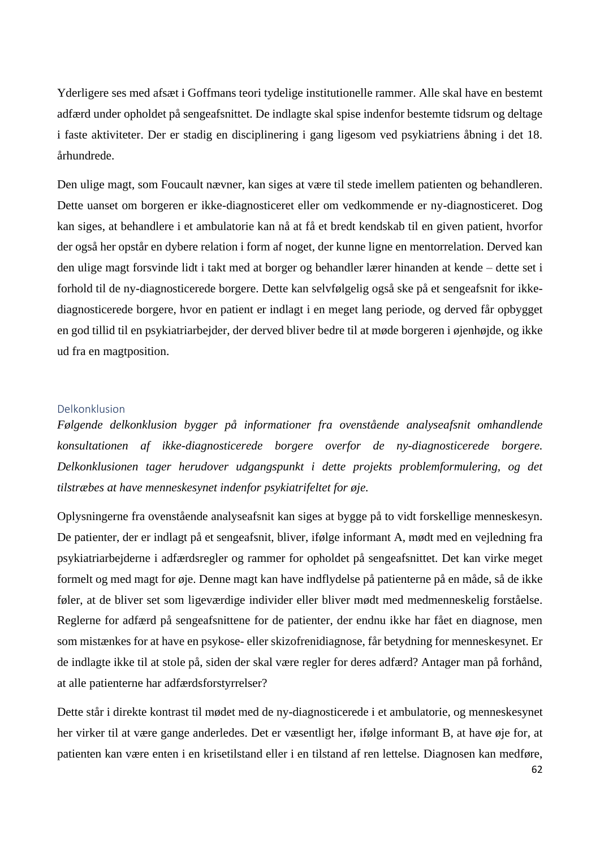Yderligere ses med afsæt i Goffmans teori tydelige institutionelle rammer. Alle skal have en bestemt adfærd under opholdet på sengeafsnittet. De indlagte skal spise indenfor bestemte tidsrum og deltage i faste aktiviteter. Der er stadig en disciplinering i gang ligesom ved psykiatriens åbning i det 18. århundrede.

Den ulige magt, som Foucault nævner, kan siges at være til stede imellem patienten og behandleren. Dette uanset om borgeren er ikke-diagnosticeret eller om vedkommende er ny-diagnosticeret. Dog kan siges, at behandlere i et ambulatorie kan nå at få et bredt kendskab til en given patient, hvorfor der også her opstår en dybere relation i form af noget, der kunne ligne en mentorrelation. Derved kan den ulige magt forsvinde lidt i takt med at borger og behandler lærer hinanden at kende – dette set i forhold til de ny-diagnosticerede borgere. Dette kan selvfølgelig også ske på et sengeafsnit for ikkediagnosticerede borgere, hvor en patient er indlagt i en meget lang periode, og derved får opbygget en god tillid til en psykiatriarbejder, der derved bliver bedre til at møde borgeren i øjenhøjde, og ikke ud fra en magtposition.

#### Delkonklusion

*Følgende delkonklusion bygger på informationer fra ovenstående analyseafsnit omhandlende konsultationen af ikke-diagnosticerede borgere overfor de ny-diagnosticerede borgere. Delkonklusionen tager herudover udgangspunkt i dette projekts problemformulering, og det tilstræbes at have menneskesynet indenfor psykiatrifeltet for øje.*

Oplysningerne fra ovenstående analyseafsnit kan siges at bygge på to vidt forskellige menneskesyn. De patienter, der er indlagt på et sengeafsnit, bliver, ifølge informant A, mødt med en vejledning fra psykiatriarbejderne i adfærdsregler og rammer for opholdet på sengeafsnittet. Det kan virke meget formelt og med magt for øje. Denne magt kan have indflydelse på patienterne på en måde, så de ikke føler, at de bliver set som ligeværdige individer eller bliver mødt med medmenneskelig forståelse. Reglerne for adfærd på sengeafsnittene for de patienter, der endnu ikke har fået en diagnose, men som mistænkes for at have en psykose- eller skizofrenidiagnose, får betydning for menneskesynet. Er de indlagte ikke til at stole på, siden der skal være regler for deres adfærd? Antager man på forhånd, at alle patienterne har adfærdsforstyrrelser?

Dette står i direkte kontrast til mødet med de ny-diagnosticerede i et ambulatorie, og menneskesynet her virker til at være gange anderledes. Det er væsentligt her, ifølge informant B, at have øje for, at patienten kan være enten i en krisetilstand eller i en tilstand af ren lettelse. Diagnosen kan medføre,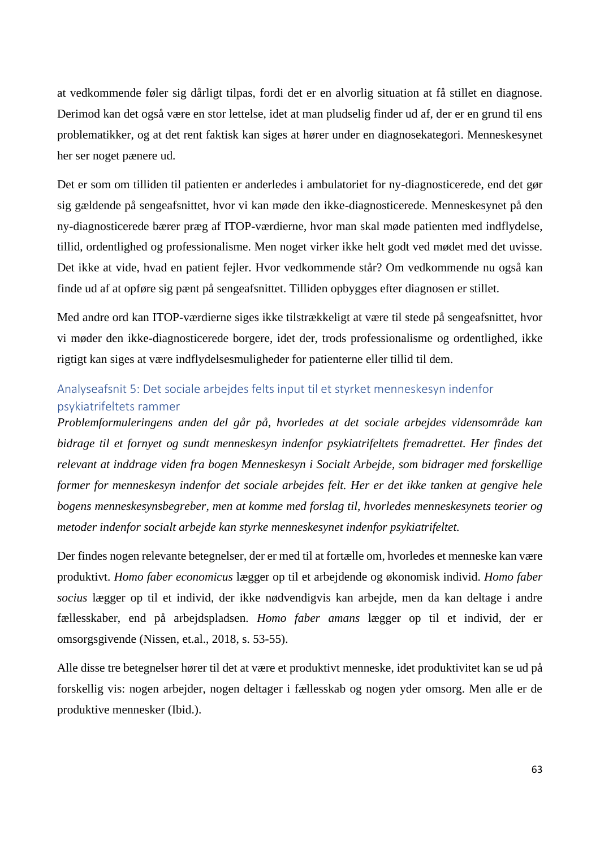at vedkommende føler sig dårligt tilpas, fordi det er en alvorlig situation at få stillet en diagnose. Derimod kan det også være en stor lettelse, idet at man pludselig finder ud af, der er en grund til ens problematikker, og at det rent faktisk kan siges at hører under en diagnosekategori. Menneskesynet her ser noget pænere ud.

Det er som om tilliden til patienten er anderledes i ambulatoriet for ny-diagnosticerede, end det gør sig gældende på sengeafsnittet, hvor vi kan møde den ikke-diagnosticerede. Menneskesynet på den ny-diagnosticerede bærer præg af ITOP-værdierne, hvor man skal møde patienten med indflydelse, tillid, ordentlighed og professionalisme. Men noget virker ikke helt godt ved mødet med det uvisse. Det ikke at vide, hvad en patient fejler. Hvor vedkommende står? Om vedkommende nu også kan finde ud af at opføre sig pænt på sengeafsnittet. Tilliden opbygges efter diagnosen er stillet.

Med andre ord kan ITOP-værdierne siges ikke tilstrækkeligt at være til stede på sengeafsnittet, hvor vi møder den ikke-diagnosticerede borgere, idet der, trods professionalisme og ordentlighed, ikke rigtigt kan siges at være indflydelsesmuligheder for patienterne eller tillid til dem.

## Analyseafsnit 5: Det sociale arbejdes felts input til et styrket menneskesyn indenfor psykiatrifeltets rammer

*Problemformuleringens anden del går på, hvorledes at det sociale arbejdes vidensområde kan bidrage til et fornyet og sundt menneskesyn indenfor psykiatrifeltets fremadrettet. Her findes det relevant at inddrage viden fra bogen Menneskesyn i Socialt Arbejde, som bidrager med forskellige former for menneskesyn indenfor det sociale arbejdes felt. Her er det ikke tanken at gengive hele bogens menneskesynsbegreber, men at komme med forslag til, hvorledes menneskesynets teorier og metoder indenfor socialt arbejde kan styrke menneskesynet indenfor psykiatrifeltet.* 

Der findes nogen relevante betegnelser, der er med til at fortælle om, hvorledes et menneske kan være produktivt. *Homo faber economicus* lægger op til et arbejdende og økonomisk individ. *Homo faber socius* lægger op til et individ, der ikke nødvendigvis kan arbejde, men da kan deltage i andre fællesskaber, end på arbejdspladsen. *Homo faber amans* lægger op til et individ, der er omsorgsgivende (Nissen, et.al., 2018, s. 53-55).

Alle disse tre betegnelser hører til det at være et produktivt menneske, idet produktivitet kan se ud på forskellig vis: nogen arbejder, nogen deltager i fællesskab og nogen yder omsorg. Men alle er de produktive mennesker (Ibid.).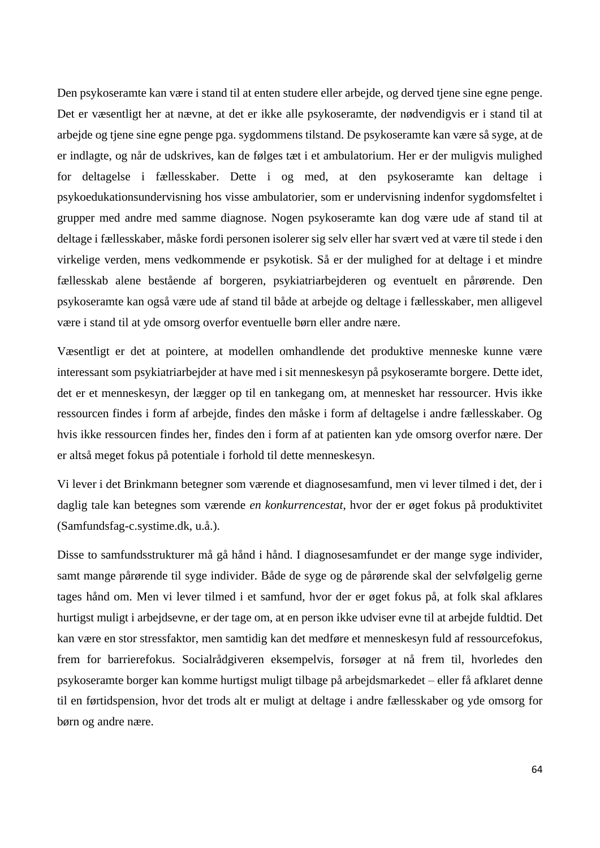Den psykoseramte kan være i stand til at enten studere eller arbejde, og derved tjene sine egne penge. Det er væsentligt her at nævne, at det er ikke alle psykoseramte, der nødvendigvis er i stand til at arbejde og tjene sine egne penge pga. sygdommens tilstand. De psykoseramte kan være så syge, at de er indlagte, og når de udskrives, kan de følges tæt i et ambulatorium. Her er der muligvis mulighed for deltagelse i fællesskaber. Dette i og med, at den psykoseramte kan deltage i psykoedukationsundervisning hos visse ambulatorier, som er undervisning indenfor sygdomsfeltet i grupper med andre med samme diagnose. Nogen psykoseramte kan dog være ude af stand til at deltage i fællesskaber, måske fordi personen isolerer sig selv eller har svært ved at være til stede i den virkelige verden, mens vedkommende er psykotisk. Så er der mulighed for at deltage i et mindre fællesskab alene bestående af borgeren, psykiatriarbejderen og eventuelt en pårørende. Den psykoseramte kan også være ude af stand til både at arbejde og deltage i fællesskaber, men alligevel være i stand til at yde omsorg overfor eventuelle børn eller andre nære.

Væsentligt er det at pointere, at modellen omhandlende det produktive menneske kunne være interessant som psykiatriarbejder at have med i sit menneskesyn på psykoseramte borgere. Dette idet, det er et menneskesyn, der lægger op til en tankegang om, at mennesket har ressourcer. Hvis ikke ressourcen findes i form af arbejde, findes den måske i form af deltagelse i andre fællesskaber. Og hvis ikke ressourcen findes her, findes den i form af at patienten kan yde omsorg overfor nære. Der er altså meget fokus på potentiale i forhold til dette menneskesyn.

Vi lever i det Brinkmann betegner som værende et diagnosesamfund, men vi lever tilmed i det, der i daglig tale kan betegnes som værende *en konkurrencestat*, hvor der er øget fokus på produktivitet (Samfundsfag-c.systime.dk, u.å.).

Disse to samfundsstrukturer må gå hånd i hånd. I diagnosesamfundet er der mange syge individer, samt mange pårørende til syge individer. Både de syge og de pårørende skal der selvfølgelig gerne tages hånd om. Men vi lever tilmed i et samfund, hvor der er øget fokus på, at folk skal afklares hurtigst muligt i arbejdsevne, er der tage om, at en person ikke udviser evne til at arbejde fuldtid. Det kan være en stor stressfaktor, men samtidig kan det medføre et menneskesyn fuld af ressourcefokus, frem for barrierefokus. Socialrådgiveren eksempelvis, forsøger at nå frem til, hvorledes den psykoseramte borger kan komme hurtigst muligt tilbage på arbejdsmarkedet – eller få afklaret denne til en førtidspension, hvor det trods alt er muligt at deltage i andre fællesskaber og yde omsorg for børn og andre nære.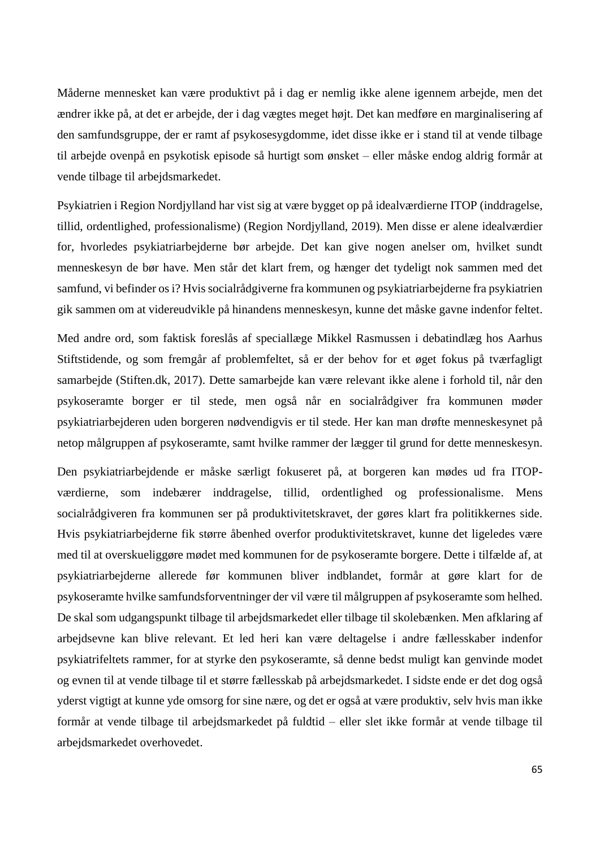Måderne mennesket kan være produktivt på i dag er nemlig ikke alene igennem arbejde, men det ændrer ikke på, at det er arbejde, der i dag vægtes meget højt. Det kan medføre en marginalisering af den samfundsgruppe, der er ramt af psykosesygdomme, idet disse ikke er i stand til at vende tilbage til arbejde ovenpå en psykotisk episode så hurtigt som ønsket – eller måske endog aldrig formår at vende tilbage til arbejdsmarkedet.

Psykiatrien i Region Nordjylland har vist sig at være bygget op på idealværdierne ITOP (inddragelse, tillid, ordentlighed, professionalisme) (Region Nordjylland, 2019). Men disse er alene idealværdier for, hvorledes psykiatriarbejderne bør arbejde. Det kan give nogen anelser om, hvilket sundt menneskesyn de bør have. Men står det klart frem, og hænger det tydeligt nok sammen med det samfund, vi befinder os i? Hvis socialrådgiverne fra kommunen og psykiatriarbejderne fra psykiatrien gik sammen om at videreudvikle på hinandens menneskesyn, kunne det måske gavne indenfor feltet.

Med andre ord, som faktisk foreslås af speciallæge Mikkel Rasmussen i debatindlæg hos Aarhus Stiftstidende, og som fremgår af problemfeltet, så er der behov for et øget fokus på tværfagligt samarbejde (Stiften.dk, 2017). Dette samarbejde kan være relevant ikke alene i forhold til, når den psykoseramte borger er til stede, men også når en socialrådgiver fra kommunen møder psykiatriarbejderen uden borgeren nødvendigvis er til stede. Her kan man drøfte menneskesynet på netop målgruppen af psykoseramte, samt hvilke rammer der lægger til grund for dette menneskesyn.

Den psykiatriarbejdende er måske særligt fokuseret på, at borgeren kan mødes ud fra ITOPværdierne, som indebærer inddragelse, tillid, ordentlighed og professionalisme. Mens socialrådgiveren fra kommunen ser på produktivitetskravet, der gøres klart fra politikkernes side. Hvis psykiatriarbejderne fik større åbenhed overfor produktivitetskravet, kunne det ligeledes være med til at overskueliggøre mødet med kommunen for de psykoseramte borgere. Dette i tilfælde af, at psykiatriarbejderne allerede før kommunen bliver indblandet, formår at gøre klart for de psykoseramte hvilke samfundsforventninger der vil være til målgruppen af psykoseramte som helhed. De skal som udgangspunkt tilbage til arbejdsmarkedet eller tilbage til skolebænken. Men afklaring af arbejdsevne kan blive relevant. Et led heri kan være deltagelse i andre fællesskaber indenfor psykiatrifeltets rammer, for at styrke den psykoseramte, så denne bedst muligt kan genvinde modet og evnen til at vende tilbage til et større fællesskab på arbejdsmarkedet. I sidste ende er det dog også yderst vigtigt at kunne yde omsorg for sine nære, og det er også at være produktiv, selv hvis man ikke formår at vende tilbage til arbejdsmarkedet på fuldtid – eller slet ikke formår at vende tilbage til arbejdsmarkedet overhovedet.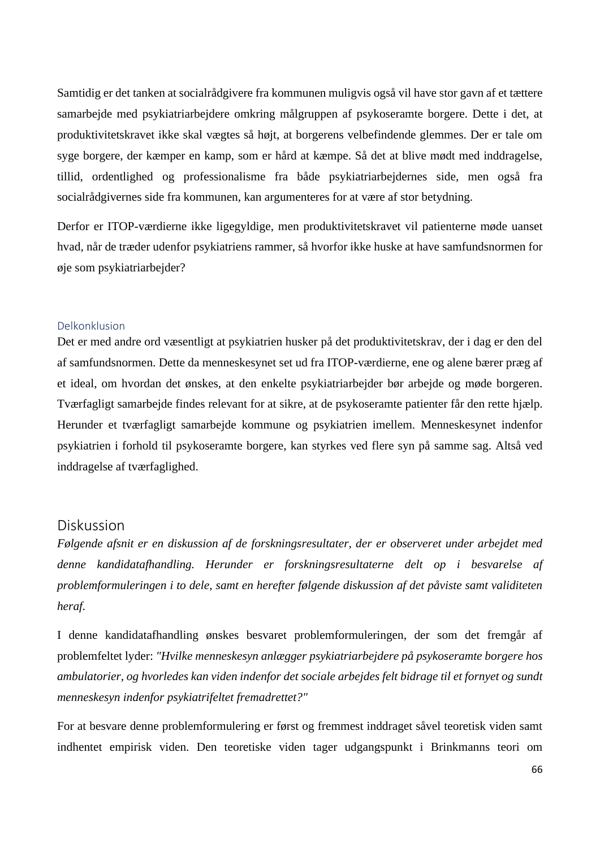Samtidig er det tanken at socialrådgivere fra kommunen muligvis også vil have stor gavn af et tættere samarbejde med psykiatriarbejdere omkring målgruppen af psykoseramte borgere. Dette i det, at produktivitetskravet ikke skal vægtes så højt, at borgerens velbefindende glemmes. Der er tale om syge borgere, der kæmper en kamp, som er hård at kæmpe. Så det at blive mødt med inddragelse, tillid, ordentlighed og professionalisme fra både psykiatriarbejdernes side, men også fra socialrådgivernes side fra kommunen, kan argumenteres for at være af stor betydning.

Derfor er ITOP-værdierne ikke ligegyldige, men produktivitetskravet vil patienterne møde uanset hvad, når de træder udenfor psykiatriens rammer, så hvorfor ikke huske at have samfundsnormen for øje som psykiatriarbejder?

#### Delkonklusion

Det er med andre ord væsentligt at psykiatrien husker på det produktivitetskrav, der i dag er den del af samfundsnormen. Dette da menneskesynet set ud fra ITOP-værdierne, ene og alene bærer præg af et ideal, om hvordan det ønskes, at den enkelte psykiatriarbejder bør arbejde og møde borgeren. Tværfagligt samarbejde findes relevant for at sikre, at de psykoseramte patienter får den rette hjælp. Herunder et tværfagligt samarbejde kommune og psykiatrien imellem. Menneskesynet indenfor psykiatrien i forhold til psykoseramte borgere, kan styrkes ved flere syn på samme sag. Altså ved inddragelse af tværfaglighed.

## Diskussion

*Følgende afsnit er en diskussion af de forskningsresultater, der er observeret under arbejdet med denne kandidatafhandling. Herunder er forskningsresultaterne delt op i besvarelse af problemformuleringen i to dele, samt en herefter følgende diskussion af det påviste samt validiteten heraf.* 

I denne kandidatafhandling ønskes besvaret problemformuleringen, der som det fremgår af problemfeltet lyder: *"Hvilke menneskesyn anlægger psykiatriarbejdere på psykoseramte borgere hos ambulatorier, og hvorledes kan viden indenfor det sociale arbejdes felt bidrage til et fornyet og sundt menneskesyn indenfor psykiatrifeltet fremadrettet?"*

For at besvare denne problemformulering er først og fremmest inddraget såvel teoretisk viden samt indhentet empirisk viden. Den teoretiske viden tager udgangspunkt i Brinkmanns teori om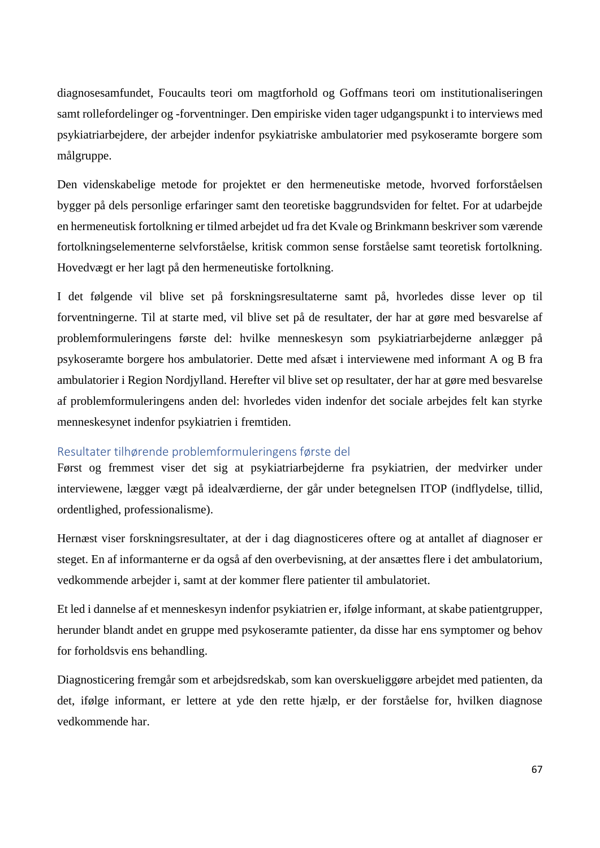diagnosesamfundet, Foucaults teori om magtforhold og Goffmans teori om institutionaliseringen samt rollefordelinger og -forventninger. Den empiriske viden tager udgangspunkt i to interviews med psykiatriarbejdere, der arbejder indenfor psykiatriske ambulatorier med psykoseramte borgere som målgruppe.

Den videnskabelige metode for projektet er den hermeneutiske metode, hvorved forforståelsen bygger på dels personlige erfaringer samt den teoretiske baggrundsviden for feltet. For at udarbejde en hermeneutisk fortolkning er tilmed arbejdet ud fra det Kvale og Brinkmann beskriver som værende fortolkningselementerne selvforståelse, kritisk common sense forståelse samt teoretisk fortolkning. Hovedvægt er her lagt på den hermeneutiske fortolkning.

I det følgende vil blive set på forskningsresultaterne samt på, hvorledes disse lever op til forventningerne. Til at starte med, vil blive set på de resultater, der har at gøre med besvarelse af problemformuleringens første del: hvilke menneskesyn som psykiatriarbejderne anlægger på psykoseramte borgere hos ambulatorier. Dette med afsæt i interviewene med informant A og B fra ambulatorier i Region Nordjylland. Herefter vil blive set op resultater, der har at gøre med besvarelse af problemformuleringens anden del: hvorledes viden indenfor det sociale arbejdes felt kan styrke menneskesynet indenfor psykiatrien i fremtiden.

#### Resultater tilhørende problemformuleringens første del

Først og fremmest viser det sig at psykiatriarbejderne fra psykiatrien, der medvirker under interviewene, lægger vægt på idealværdierne, der går under betegnelsen ITOP (indflydelse, tillid, ordentlighed, professionalisme).

Hernæst viser forskningsresultater, at der i dag diagnosticeres oftere og at antallet af diagnoser er steget. En af informanterne er da også af den overbevisning, at der ansættes flere i det ambulatorium, vedkommende arbejder i, samt at der kommer flere patienter til ambulatoriet.

Et led i dannelse af et menneskesyn indenfor psykiatrien er, ifølge informant, at skabe patientgrupper, herunder blandt andet en gruppe med psykoseramte patienter, da disse har ens symptomer og behov for forholdsvis ens behandling.

Diagnosticering fremgår som et arbejdsredskab, som kan overskueliggøre arbejdet med patienten, da det, ifølge informant, er lettere at yde den rette hjælp, er der forståelse for, hvilken diagnose vedkommende har.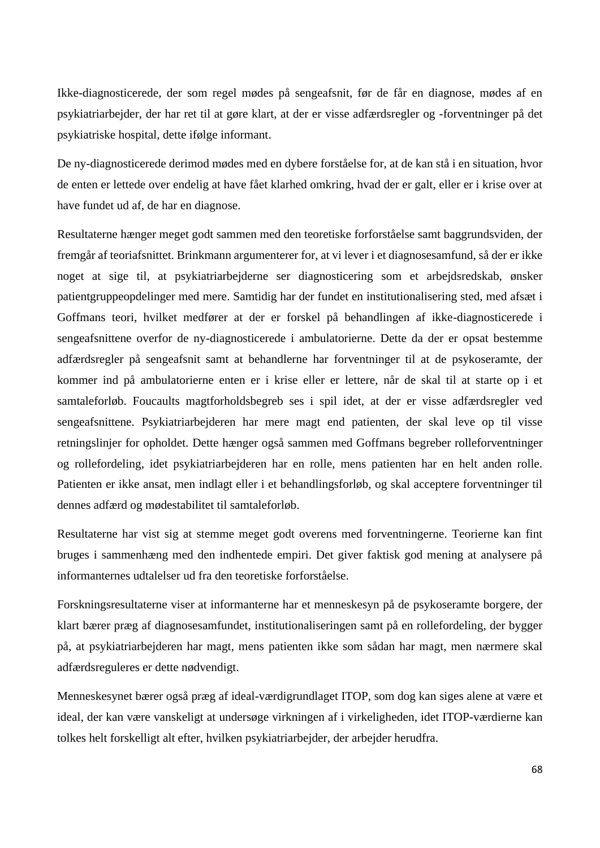Ikke-diagnosticerede, der som regel mødes på sengeafsnit, før de får en diagnose, mødes af en psykiatriarbejder, der har ret til at gøre klart, at der er visse adfærdsregler og -forventninger på det psykiatriske hospital, dette ifølge informant.

De ny-diagnosticerede derimod mødes med en dybere forståelse for, at de kan stå i en situation, hvor de enten er lettede over endelig at have fået klarhed omkring, hvad der er galt, eller er i krise over at have fundet ud af, de har en diagnose.

Resultaterne hænger meget godt sammen med den teoretiske forforståelse samt baggrundsviden, der fremgår af teoriafsnittet. Brinkmann argumenterer for, at vi lever i et diagnosesamfund, så der er ikke noget at sige til, at psykiatriarbejderne ser diagnosticering som et arbejdsredskab, ønsker patientgruppeopdelinger med mere. Samtidig har der fundet en institutionalisering sted, med afsæt i Goffmans teori, hvilket medfører at der er forskel på behandlingen af ikke-diagnosticerede i sengeafsnittene overfor de ny-diagnosticerede i ambulatorierne. Dette da der er opsat bestemme adfærdsregler på sengeafsnit samt at behandlerne har forventninger til at de psykoseramte, der kommer ind på ambulatorierne enten er i krise eller er lettere, når de skal til at starte op i et samtaleforløb. Foucaults magtforholdsbegreb ses i spil idet, at der er visse adfærdsregler ved sengeafsnittene. Psykiatriarbejderen har mere magt end patienten, der skal leve op til visse retningslinjer for opholdet. Dette hænger også sammen med Goffmans begreber rolleforventninger og rollefordeling, idet psykiatriarbejderen har en rolle, mens patienten har en helt anden rolle. Patienten er ikke ansat, men indlagt eller i et behandlingsforløb, og skal acceptere forventninger til dennes adfærd og mødestabilitet til samtaleforløb.

Resultaterne har vist sig at stemme meget godt overens med forventningerne. Teorierne kan fint bruges i sammenhæng med den indhentede empiri. Det giver faktisk god mening at analysere på informanternes udtalelser ud fra den teoretiske forforståelse.

Forskningsresultaterne viser at informanterne har et menneskesyn på de psykoseramte borgere, der klart bærer præg af diagnosesamfundet, institutionaliseringen samt på en rollefordeling, der bygger på, at psykiatriarbejderen har magt, mens patienten ikke som sådan har magt, men nærmere skal adfærdsreguleres er dette nødvendigt.

Menneskesynet bærer også præg af ideal-værdigrundlaget ITOP, som dog kan siges alene at være et ideal, der kan være vanskeligt at undersøge virkningen af i virkeligheden, idet ITOP-værdierne kan tolkes helt forskelligt alt efter, hvilken psykiatriarbejder, der arbejder herudfra.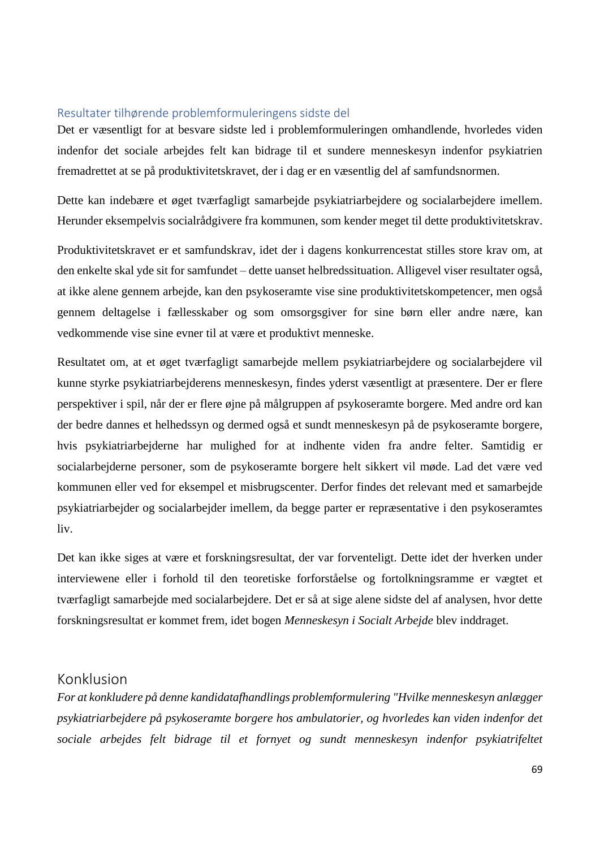### Resultater tilhørende problemformuleringens sidste del

Det er væsentligt for at besvare sidste led i problemformuleringen omhandlende, hvorledes viden indenfor det sociale arbejdes felt kan bidrage til et sundere menneskesyn indenfor psykiatrien fremadrettet at se på produktivitetskravet, der i dag er en væsentlig del af samfundsnormen.

Dette kan indebære et øget tværfagligt samarbejde psykiatriarbejdere og socialarbejdere imellem. Herunder eksempelvis socialrådgivere fra kommunen, som kender meget til dette produktivitetskrav.

Produktivitetskravet er et samfundskrav, idet der i dagens konkurrencestat stilles store krav om, at den enkelte skal yde sit for samfundet – dette uanset helbredssituation. Alligevel viser resultater også, at ikke alene gennem arbejde, kan den psykoseramte vise sine produktivitetskompetencer, men også gennem deltagelse i fællesskaber og som omsorgsgiver for sine børn eller andre nære, kan vedkommende vise sine evner til at være et produktivt menneske.

Resultatet om, at et øget tværfagligt samarbejde mellem psykiatriarbejdere og socialarbejdere vil kunne styrke psykiatriarbejderens menneskesyn, findes yderst væsentligt at præsentere. Der er flere perspektiver i spil, når der er flere øjne på målgruppen af psykoseramte borgere. Med andre ord kan der bedre dannes et helhedssyn og dermed også et sundt menneskesyn på de psykoseramte borgere, hvis psykiatriarbejderne har mulighed for at indhente viden fra andre felter. Samtidig er socialarbejderne personer, som de psykoseramte borgere helt sikkert vil møde. Lad det være ved kommunen eller ved for eksempel et misbrugscenter. Derfor findes det relevant med et samarbejde psykiatriarbejder og socialarbejder imellem, da begge parter er repræsentative i den psykoseramtes liv.

Det kan ikke siges at være et forskningsresultat, der var forventeligt. Dette idet der hverken under interviewene eller i forhold til den teoretiske forforståelse og fortolkningsramme er vægtet et tværfagligt samarbejde med socialarbejdere. Det er så at sige alene sidste del af analysen, hvor dette forskningsresultat er kommet frem, idet bogen *Menneskesyn i Socialt Arbejde* blev inddraget.

## Konklusion

*For at konkludere på denne kandidatafhandlings problemformulering "Hvilke menneskesyn anlægger psykiatriarbejdere på psykoseramte borgere hos ambulatorier, og hvorledes kan viden indenfor det sociale arbejdes felt bidrage til et fornyet og sundt menneskesyn indenfor psykiatrifeltet*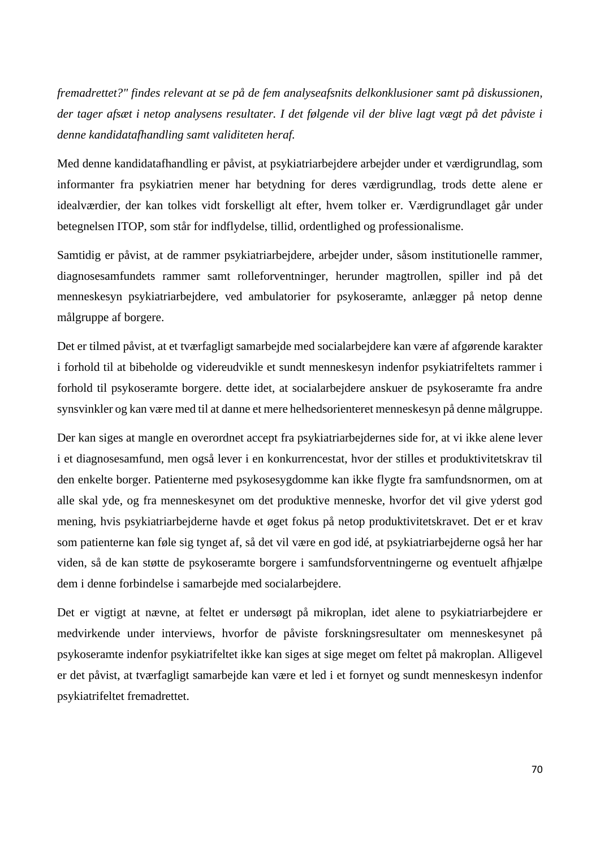*fremadrettet?" findes relevant at se på de fem analyseafsnits delkonklusioner samt på diskussionen, der tager afsæt i netop analysens resultater. I det følgende vil der blive lagt vægt på det påviste i denne kandidatafhandling samt validiteten heraf.*

Med denne kandidatafhandling er påvist, at psykiatriarbejdere arbejder under et værdigrundlag, som informanter fra psykiatrien mener har betydning for deres værdigrundlag, trods dette alene er idealværdier, der kan tolkes vidt forskelligt alt efter, hvem tolker er. Værdigrundlaget går under betegnelsen ITOP, som står for indflydelse, tillid, ordentlighed og professionalisme.

Samtidig er påvist, at de rammer psykiatriarbejdere, arbejder under, såsom institutionelle rammer, diagnosesamfundets rammer samt rolleforventninger, herunder magtrollen, spiller ind på det menneskesyn psykiatriarbejdere, ved ambulatorier for psykoseramte, anlægger på netop denne målgruppe af borgere.

Det er tilmed påvist, at et tværfagligt samarbejde med socialarbejdere kan være af afgørende karakter i forhold til at bibeholde og videreudvikle et sundt menneskesyn indenfor psykiatrifeltets rammer i forhold til psykoseramte borgere. dette idet, at socialarbejdere anskuer de psykoseramte fra andre synsvinkler og kan være med til at danne et mere helhedsorienteret menneskesyn på denne målgruppe.

Der kan siges at mangle en overordnet accept fra psykiatriarbejdernes side for, at vi ikke alene lever i et diagnosesamfund, men også lever i en konkurrencestat, hvor der stilles et produktivitetskrav til den enkelte borger. Patienterne med psykosesygdomme kan ikke flygte fra samfundsnormen, om at alle skal yde, og fra menneskesynet om det produktive menneske, hvorfor det vil give yderst god mening, hvis psykiatriarbejderne havde et øget fokus på netop produktivitetskravet. Det er et krav som patienterne kan føle sig tynget af, så det vil være en god idé, at psykiatriarbejderne også her har viden, så de kan støtte de psykoseramte borgere i samfundsforventningerne og eventuelt afhjælpe dem i denne forbindelse i samarbejde med socialarbejdere.

Det er vigtigt at nævne, at feltet er undersøgt på mikroplan, idet alene to psykiatriarbejdere er medvirkende under interviews, hvorfor de påviste forskningsresultater om menneskesynet på psykoseramte indenfor psykiatrifeltet ikke kan siges at sige meget om feltet på makroplan. Alligevel er det påvist, at tværfagligt samarbejde kan være et led i et fornyet og sundt menneskesyn indenfor psykiatrifeltet fremadrettet.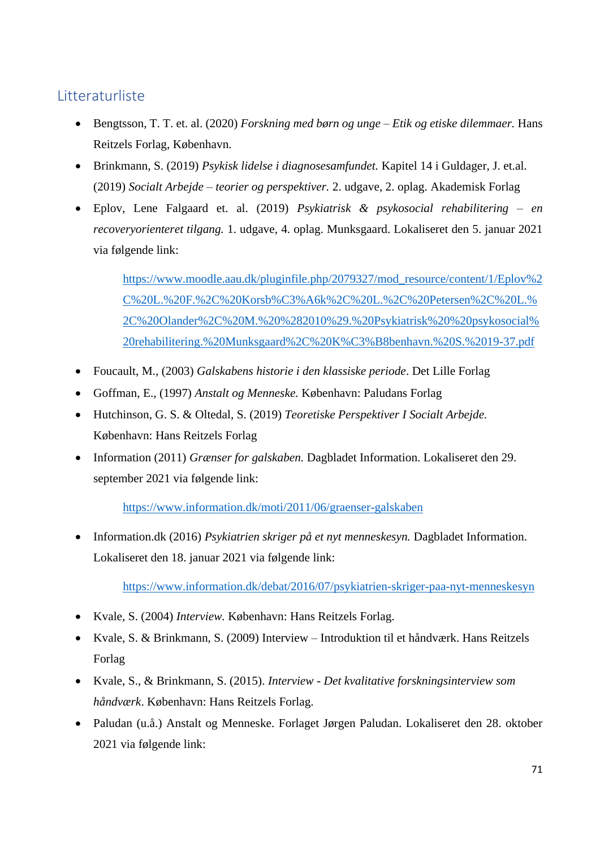# Litteraturliste

- Bengtsson, T. T. et. al. (2020) *Forskning med børn og unge – Etik og etiske dilemmaer.* Hans Reitzels Forlag, København.
- Brinkmann, S. (2019) *Psykisk lidelse i diagnosesamfundet.* Kapitel 14 i Guldager, J. et.al. (2019) *Socialt Arbejde – teorier og perspektiver.* 2. udgave, 2. oplag. Akademisk Forlag
- Eplov, Lene Falgaard et. al. (2019) *Psykiatrisk & psykosocial rehabilitering – en recoveryorienteret tilgang.* 1. udgave, 4. oplag. Munksgaard. Lokaliseret den 5. januar 2021 via følgende link:

[https://www.moodle.aau.dk/pluginfile.php/2079327/mod\\_resource/content/1/Eplov%2](https://www.moodle.aau.dk/pluginfile.php/2079327/mod_resource/content/1/Eplov%2C%20L.%20F.%2C%20Korsb%C3%A6k%2C%20L.%2C%20Petersen%2C%20L.%2C%20Olander%2C%20M.%20%282010%29.%20Psykiatrisk%20%20psykosocial%20rehabilitering.%20Munksgaard%2C%20K%C3%B8benhavn.%20S.%2019-37.pdf) [C%20L.%20F.%2C%20Korsb%C3%A6k%2C%20L.%2C%20Petersen%2C%20L.%](https://www.moodle.aau.dk/pluginfile.php/2079327/mod_resource/content/1/Eplov%2C%20L.%20F.%2C%20Korsb%C3%A6k%2C%20L.%2C%20Petersen%2C%20L.%2C%20Olander%2C%20M.%20%282010%29.%20Psykiatrisk%20%20psykosocial%20rehabilitering.%20Munksgaard%2C%20K%C3%B8benhavn.%20S.%2019-37.pdf) [2C%20Olander%2C%20M.%20%282010%29.%20Psykiatrisk%20%20psykosocial%](https://www.moodle.aau.dk/pluginfile.php/2079327/mod_resource/content/1/Eplov%2C%20L.%20F.%2C%20Korsb%C3%A6k%2C%20L.%2C%20Petersen%2C%20L.%2C%20Olander%2C%20M.%20%282010%29.%20Psykiatrisk%20%20psykosocial%20rehabilitering.%20Munksgaard%2C%20K%C3%B8benhavn.%20S.%2019-37.pdf) [20rehabilitering.%20Munksgaard%2C%20K%C3%B8benhavn.%20S.%2019-37.pdf](https://www.moodle.aau.dk/pluginfile.php/2079327/mod_resource/content/1/Eplov%2C%20L.%20F.%2C%20Korsb%C3%A6k%2C%20L.%2C%20Petersen%2C%20L.%2C%20Olander%2C%20M.%20%282010%29.%20Psykiatrisk%20%20psykosocial%20rehabilitering.%20Munksgaard%2C%20K%C3%B8benhavn.%20S.%2019-37.pdf)

- Foucault, M., (2003) *Galskabens historie i den klassiske periode*. Det Lille Forlag
- Goffman, E., (1997) *Anstalt og Menneske.* København: Paludans Forlag
- Hutchinson, G. S. & Oltedal, S. (2019) *Teoretiske Perspektiver I Socialt Arbejde.*  København: Hans Reitzels Forlag
- Information (2011) *Grænser for galskaben.* Dagbladet Information. Lokaliseret den 29. september 2021 via følgende link:

<https://www.information.dk/moti/2011/06/graenser-galskaben>

• Information.dk (2016) *Psykiatrien skriger på et nyt menneskesyn.* Dagbladet Information. Lokaliseret den 18. januar 2021 via følgende link:

<https://www.information.dk/debat/2016/07/psykiatrien-skriger-paa-nyt-menneskesyn>

- Kvale, S. (2004) *Interview.* København: Hans Reitzels Forlag.
- Kvale, S. & Brinkmann, S. (2009) Interview Introduktion til et håndværk. Hans Reitzels Forlag
- Kvale, S., & Brinkmann, S. (2015). *Interview - Det kvalitative forskningsinterview som håndværk*. København: Hans Reitzels Forlag.
- Paludan (u.å.) Anstalt og Menneske. Forlaget Jørgen Paludan. Lokaliseret den 28. oktober 2021 via følgende link: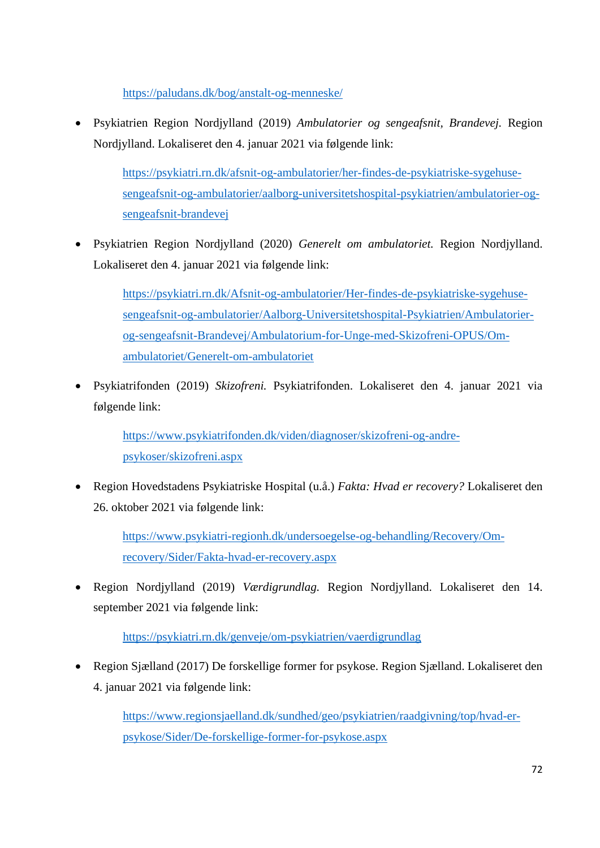<https://paludans.dk/bog/anstalt-og-menneske/>

• Psykiatrien Region Nordjylland (2019) *Ambulatorier og sengeafsnit, Brandevej.* Region Nordjylland. Lokaliseret den 4. januar 2021 via følgende link:

[https://psykiatri.rn.dk/afsnit-og-ambulatorier/her-findes-de-psykiatriske-sygehuse](https://psykiatri.rn.dk/afsnit-og-ambulatorier/her-findes-de-psykiatriske-sygehuse-sengeafsnit-og-ambulatorier/aalborg-universitetshospital-psykiatrien/ambulatorier-og-sengeafsnit-brandevej)[sengeafsnit-og-ambulatorier/aalborg-universitetshospital-psykiatrien/ambulatorier-og](https://psykiatri.rn.dk/afsnit-og-ambulatorier/her-findes-de-psykiatriske-sygehuse-sengeafsnit-og-ambulatorier/aalborg-universitetshospital-psykiatrien/ambulatorier-og-sengeafsnit-brandevej)[sengeafsnit-brandevej](https://psykiatri.rn.dk/afsnit-og-ambulatorier/her-findes-de-psykiatriske-sygehuse-sengeafsnit-og-ambulatorier/aalborg-universitetshospital-psykiatrien/ambulatorier-og-sengeafsnit-brandevej)

• Psykiatrien Region Nordjylland (2020) *Generelt om ambulatoriet.* Region Nordjylland. Lokaliseret den 4. januar 2021 via følgende link:

[https://psykiatri.rn.dk/Afsnit-og-ambulatorier/Her-findes-de-psykiatriske-sygehuse](https://psykiatri.rn.dk/Afsnit-og-ambulatorier/Her-findes-de-psykiatriske-sygehuse-sengeafsnit-og-ambulatorier/Aalborg-Universitetshospital-Psykiatrien/Ambulatorier-og-sengeafsnit-Brandevej/Ambulatorium-for-Unge-med-Skizofreni-OPUS/Om-ambulatoriet/Generelt-om-ambulatoriet)[sengeafsnit-og-ambulatorier/Aalborg-Universitetshospital-Psykiatrien/Ambulatorier](https://psykiatri.rn.dk/Afsnit-og-ambulatorier/Her-findes-de-psykiatriske-sygehuse-sengeafsnit-og-ambulatorier/Aalborg-Universitetshospital-Psykiatrien/Ambulatorier-og-sengeafsnit-Brandevej/Ambulatorium-for-Unge-med-Skizofreni-OPUS/Om-ambulatoriet/Generelt-om-ambulatoriet)[og-sengeafsnit-Brandevej/Ambulatorium-for-Unge-med-Skizofreni-OPUS/Om](https://psykiatri.rn.dk/Afsnit-og-ambulatorier/Her-findes-de-psykiatriske-sygehuse-sengeafsnit-og-ambulatorier/Aalborg-Universitetshospital-Psykiatrien/Ambulatorier-og-sengeafsnit-Brandevej/Ambulatorium-for-Unge-med-Skizofreni-OPUS/Om-ambulatoriet/Generelt-om-ambulatoriet)[ambulatoriet/Generelt-om-ambulatoriet](https://psykiatri.rn.dk/Afsnit-og-ambulatorier/Her-findes-de-psykiatriske-sygehuse-sengeafsnit-og-ambulatorier/Aalborg-Universitetshospital-Psykiatrien/Ambulatorier-og-sengeafsnit-Brandevej/Ambulatorium-for-Unge-med-Skizofreni-OPUS/Om-ambulatoriet/Generelt-om-ambulatoriet)

• Psykiatrifonden (2019) *Skizofreni.* Psykiatrifonden. Lokaliseret den 4. januar 2021 via følgende link:

[https://www.psykiatrifonden.dk/viden/diagnoser/skizofreni-og-andre](https://www.psykiatrifonden.dk/viden/diagnoser/skizofreni-og-andre-psykoser/skizofreni.aspx)[psykoser/skizofreni.aspx](https://www.psykiatrifonden.dk/viden/diagnoser/skizofreni-og-andre-psykoser/skizofreni.aspx)

• Region Hovedstadens Psykiatriske Hospital (u.å.) *Fakta: Hvad er recovery?* Lokaliseret den 26. oktober 2021 via følgende link:

> [https://www.psykiatri-regionh.dk/undersoegelse-og-behandling/Recovery/Om](https://www.psykiatri-regionh.dk/undersoegelse-og-behandling/Recovery/Om-recovery/Sider/Fakta-hvad-er-recovery.aspx)[recovery/Sider/Fakta-hvad-er-recovery.aspx](https://www.psykiatri-regionh.dk/undersoegelse-og-behandling/Recovery/Om-recovery/Sider/Fakta-hvad-er-recovery.aspx)

• Region Nordjylland (2019) *Værdigrundlag.* Region Nordjylland. Lokaliseret den 14. september 2021 via følgende link:

<https://psykiatri.rn.dk/genveje/om-psykiatrien/vaerdigrundlag>

• Region Sjælland (2017) De forskellige former for psykose. Region Sjælland. Lokaliseret den 4. januar 2021 via følgende link:

> [https://www.regionsjaelland.dk/sundhed/geo/psykiatrien/raadgivning/top/hvad-er](https://www.regionsjaelland.dk/sundhed/geo/psykiatrien/raadgivning/top/hvad-er-psykose/Sider/De-forskellige-former-for-psykose.aspx)[psykose/Sider/De-forskellige-former-for-psykose.aspx](https://www.regionsjaelland.dk/sundhed/geo/psykiatrien/raadgivning/top/hvad-er-psykose/Sider/De-forskellige-former-for-psykose.aspx)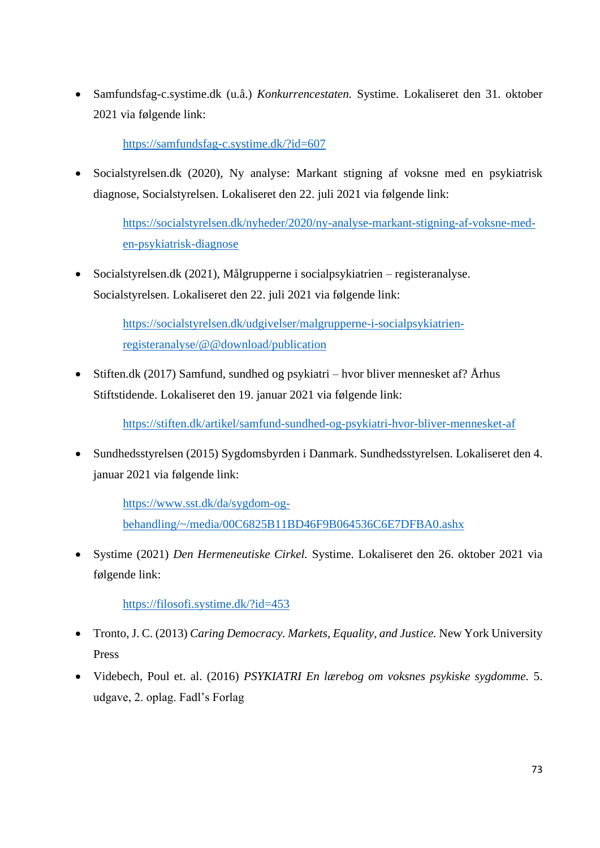• Samfundsfag-c.systime.dk (u.å.) *Konkurrencestaten.* Systime. Lokaliseret den 31. oktober 2021 via følgende link:

<https://samfundsfag-c.systime.dk/?id=607>

• Socialstyrelsen.dk (2020), Ny analyse: Markant stigning af voksne med en psykiatrisk diagnose, Socialstyrelsen. Lokaliseret den 22. juli 2021 via følgende link:

> [https://socialstyrelsen.dk/nyheder/2020/ny-analyse-markant-stigning-af-voksne-med](https://socialstyrelsen.dk/nyheder/2020/ny-analyse-markant-stigning-af-voksne-med-en-psykiatrisk-diagnose)[en-psykiatrisk-diagnose](https://socialstyrelsen.dk/nyheder/2020/ny-analyse-markant-stigning-af-voksne-med-en-psykiatrisk-diagnose)

• Socialstyrelsen.dk (2021), Målgrupperne i socialpsykiatrien – registeranalyse. Socialstyrelsen. Lokaliseret den 22. juli 2021 via følgende link:

> [https://socialstyrelsen.dk/udgivelser/malgrupperne-i-socialpsykiatrien](https://socialstyrelsen.dk/udgivelser/malgrupperne-i-socialpsykiatrien-registeranalyse/@@download/publication)[registeranalyse/@@download/publication](https://socialstyrelsen.dk/udgivelser/malgrupperne-i-socialpsykiatrien-registeranalyse/@@download/publication)

• Stiften.dk (2017) Samfund, sundhed og psykiatri – hvor bliver mennesket af? Århus Stiftstidende. Lokaliseret den 19. januar 2021 via følgende link:

<https://stiften.dk/artikel/samfund-sundhed-og-psykiatri-hvor-bliver-mennesket-af>

• Sundhedsstyrelsen (2015) Sygdomsbyrden i Danmark. Sundhedsstyrelsen. Lokaliseret den 4. januar 2021 via følgende link:

> [https://www.sst.dk/da/sygdom-og](https://www.sst.dk/da/sygdom-og-behandling/~/media/00C6825B11BD46F9B064536C6E7DFBA0.ashx)[behandling/~/media/00C6825B11BD46F9B064536C6E7DFBA0.ashx](https://www.sst.dk/da/sygdom-og-behandling/~/media/00C6825B11BD46F9B064536C6E7DFBA0.ashx)

• Systime (2021) *Den Hermeneutiske Cirkel.* Systime. Lokaliseret den 26. oktober 2021 via følgende link:

<https://filosofi.systime.dk/?id=453>

- Tronto, J. C. (2013) *Caring Democracy. Markets, Equality, and Justice.* New York University Press
- Videbech, Poul et. al. (2016) *PSYKIATRI En lærebog om voksnes psykiske sygdomme.* 5. udgave, 2. oplag. Fadl's Forlag